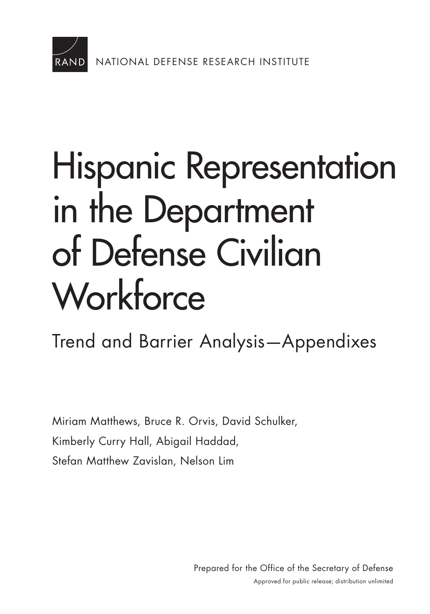

### [Hispanic Representation](https://www.rand.org/pubs/research_reports/RR1699.html)  in the Department of Defense Civilian **Workforce**

Trend and Barrier Analysis—Appendixes

Miriam Matthews, Bruce R. Orvis, David Schulker, Kimberly Curry Hall, Abigail Haddad, Stefan Matthew Zavislan, Nelson Lim

> Prepared for the Office of the Secretary of Defense Approved for public release; distribution unlimited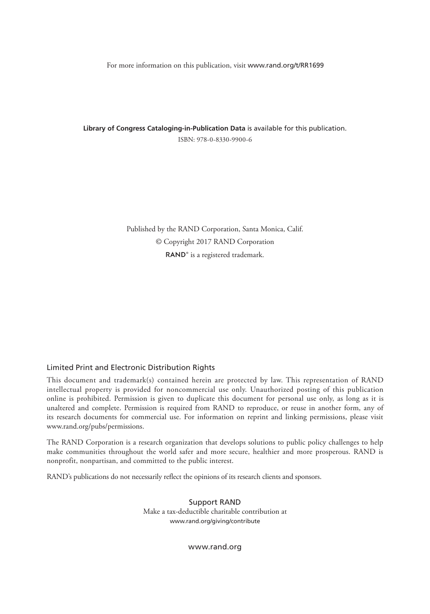For more information on this publication, visit [www.rand.org/t/RR1699](http://www.rand.org/t/RR1699)

**Library of Congress Cataloging-in-Publication Data** is available for this publication. ISBN: 978-0-8330-9900-6

> Published by the RAND Corporation, Santa Monica, Calif. © Copyright 2017 RAND Corporation RAND<sup>®</sup> is a registered trademark.

### Limited Print and Electronic Distribution Rights

This document and trademark(s) contained herein are protected by law. This representation of RAND intellectual property is provided for noncommercial use only. Unauthorized posting of this publication online is prohibited. Permission is given to duplicate this document for personal use only, as long as it is unaltered and complete. Permission is required from RAND to reproduce, or reuse in another form, any of its research documents for commercial use. For information on reprint and linking permissions, please visit [www.rand.org/pubs/permissions.](http://www.rand.org/pubs/permissions)

The RAND Corporation is a research organization that develops solutions to public policy challenges to help make communities throughout the world safer and more secure, healthier and more prosperous. RAND is nonprofit, nonpartisan, and committed to the public interest.

RAND's publications do not necessarily reflect the opinions of its research clients and sponsors.

Support RAND Make a tax-deductible charitable contribution at [www.rand.org/giving/contribute](http://www.rand.org/giving/contribute)

[www.rand.org](http://www.rand.org)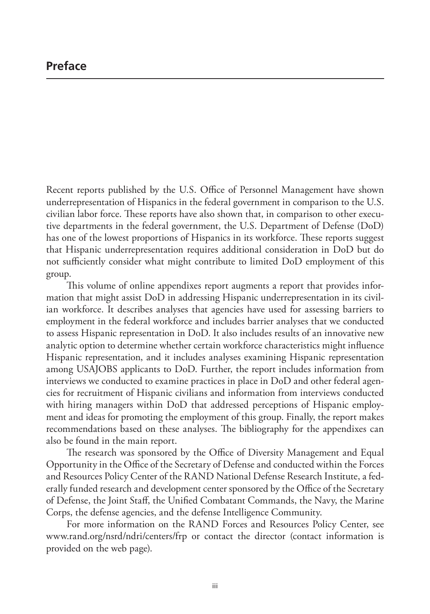Recent reports published by the U.S. Office of Personnel Management have shown underrepresentation of Hispanics in the federal government in comparison to the U.S. civilian labor force. These reports have also shown that, in comparison to other executive departments in the federal government, the U.S. Department of Defense (DoD) has one of the lowest proportions of Hispanics in its workforce. These reports suggest that Hispanic underrepresentation requires additional consideration in DoD but do not sufficiently consider what might contribute to limited DoD employment of this group.

This volume of online appendixes report augments a report that provides information that might assist DoD in addressing Hispanic underrepresentation in its civilian workforce. It describes analyses that agencies have used for assessing barriers to employment in the federal workforce and includes barrier analyses that we conducted to assess Hispanic representation in DoD. It also includes results of an innovative new analytic option to determine whether certain workforce characteristics might influence Hispanic representation, and it includes analyses examining Hispanic representation among USAJOBS applicants to DoD. Further, the report includes information from interviews we conducted to examine practices in place in DoD and other federal agencies for recruitment of Hispanic civilians and information from interviews conducted with hiring managers within DoD that addressed perceptions of Hispanic employment and ideas for promoting the employment of this group. Finally, the report makes recommendations based on these analyses. The bibliography for the appendixes can also be found in the main report.

The research was sponsored by the Office of Diversity Management and Equal Opportunity in the Office of the Secretary of Defense and conducted within the Forces and Resources Policy Center of the RAND National Defense Research Institute, a federally funded research and development center sponsored by the Office of the Secretary of Defense, the Joint Staff, the Unified Combatant Commands, the Navy, the Marine Corps, the defense agencies, and the defense Intelligence Community.

For more information on the RAND Forces and Resources Policy Center, see [www.rand.org/nsrd/ndri/centers/frp](http://www.rand.org/nsrd/ndri/centers/frp) or contact the director (contact information is provided on the web page).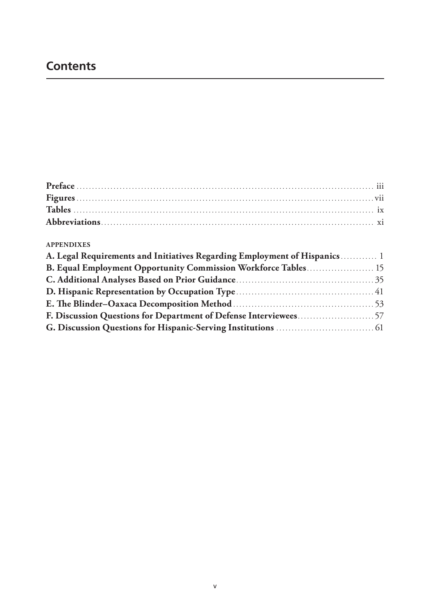### **Contents**

### **APPENDIXES**

| A. Legal Requirements and Initiatives Regarding Employment of Hispanics 1 |
|---------------------------------------------------------------------------|
| B. Equal Employment Opportunity Commission Workforce Tables 15            |
|                                                                           |
|                                                                           |
|                                                                           |
|                                                                           |
|                                                                           |
|                                                                           |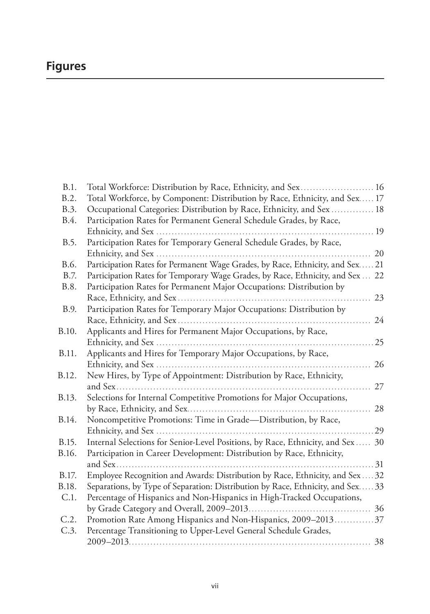### **Figures**

| B.1.  | Total Workforce: Distribution by Race, Ethnicity, and Sex 16                  |    |
|-------|-------------------------------------------------------------------------------|----|
| B.2.  | Total Workforce, by Component: Distribution by Race, Ethnicity, and Sex 17    |    |
| B.3.  | Occupational Categories: Distribution by Race, Ethnicity, and Sex  18         |    |
| B.4.  | Participation Rates for Permanent General Schedule Grades, by Race,           |    |
|       |                                                                               | 19 |
| B.5.  | Participation Rates for Temporary General Schedule Grades, by Race,           |    |
|       |                                                                               | 20 |
| B.6.  | Participation Rates for Permanent Wage Grades, by Race, Ethnicity, and Sex 21 |    |
| B.7.  | Participation Rates for Temporary Wage Grades, by Race, Ethnicity, and Sex    | 22 |
| B.8.  | Participation Rates for Permanent Major Occupations: Distribution by          |    |
|       |                                                                               | 23 |
| B.9.  | Participation Rates for Temporary Major Occupations: Distribution by          |    |
|       |                                                                               | 24 |
| B.10. | Applicants and Hires for Permanent Major Occupations, by Race,                |    |
|       |                                                                               | 25 |
| B.11. | Applicants and Hires for Temporary Major Occupations, by Race,                |    |
|       |                                                                               | 26 |
| B.12. | New Hires, by Type of Appointment: Distribution by Race, Ethnicity,           |    |
|       |                                                                               | 27 |
| B.13. | Selections for Internal Competitive Promotions for Major Occupations,         |    |
|       |                                                                               | 28 |
| B.14. | Noncompetitive Promotions: Time in Grade-Distribution, by Race,               |    |
|       |                                                                               | 29 |
| B.15. | Internal Selections for Senior-Level Positions, by Race, Ethnicity, and Sex   | 30 |
| B.16. | Participation in Career Development: Distribution by Race, Ethnicity,         |    |
|       |                                                                               | 31 |
| B.17. | Employee Recognition and Awards: Distribution by Race, Ethnicity, and Sex.    | 32 |
| B.18. | Separations, by Type of Separation: Distribution by Race, Ethnicity, and Sex  | 33 |
| C.1.  | Percentage of Hispanics and Non-Hispanics in High-Tracked Occupations,        |    |
|       |                                                                               | 36 |
| C.2.  | Promotion Rate Among Hispanics and Non-Hispanics, 2009–2013                   | 37 |
| C.3.  | Percentage Transitioning to Upper-Level General Schedule Grades,              |    |
|       |                                                                               | 38 |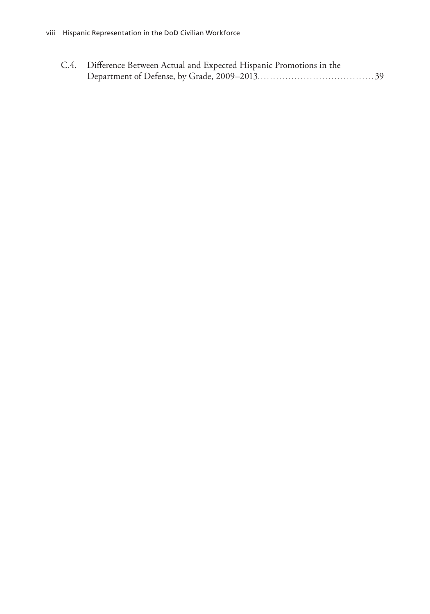| C.4. Difference Between Actual and Expected Hispanic Promotions in the |  |
|------------------------------------------------------------------------|--|
|                                                                        |  |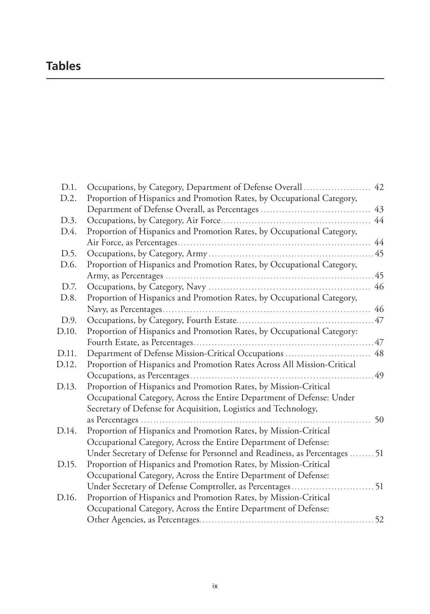### **Tables**

| D.1.  | Occupations, by Category, Department of Defense Overall  42                |    |
|-------|----------------------------------------------------------------------------|----|
| D.2.  | Proportion of Hispanics and Promotion Rates, by Occupational Category,     |    |
|       | Department of Defense Overall, as Percentages                              | 43 |
| D.3.  |                                                                            | 44 |
| D.4.  | Proportion of Hispanics and Promotion Rates, by Occupational Category,     |    |
|       |                                                                            | 44 |
| D.5.  |                                                                            |    |
| D.6.  | Proportion of Hispanics and Promotion Rates, by Occupational Category,     |    |
|       |                                                                            | 45 |
| D.7.  |                                                                            | 46 |
| D.8.  | Proportion of Hispanics and Promotion Rates, by Occupational Category,     |    |
|       |                                                                            | 46 |
| D.9.  |                                                                            |    |
| D.10. | Proportion of Hispanics and Promotion Rates, by Occupational Category:     |    |
|       |                                                                            |    |
| D.11. | Department of Defense Mission-Critical Occupations                         | 48 |
| D.12. | Proportion of Hispanics and Promotion Rates Across All Mission-Critical    |    |
|       |                                                                            | 49 |
| D.13. | Proportion of Hispanics and Promotion Rates, by Mission-Critical           |    |
|       | Occupational Category, Across the Entire Department of Defense: Under      |    |
|       | Secretary of Defense for Acquisition, Logistics and Technology,            |    |
|       |                                                                            | 50 |
| D.14. | Proportion of Hispanics and Promotion Rates, by Mission-Critical           |    |
|       | Occupational Category, Across the Entire Department of Defense:            |    |
|       | Under Secretary of Defense for Personnel and Readiness, as Percentages  51 |    |
| D.15. | Proportion of Hispanics and Promotion Rates, by Mission-Critical           |    |
|       | Occupational Category, Across the Entire Department of Defense:            |    |
|       | Under Secretary of Defense Comptroller, as Percentages 51                  |    |
| D.16. | Proportion of Hispanics and Promotion Rates, by Mission-Critical           |    |
|       | Occupational Category, Across the Entire Department of Defense:            |    |
|       |                                                                            |    |
|       |                                                                            |    |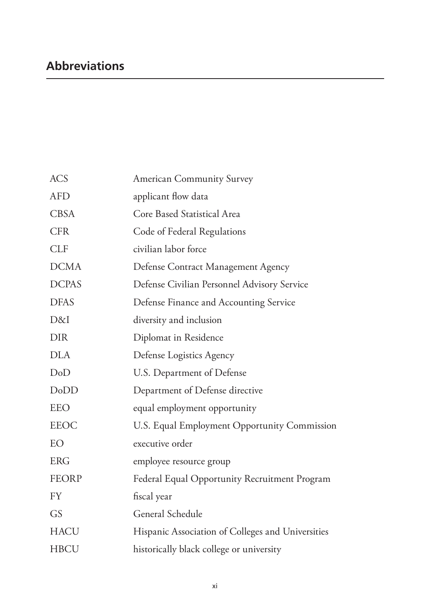### **Abbreviations**

| <b>ACS</b>   | <b>American Community Survey</b>                  |
|--------------|---------------------------------------------------|
| <b>AFD</b>   | applicant flow data                               |
| <b>CBSA</b>  | Core Based Statistical Area                       |
| <b>CFR</b>   | Code of Federal Regulations                       |
| <b>CLF</b>   | civilian labor force                              |
| <b>DCMA</b>  | Defense Contract Management Agency                |
| <b>DCPAS</b> | Defense Civilian Personnel Advisory Service       |
| <b>DFAS</b>  | Defense Finance and Accounting Service            |
| D&I          | diversity and inclusion                           |
| <b>DIR</b>   | Diplomat in Residence                             |
| <b>DLA</b>   | Defense Logistics Agency                          |
| DoD          | U.S. Department of Defense                        |
| DoDD         | Department of Defense directive                   |
| <b>EEO</b>   | equal employment opportunity                      |
| <b>EEOC</b>  | U.S. Equal Employment Opportunity Commission      |
| EO           | executive order                                   |
| <b>ERG</b>   | employee resource group                           |
| <b>FEORP</b> | Federal Equal Opportunity Recruitment Program     |
| <b>FY</b>    | fiscal year                                       |
| GS           | General Schedule                                  |
| <b>HACU</b>  | Hispanic Association of Colleges and Universities |
| <b>HBCU</b>  | historically black college or university          |
|              |                                                   |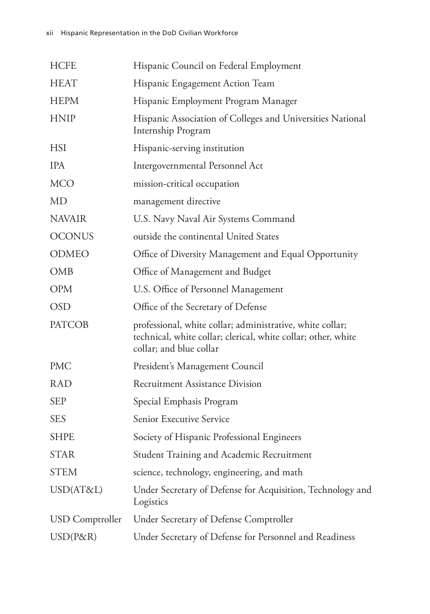| <b>HCFE</b>     | Hispanic Council on Federal Employment                                                                                                                |
|-----------------|-------------------------------------------------------------------------------------------------------------------------------------------------------|
| <b>HEAT</b>     | Hispanic Engagement Action Team                                                                                                                       |
| <b>HEPM</b>     | Hispanic Employment Program Manager                                                                                                                   |
| <b>HNIP</b>     | Hispanic Association of Colleges and Universities National<br>Internship Program                                                                      |
| <b>HSI</b>      | Hispanic-serving institution                                                                                                                          |
| <b>IPA</b>      | Intergovernmental Personnel Act                                                                                                                       |
| <b>MCO</b>      | mission-critical occupation                                                                                                                           |
| <b>MD</b>       | management directive                                                                                                                                  |
| <b>NAVAIR</b>   | U.S. Navy Naval Air Systems Command                                                                                                                   |
| <b>OCONUS</b>   | outside the continental United States                                                                                                                 |
| <b>ODMEO</b>    | Office of Diversity Management and Equal Opportunity                                                                                                  |
| <b>OMB</b>      | Office of Management and Budget                                                                                                                       |
| <b>OPM</b>      | U.S. Office of Personnel Management                                                                                                                   |
| <b>OSD</b>      | Office of the Secretary of Defense                                                                                                                    |
| <b>PATCOB</b>   | professional, white collar; administrative, white collar;<br>technical, white collar; clerical, white collar; other, white<br>collar; and blue collar |
| <b>PMC</b>      | President's Management Council                                                                                                                        |
| <b>RAD</b>      | <b>Recruitment Assistance Division</b>                                                                                                                |
| <b>SEP</b>      | Special Emphasis Program                                                                                                                              |
| <b>SES</b>      | Senior Executive Service                                                                                                                              |
| <b>SHPE</b>     | Society of Hispanic Professional Engineers                                                                                                            |
| <b>STAR</b>     | Student Training and Academic Recruitment                                                                                                             |
| <b>STEM</b>     | science, technology, engineering, and math                                                                                                            |
| USD(AT&L)       | Under Secretary of Defense for Acquisition, Technology and<br>Logistics                                                                               |
| USD Comptroller | Under Secretary of Defense Comptroller                                                                                                                |
| $USD(P\&R)$     | Under Secretary of Defense for Personnel and Readiness                                                                                                |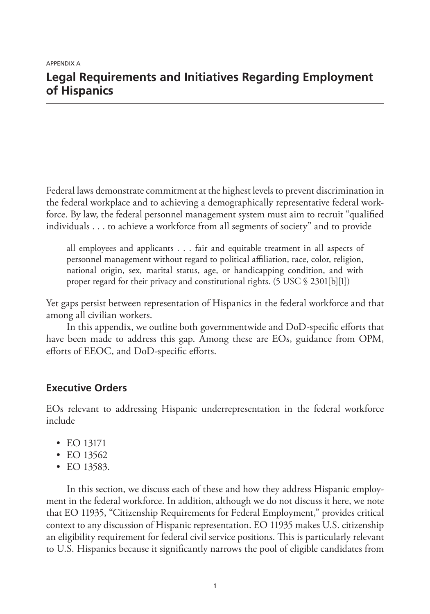### **Legal Requirements and Initiatives Regarding Employment of Hispanics**

Federal laws demonstrate commitment at the highest levels to prevent discrimination in the federal workplace and to achieving a demographically representative federal workforce. By law, the federal personnel management system must aim to recruit "qualified individuals . . . to achieve a workforce from all segments of society" and to provide

all employees and applicants . . . fair and equitable treatment in all aspects of personnel management without regard to political affiliation, race, color, religion, national origin, sex, marital status, age, or handicapping condition, and with proper regard for their privacy and constitutional rights. (5 USC § 2301[b][1])

Yet gaps persist between representation of Hispanics in the federal workforce and that among all civilian workers.

In this appendix, we outline both governmentwide and DoD-specific efforts that have been made to address this gap. Among these are EOs, guidance from OPM, efforts of EEOC, and DoD-specific efforts.

### **Executive Orders**

EOs relevant to addressing Hispanic underrepresentation in the federal workforce include

- EO 13171
- EO 13562
- EO 13583.

In this section, we discuss each of these and how they address Hispanic employment in the federal workforce. In addition, although we do not discuss it here, we note that EO 11935, "Citizenship Requirements for Federal Employment," provides critical context to any discussion of Hispanic representation. EO 11935 makes U.S. citizenship an eligibility requirement for federal civil service positions. This is particularly relevant to U.S. Hispanics because it significantly narrows the pool of eligible candidates from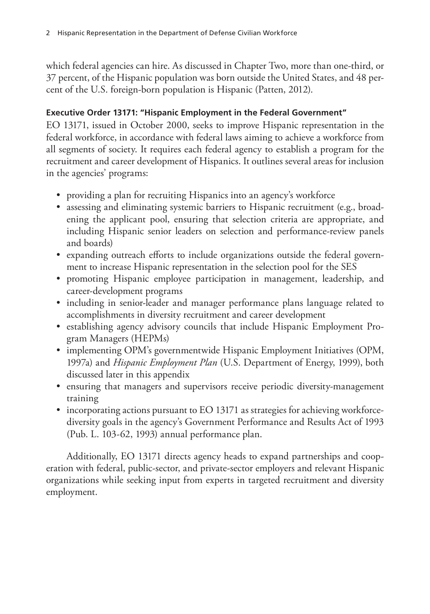which federal agencies can hire. As discussed in Chapter Two, more than one-third, or 37 percent, of the Hispanic population was born outside the United States, and 48 percent of the U.S. foreign-born population is Hispanic (Patten, 2012).

### **Executive Order 13171: "Hispanic Employment in the Federal Government"**

EO 13171, issued in October 2000, seeks to improve Hispanic representation in the federal workforce, in accordance with federal laws aiming to achieve a workforce from all segments of society. It requires each federal agency to establish a program for the recruitment and career development of Hispanics. It outlines several areas for inclusion in the agencies' programs:

- providing a plan for recruiting Hispanics into an agency's workforce
- assessing and eliminating systemic barriers to Hispanic recruitment (e.g., broadening the applicant pool, ensuring that selection criteria are appropriate, and including Hispanic senior leaders on selection and performance-review panels and boards)
- expanding outreach efforts to include organizations outside the federal government to increase Hispanic representation in the selection pool for the SES
- promoting Hispanic employee participation in management, leadership, and career-development programs
- including in senior-leader and manager performance plans language related to accomplishments in diversity recruitment and career development
- establishing agency advisory councils that include Hispanic Employment Program Managers (HEPMs)
- implementing OPM's governmentwide Hispanic Employment Initiatives (OPM, 1997a) and *Hispanic Employment Plan* (U.S. Department of Energy, 1999), both discussed later in this appendix
- ensuring that managers and supervisors receive periodic diversity-management training
- incorporating actions pursuant to EO 13171 as strategies for achieving workforcediversity goals in the agency's Government Performance and Results Act of 1993 (Pub. L. 103-62, 1993) annual performance plan.

Additionally, EO 13171 directs agency heads to expand partnerships and cooperation with federal, public-sector, and private-sector employers and relevant Hispanic organizations while seeking input from experts in targeted recruitment and diversity employment.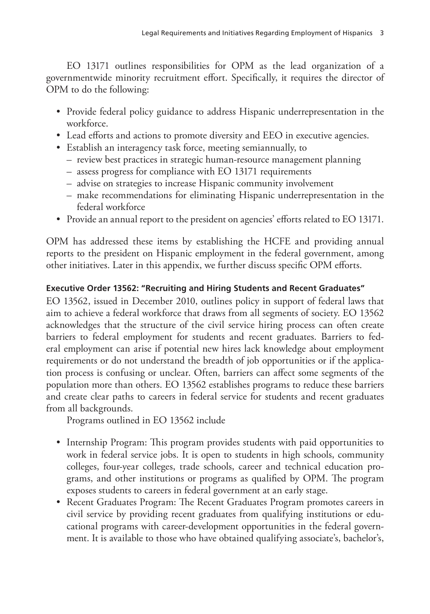EO 13171 outlines responsibilities for OPM as the lead organization of a governmentwide minority recruitment effort. Specifically, it requires the director of OPM to do the following:

- Provide federal policy guidance to address Hispanic underrepresentation in the workforce.
- Lead efforts and actions to promote diversity and EEO in executive agencies.
- Establish an interagency task force, meeting semiannually, to
	- review best practices in strategic human-resource management planning
	- assess progress for compliance with EO 13171 requirements
	- advise on strategies to increase Hispanic community involvement
	- make recommendations for eliminating Hispanic underrepresentation in the federal workforce
- Provide an annual report to the president on agencies' efforts related to EO 13171.

OPM has addressed these items by establishing the HCFE and providing annual reports to the president on Hispanic employment in the federal government, among other initiatives. Later in this appendix, we further discuss specific OPM efforts.

### **Executive Order 13562: "Recruiting and Hiring Students and Recent Graduates"**

EO 13562, issued in December 2010, outlines policy in support of federal laws that aim to achieve a federal workforce that draws from all segments of society. EO 13562 acknowledges that the structure of the civil service hiring process can often create barriers to federal employment for students and recent graduates. Barriers to federal employment can arise if potential new hires lack knowledge about employment requirements or do not understand the breadth of job opportunities or if the application process is confusing or unclear. Often, barriers can affect some segments of the population more than others. EO 13562 establishes programs to reduce these barriers and create clear paths to careers in federal service for students and recent graduates from all backgrounds.

Programs outlined in EO 13562 include

- Internship Program: This program provides students with paid opportunities to work in federal service jobs. It is open to students in high schools, community colleges, four-year colleges, trade schools, career and technical education programs, and other institutions or programs as qualified by OPM. The program exposes students to careers in federal government at an early stage.
- Recent Graduates Program: The Recent Graduates Program promotes careers in civil service by providing recent graduates from qualifying institutions or educational programs with career-development opportunities in the federal government. It is available to those who have obtained qualifying associate's, bachelor's,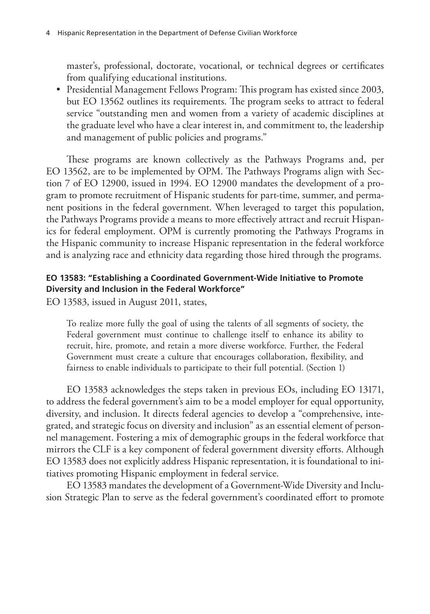master's, professional, doctorate, vocational, or technical degrees or certificates from qualifying educational institutions.

• Presidential Management Fellows Program: This program has existed since 2003, but EO 13562 outlines its requirements. The program seeks to attract to federal service "outstanding men and women from a variety of academic disciplines at the graduate level who have a clear interest in, and commitment to, the leadership and management of public policies and programs."

These programs are known collectively as the Pathways Programs and, per EO 13562, are to be implemented by OPM. The Pathways Programs align with Section 7 of EO 12900, issued in 1994. EO 12900 mandates the development of a program to promote recruitment of Hispanic students for part-time, summer, and permanent positions in the federal government. When leveraged to target this population, the Pathways Programs provide a means to more effectively attract and recruit Hispanics for federal employment. OPM is currently promoting the Pathways Programs in the Hispanic community to increase Hispanic representation in the federal workforce and is analyzing race and ethnicity data regarding those hired through the programs.

### **EO 13583: "Establishing a Coordinated Government-Wide Initiative to Promote Diversity and Inclusion in the Federal Workforce"**

EO 13583, issued in August 2011, states,

To realize more fully the goal of using the talents of all segments of society, the Federal government must continue to challenge itself to enhance its ability to recruit, hire, promote, and retain a more diverse workforce. Further, the Federal Government must create a culture that encourages collaboration, flexibility, and fairness to enable individuals to participate to their full potential. (Section 1)

EO 13583 acknowledges the steps taken in previous EOs, including EO 13171, to address the federal government's aim to be a model employer for equal opportunity, diversity, and inclusion. It directs federal agencies to develop a "comprehensive, integrated, and strategic focus on diversity and inclusion" as an essential element of personnel management. Fostering a mix of demographic groups in the federal workforce that mirrors the CLF is a key component of federal government diversity efforts. Although EO 13583 does not explicitly address Hispanic representation, it is foundational to initiatives promoting Hispanic employment in federal service.

EO 13583 mandates the development of a Government-Wide Diversity and Inclusion Strategic Plan to serve as the federal government's coordinated effort to promote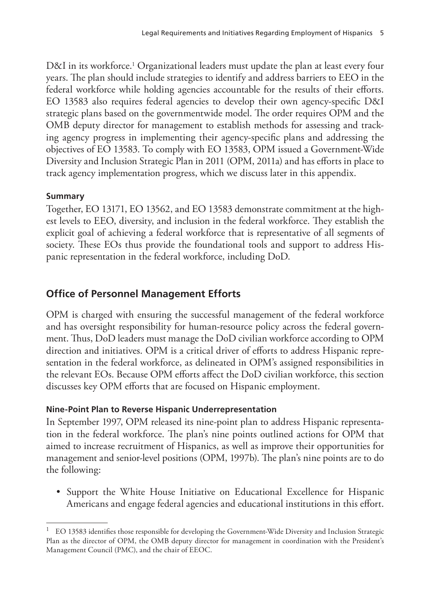D&I in its workforce.<sup>1</sup> Organizational leaders must update the plan at least every four years. The plan should include strategies to identify and address barriers to EEO in the federal workforce while holding agencies accountable for the results of their efforts. EO 13583 also requires federal agencies to develop their own agency-specific D&I strategic plans based on the governmentwide model. The order requires OPM and the OMB deputy director for management to establish methods for assessing and tracking agency progress in implementing their agency-specific plans and addressing the objectives of EO 13583. To comply with EO 13583, OPM issued a Government-Wide Diversity and Inclusion Strategic Plan in 2011 (OPM, 2011a) and has efforts in place to track agency implementation progress, which we discuss later in this appendix.

### **Summary**

Together, EO 13171, EO 13562, and EO 13583 demonstrate commitment at the highest levels to EEO, diversity, and inclusion in the federal workforce. They establish the explicit goal of achieving a federal workforce that is representative of all segments of society. These EOs thus provide the foundational tools and support to address Hispanic representation in the federal workforce, including DoD.

### **Office of Personnel Management Efforts**

OPM is charged with ensuring the successful management of the federal workforce and has oversight responsibility for human-resource policy across the federal government. Thus, DoD leaders must manage the DoD civilian workforce according to OPM direction and initiatives. OPM is a critical driver of efforts to address Hispanic representation in the federal workforce, as delineated in OPM's assigned responsibilities in the relevant EOs. Because OPM efforts affect the DoD civilian workforce, this section discusses key OPM efforts that are focused on Hispanic employment.

### **Nine-Point Plan to Reverse Hispanic Underrepresentation**

In September 1997, OPM released its nine-point plan to address Hispanic representation in the federal workforce. The plan's nine points outlined actions for OPM that aimed to increase recruitment of Hispanics, as well as improve their opportunities for management and senior-level positions (OPM, 1997b). The plan's nine points are to do the following:

• Support the White House Initiative on Educational Excellence for Hispanic Americans and engage federal agencies and educational institutions in this effort.

 $1$  EO 13583 identifies those responsible for developing the Government-Wide Diversity and Inclusion Strategic Plan as the director of OPM, the OMB deputy director for management in coordination with the President's Management Council (PMC), and the chair of EEOC.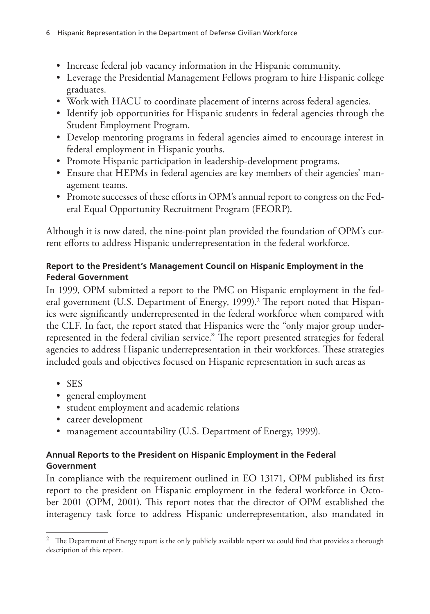- Increase federal job vacancy information in the Hispanic community.
- Leverage the Presidential Management Fellows program to hire Hispanic college graduates.
- Work with HACU to coordinate placement of interns across federal agencies.
- Identify job opportunities for Hispanic students in federal agencies through the Student Employment Program.
- Develop mentoring programs in federal agencies aimed to encourage interest in federal employment in Hispanic youths.
- Promote Hispanic participation in leadership-development programs.
- Ensure that HEPMs in federal agencies are key members of their agencies' management teams.
- Promote successes of these efforts in OPM's annual report to congress on the Federal Equal Opportunity Recruitment Program (FEORP).

Although it is now dated, the nine-point plan provided the foundation of OPM's current efforts to address Hispanic underrepresentation in the federal workforce.

### **Report to the President's Management Council on Hispanic Employment in the Federal Government**

In 1999, OPM submitted a report to the PMC on Hispanic employment in the federal government (U.S. Department of Energy, 1999).<sup>2</sup> The report noted that Hispanics were significantly underrepresented in the federal workforce when compared with the CLF. In fact, the report stated that Hispanics were the "only major group underrepresented in the federal civilian service." The report presented strategies for federal agencies to address Hispanic underrepresentation in their workforces. These strategies included goals and objectives focused on Hispanic representation in such areas as

- SES
- general employment
- student employment and academic relations
- career development
- management accountability (U.S. Department of Energy, 1999).

### **Annual Reports to the President on Hispanic Employment in the Federal Government**

In compliance with the requirement outlined in EO 13171, OPM published its first report to the president on Hispanic employment in the federal workforce in October 2001 (OPM, 2001). This report notes that the director of OPM established the interagency task force to address Hispanic underrepresentation, also mandated in

<sup>&</sup>lt;sup>2</sup> The Department of Energy report is the only publicly available report we could find that provides a thorough description of this report.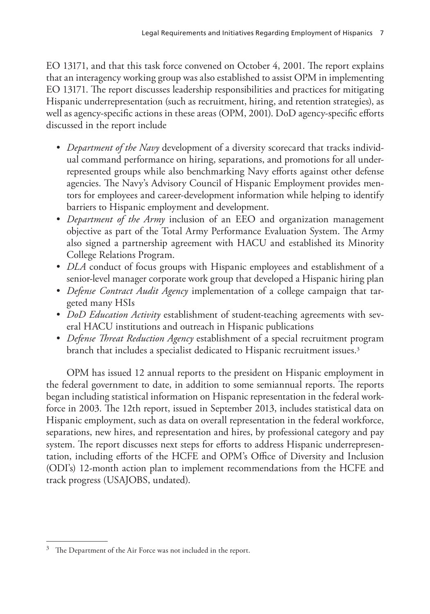EO 13171, and that this task force convened on October 4, 2001. The report explains that an interagency working group was also established to assist OPM in implementing EO 13171. The report discusses leadership responsibilities and practices for mitigating Hispanic underrepresentation (such as recruitment, hiring, and retention strategies), as well as agency-specific actions in these areas (OPM, 2001). DoD agency-specific efforts discussed in the report include

- *Department of the Navy* development of a diversity scorecard that tracks individual command performance on hiring, separations, and promotions for all underrepresented groups while also benchmarking Navy efforts against other defense agencies. The Navy's Advisory Council of Hispanic Employment provides mentors for employees and career-development information while helping to identify barriers to Hispanic employment and development.
- *Department of the Army* inclusion of an EEO and organization management objective as part of the Total Army Performance Evaluation System. The Army also signed a partnership agreement with HACU and established its Minority College Relations Program.
- *DLA* conduct of focus groups with Hispanic employees and establishment of a senior-level manager corporate work group that developed a Hispanic hiring plan
- *Defense Contract Audit Agency* implementation of a college campaign that targeted many HSIs
- *DoD Education Activity* establishment of student-teaching agreements with several HACU institutions and outreach in Hispanic publications
- *Defense Threat Reduction Agency* establishment of a special recruitment program branch that includes a specialist dedicated to Hispanic recruitment issues.<sup>3</sup>

OPM has issued 12 annual reports to the president on Hispanic employment in the federal government to date, in addition to some semiannual reports. The reports began including statistical information on Hispanic representation in the federal workforce in 2003. The 12th report, issued in September 2013, includes statistical data on Hispanic employment, such as data on overall representation in the federal workforce, separations, new hires, and representation and hires, by professional category and pay system. The report discusses next steps for efforts to address Hispanic underrepresentation, including efforts of the HCFE and OPM's Office of Diversity and Inclusion (ODI's) 12-month action plan to implement recommendations from the HCFE and track progress (USAJOBS, undated).

 $3$  The Department of the Air Force was not included in the report.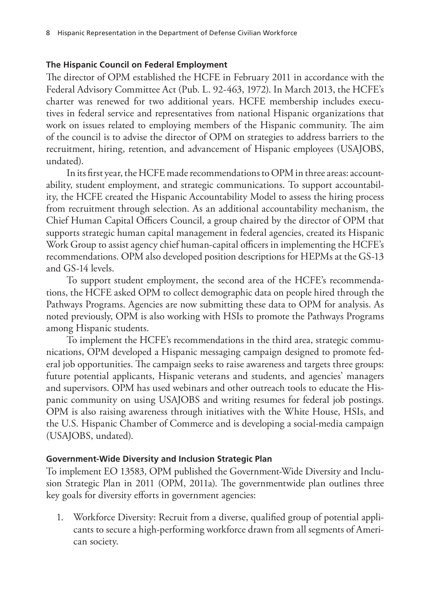### **The Hispanic Council on Federal Employment**

The director of OPM established the HCFE in February 2011 in accordance with the Federal Advisory Committee Act (Pub. L. 92-463, 1972). In March 2013, the HCFE's charter was renewed for two additional years. HCFE membership includes executives in federal service and representatives from national Hispanic organizations that work on issues related to employing members of the Hispanic community. The aim of the council is to advise the director of OPM on strategies to address barriers to the recruitment, hiring, retention, and advancement of Hispanic employees (USAJOBS, undated).

In its first year, the HCFE made recommendations to OPM in three areas: accountability, student employment, and strategic communications. To support accountability, the HCFE created the Hispanic Accountability Model to assess the hiring process from recruitment through selection. As an additional accountability mechanism, the Chief Human Capital Officers Council, a group chaired by the director of OPM that supports strategic human capital management in federal agencies, created its Hispanic Work Group to assist agency chief human-capital officers in implementing the HCFE's recommendations. OPM also developed position descriptions for HEPMs at the GS-13 and GS-14 levels.

To support student employment, the second area of the HCFE's recommendations, the HCFE asked OPM to collect demographic data on people hired through the Pathways Programs. Agencies are now submitting these data to OPM for analysis. As noted previously, OPM is also working with HSIs to promote the Pathways Programs among Hispanic students.

To implement the HCFE's recommendations in the third area, strategic communications, OPM developed a Hispanic messaging campaign designed to promote federal job opportunities. The campaign seeks to raise awareness and targets three groups: future potential applicants, Hispanic veterans and students, and agencies' managers and supervisors. OPM has used webinars and other outreach tools to educate the Hispanic community on using USAJOBS and writing resumes for federal job postings. OPM is also raising awareness through initiatives with the White House, HSIs, and the U.S. Hispanic Chamber of Commerce and is developing a social-media campaign (USAJOBS, undated).

### **Government-Wide Diversity and Inclusion Strategic Plan**

To implement EO 13583, OPM published the Government-Wide Diversity and Inclusion Strategic Plan in 2011 (OPM, 2011a). The governmentwide plan outlines three key goals for diversity efforts in government agencies:

1. Workforce Diversity: Recruit from a diverse, qualified group of potential applicants to secure a high-performing workforce drawn from all segments of American society.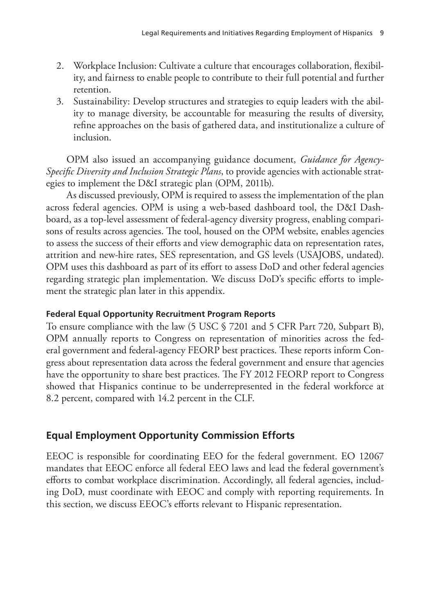- 2. Workplace Inclusion: Cultivate a culture that encourages collaboration, flexibility, and fairness to enable people to contribute to their full potential and further retention.
- 3. Sustainability: Develop structures and strategies to equip leaders with the ability to manage diversity, be accountable for measuring the results of diversity, refine approaches on the basis of gathered data, and institutionalize a culture of inclusion.

OPM also issued an accompanying guidance document, *Guidance for Agency-Specific Diversity and Inclusion Strategic Plans*, to provide agencies with actionable strategies to implement the D&I strategic plan (OPM, 2011b).

As discussed previously, OPM is required to assess the implementation of the plan across federal agencies. OPM is using a web-based dashboard tool, the D&I Dashboard, as a top-level assessment of federal-agency diversity progress, enabling comparisons of results across agencies. The tool, housed on the OPM website, enables agencies to assess the success of their efforts and view demographic data on representation rates, attrition and new-hire rates, SES representation, and GS levels (USAJOBS, undated). OPM uses this dashboard as part of its effort to assess DoD and other federal agencies regarding strategic plan implementation. We discuss DoD's specific efforts to implement the strategic plan later in this appendix.

### **Federal Equal Opportunity Recruitment Program Reports**

To ensure compliance with the law (5 USC § 7201 and 5 CFR Part 720, Subpart B), OPM annually reports to Congress on representation of minorities across the federal government and federal-agency FEORP best practices. These reports inform Congress about representation data across the federal government and ensure that agencies have the opportunity to share best practices. The FY 2012 FEORP report to Congress showed that Hispanics continue to be underrepresented in the federal workforce at 8.2 percent, compared with 14.2 percent in the CLF.

### **Equal Employment Opportunity Commission Efforts**

EEOC is responsible for coordinating EEO for the federal government. EO 12067 mandates that EEOC enforce all federal EEO laws and lead the federal government's efforts to combat workplace discrimination. Accordingly, all federal agencies, including DoD, must coordinate with EEOC and comply with reporting requirements. In this section, we discuss EEOC's efforts relevant to Hispanic representation.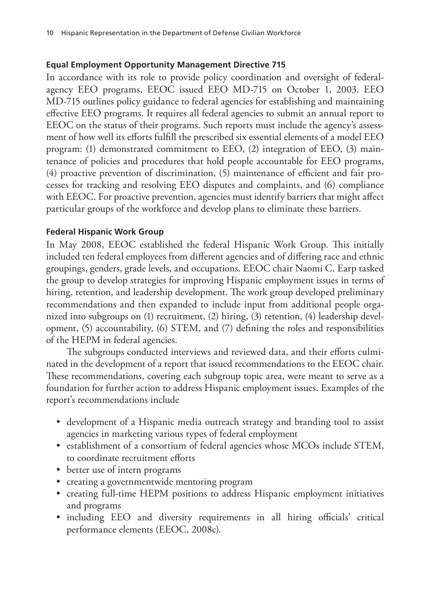### **Equal Employment Opportunity Management Directive 715**

In accordance with its role to provide policy coordination and oversight of federalagency EEO programs, EEOC issued EEO MD-715 on October 1, 2003. EEO MD-715 outlines policy guidance to federal agencies for establishing and maintaining effective EEO programs. It requires all federal agencies to submit an annual report to EEOC on the status of their programs. Such reports must include the agency's assessment of how well its efforts fulfill the prescribed six essential elements of a model EEO program: (1) demonstrated commitment to EEO, (2) integration of EEO, (3) maintenance of policies and procedures that hold people accountable for EEO programs, (4) proactive prevention of discrimination, (5) maintenance of efficient and fair processes for tracking and resolving EEO disputes and complaints, and (6) compliance with EEOC. For proactive prevention, agencies must identify barriers that might affect particular groups of the workforce and develop plans to eliminate these barriers.

### **Federal Hispanic Work Group**

In May 2008, EEOC established the federal Hispanic Work Group. This initially included ten federal employees from different agencies and of differing race and ethnic groupings, genders, grade levels, and occupations. EEOC chair Naomi C. Earp tasked the group to develop strategies for improving Hispanic employment issues in terms of hiring, retention, and leadership development. The work group developed preliminary recommendations and then expanded to include input from additional people organized into subgroups on (1) recruitment, (2) hiring, (3) retention, (4) leadership development, (5) accountability, (6) STEM, and (7) defining the roles and responsibilities of the HEPM in federal agencies.

The subgroups conducted interviews and reviewed data, and their efforts culminated in the development of a report that issued recommendations to the EEOC chair. These recommendations, covering each subgroup topic area, were meant to serve as a foundation for further action to address Hispanic employment issues. Examples of the report's recommendations include

- development of a Hispanic media outreach strategy and branding tool to assist agencies in marketing various types of federal employment
- establishment of a consortium of federal agencies whose MCOs include STEM, to coordinate recruitment efforts
- better use of intern programs
- creating a governmentwide mentoring program
- creating full-time HEPM positions to address Hispanic employment initiatives and programs
- including EEO and diversity requirements in all hiring officials' critical performance elements (EEOC, 2008c).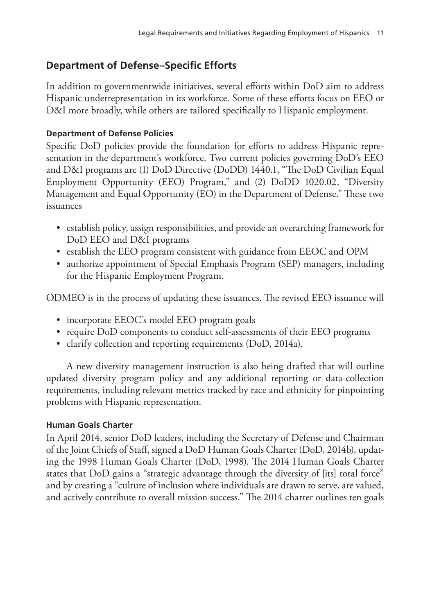### **Department of Defense–Specific Efforts**

In addition to governmentwide initiatives, several efforts within DoD aim to address Hispanic underrepresentation in its workforce. Some of these efforts focus on EEO or D&I more broadly, while others are tailored specifically to Hispanic employment.

### **Department of Defense Policies**

Specific DoD policies provide the foundation for efforts to address Hispanic representation in the department's workforce. Two current policies governing DoD's EEO and D&I programs are (1) DoD Directive (DoDD) 1440.1, "The DoD Civilian Equal Employment Opportunity (EEO) Program," and (2) DoDD 1020.02, "Diversity Management and Equal Opportunity (EO) in the Department of Defense." These two issuances

- establish policy, assign responsibilities, and provide an overarching framework for DoD EEO and D&I programs
- establish the EEO program consistent with guidance from EEOC and OPM
- authorize appointment of Special Emphasis Program (SEP) managers, including for the Hispanic Employment Program.

ODMEO is in the process of updating these issuances. The revised EEO issuance will

- incorporate EEOC's model EEO program goals
- require DoD components to conduct self-assessments of their EEO programs
- clarify collection and reporting requirements (DoD, 2014a).

A new diversity management instruction is also being drafted that will outline updated diversity program policy and any additional reporting or data-collection requirements, including relevant metrics tracked by race and ethnicity for pinpointing problems with Hispanic representation.

### **Human Goals Charter**

In April 2014, senior DoD leaders, including the Secretary of Defense and Chairman of the Joint Chiefs of Staff, signed a DoD Human Goals Charter (DoD, 2014b), updating the 1998 Human Goals Charter (DoD, 1998). The 2014 Human Goals Charter states that DoD gains a "strategic advantage through the diversity of [its] total force" and by creating a "culture of inclusion where individuals are drawn to serve, are valued, and actively contribute to overall mission success." The 2014 charter outlines ten goals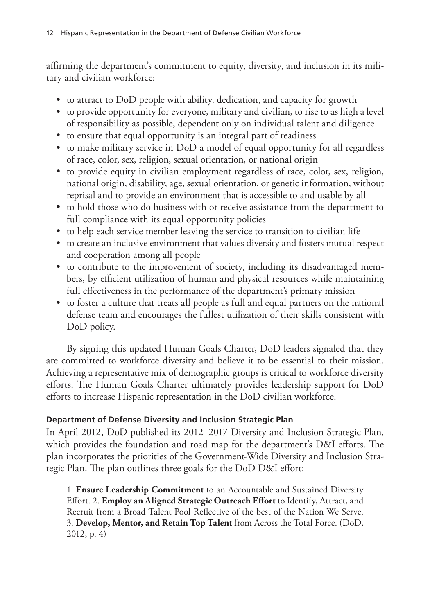affirming the department's commitment to equity, diversity, and inclusion in its military and civilian workforce:

- to attract to DoD people with ability, dedication, and capacity for growth
- to provide opportunity for everyone, military and civilian, to rise to as high a level of responsibility as possible, dependent only on individual talent and diligence
- to ensure that equal opportunity is an integral part of readiness
- to make military service in DoD a model of equal opportunity for all regardless of race, color, sex, religion, sexual orientation, or national origin
- to provide equity in civilian employment regardless of race, color, sex, religion, national origin, disability, age, sexual orientation, or genetic information, without reprisal and to provide an environment that is accessible to and usable by all
- to hold those who do business with or receive assistance from the department to full compliance with its equal opportunity policies
- to help each service member leaving the service to transition to civilian life
- to create an inclusive environment that values diversity and fosters mutual respect and cooperation among all people
- to contribute to the improvement of society, including its disadvantaged members, by efficient utilization of human and physical resources while maintaining full effectiveness in the performance of the department's primary mission
- to foster a culture that treats all people as full and equal partners on the national defense team and encourages the fullest utilization of their skills consistent with DoD policy.

By signing this updated Human Goals Charter, DoD leaders signaled that they are committed to workforce diversity and believe it to be essential to their mission. Achieving a representative mix of demographic groups is critical to workforce diversity efforts. The Human Goals Charter ultimately provides leadership support for DoD efforts to increase Hispanic representation in the DoD civilian workforce.

### **Department of Defense Diversity and Inclusion Strategic Plan**

In April 2012, DoD published its 2012–2017 Diversity and Inclusion Strategic Plan, which provides the foundation and road map for the department's D&I efforts. The plan incorporates the priorities of the Government-Wide Diversity and Inclusion Strategic Plan. The plan outlines three goals for the DoD D&I effort:

1. **Ensure Leadership Commitment** to an Accountable and Sustained Diversity Effort. 2. **Employ an Aligned Strategic Outreach Effort** to Identify, Attract, and Recruit from a Broad Talent Pool Reflective of the best of the Nation We Serve. 3. **Develop, Mentor, and Retain Top Talent** from Across the Total Force. (DoD, 2012, p. 4)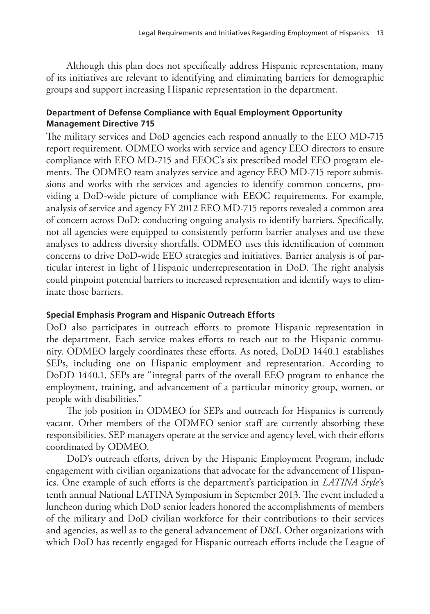Although this plan does not specifically address Hispanic representation, many of its initiatives are relevant to identifying and eliminating barriers for demographic groups and support increasing Hispanic representation in the department.

### **Department of Defense Compliance with Equal Employment Opportunity Management Directive 715**

The military services and DoD agencies each respond annually to the EEO MD-715 report requirement. ODMEO works with service and agency EEO directors to ensure compliance with EEO MD-715 and EEOC's six prescribed model EEO program elements. The ODMEO team analyzes service and agency EEO MD-715 report submissions and works with the services and agencies to identify common concerns, providing a DoD-wide picture of compliance with EEOC requirements. For example, analysis of service and agency FY 2012 EEO MD-715 reports revealed a common area of concern across DoD: conducting ongoing analysis to identify barriers. Specifically, not all agencies were equipped to consistently perform barrier analyses and use these analyses to address diversity shortfalls. ODMEO uses this identification of common concerns to drive DoD-wide EEO strategies and initiatives. Barrier analysis is of particular interest in light of Hispanic underrepresentation in DoD. The right analysis could pinpoint potential barriers to increased representation and identify ways to eliminate those barriers.

### **Special Emphasis Program and Hispanic Outreach Efforts**

DoD also participates in outreach efforts to promote Hispanic representation in the department. Each service makes efforts to reach out to the Hispanic community. ODMEO largely coordinates these efforts. As noted, DoDD 1440.1 establishes SEPs, including one on Hispanic employment and representation. According to DoDD 1440.1, SEPs are "integral parts of the overall EEO program to enhance the employment, training, and advancement of a particular minority group, women, or people with disabilities."

The job position in ODMEO for SEPs and outreach for Hispanics is currently vacant. Other members of the ODMEO senior staff are currently absorbing these responsibilities. SEP managers operate at the service and agency level, with their efforts coordinated by ODMEO.

DoD's outreach efforts, driven by the Hispanic Employment Program, include engagement with civilian organizations that advocate for the advancement of Hispanics. One example of such efforts is the department's participation in *LATINA Style*'s tenth annual National LATINA Symposium in September 2013. The event included a luncheon during which DoD senior leaders honored the accomplishments of members of the military and DoD civilian workforce for their contributions to their services and agencies, as well as to the general advancement of D&I. Other organizations with which DoD has recently engaged for Hispanic outreach efforts include the League of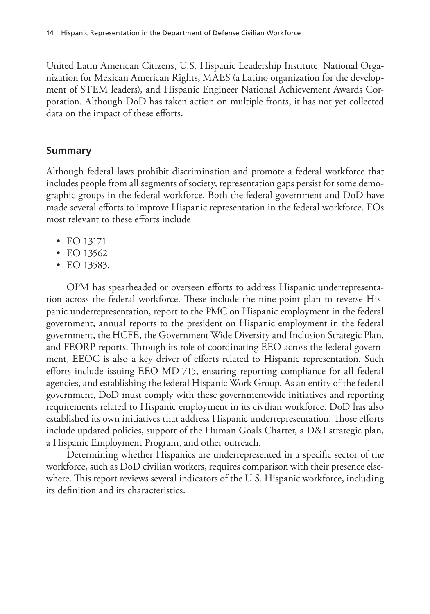United Latin American Citizens, U.S. Hispanic Leadership Institute, National Organization for Mexican American Rights, MAES (a Latino organization for the development of STEM leaders), and Hispanic Engineer National Achievement Awards Corporation. Although DoD has taken action on multiple fronts, it has not yet collected data on the impact of these efforts.

### **Summary**

Although federal laws prohibit discrimination and promote a federal workforce that includes people from all segments of society, representation gaps persist for some demographic groups in the federal workforce. Both the federal government and DoD have made several efforts to improve Hispanic representation in the federal workforce. EOs most relevant to these efforts include

- EO 13171
- EO 13562
- EO 13583.

OPM has spearheaded or overseen efforts to address Hispanic underrepresentation across the federal workforce. These include the nine-point plan to reverse Hispanic underrepresentation, report to the PMC on Hispanic employment in the federal government, annual reports to the president on Hispanic employment in the federal government, the HCFE, the Government-Wide Diversity and Inclusion Strategic Plan, and FEORP reports. Through its role of coordinating EEO across the federal government, EEOC is also a key driver of efforts related to Hispanic representation. Such efforts include issuing EEO MD-715, ensuring reporting compliance for all federal agencies, and establishing the federal Hispanic Work Group. As an entity of the federal government, DoD must comply with these governmentwide initiatives and reporting requirements related to Hispanic employment in its civilian workforce. DoD has also established its own initiatives that address Hispanic underrepresentation. Those efforts include updated policies, support of the Human Goals Charter, a D&I strategic plan, a Hispanic Employment Program, and other outreach.

Determining whether Hispanics are underrepresented in a specific sector of the workforce, such as DoD civilian workers, requires comparison with their presence elsewhere. This report reviews several indicators of the U.S. Hispanic workforce, including its definition and its characteristics.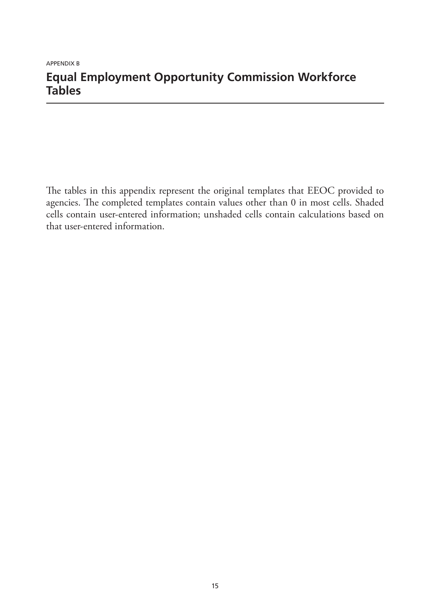### APPENDIX B **Equal Employment Opportunity Commission Workforce Tables**

The tables in this appendix represent the original templates that EEOC provided to agencies. The completed templates contain values other than 0 in most cells. Shaded cells contain user-entered information; unshaded cells contain calculations based on that user-entered information.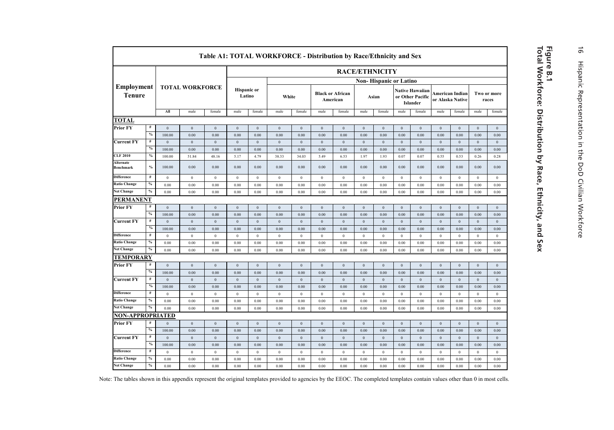|                                    |               |                  |                        |                  |                  |                              | Table A1: TOTAL WORKFORCE - Distribution by Race/Ethnicity and Sex |                  |                  |                                     |                       |                        |                  |                                                        |                |                                     |                  |                      |
|------------------------------------|---------------|------------------|------------------------|------------------|------------------|------------------------------|--------------------------------------------------------------------|------------------|------------------|-------------------------------------|-----------------------|------------------------|------------------|--------------------------------------------------------|----------------|-------------------------------------|------------------|----------------------|
|                                    |               |                  |                        |                  |                  |                              |                                                                    |                  |                  |                                     | <b>RACE/ETHNICITY</b> |                        |                  |                                                        |                |                                     |                  |                      |
|                                    |               |                  |                        |                  |                  |                              |                                                                    |                  |                  |                                     |                       | Non-Hispanic or Latino |                  |                                                        |                |                                     |                  |                      |
| <b>Employment</b><br><b>Tenure</b> |               |                  | <b>TOTAL WORKFORCE</b> |                  |                  | <b>Hispanic</b> or<br>Latino |                                                                    | White            |                  | <b>Black or African</b><br>American |                       | Asian                  |                  | <b>Native Hawaiian</b><br>or Other Pacific<br>Islander |                | American Indian<br>or Alaska Native |                  | Two or more<br>races |
|                                    |               | All              | male                   | female           | male             | female                       | male                                                               | female           | male             | female                              | male                  | female                 | male             | female                                                 | male           | female                              | male             | female               |
| <b>TOTAL</b>                       |               |                  |                        |                  |                  |                              |                                                                    |                  |                  |                                     |                       |                        |                  |                                                        |                |                                     |                  |                      |
| <b>Prior FY</b>                    | $\#$          | $\mathbf{0}$     | $\theta$               | $\mathbf{0}$     | $\mathbf{0}$     | $\mathbf{0}$                 | $\mathbf{0}$                                                       | $\mathbf{0}$     | $\Omega$         | $\mathbf{0}$                        | $\mathbf{0}$          | $\mathbf{0}$           | $\mathbf{0}$     | $\overline{0}$                                         | $\mathbf{0}$   | $\mathbf{0}$                        | $\mathbf{0}$     | $\mathbf{0}$         |
|                                    | $\frac{0}{2}$ | 100.00           | 0.00                   | 0.00             | 0.00             | 0.00                         | 0.00                                                               | 0.00             | 0.00             | 0.00                                | 0.00                  | 0.00                   | 0.00             | 0.00                                                   | 0.00           | 0.00                                | 0.00             | 0.00                 |
| <b>Current FY</b>                  | $\#$          | $\boldsymbol{0}$ | $\boldsymbol{0}$       | $\bf{0}$         | $\mathbf{0}$     | $\,0\,$                      | $\boldsymbol{0}$                                                   | $\boldsymbol{0}$ | $\mathbf{0}$     | $\boldsymbol{0}$                    | $\boldsymbol{0}$      | $\mathbf{0}$           | $\boldsymbol{0}$ | $\boldsymbol{0}$                                       | $\,$ 0 $\,$    | $\boldsymbol{0}$                    | $\boldsymbol{0}$ | $\boldsymbol{0}$     |
|                                    | $\%$          | 100.00           | 0.00                   | 0.00             | 0.00             | 0.00                         | 0.00                                                               | 0.00             | 0.00             | 0.00                                | 0.00                  | 0.00                   | 0.00             | 0.00                                                   | 0.00           | 0.00                                | 0.00             | 0.00                 |
| <b>CLF 2010</b>                    | $\%$          | 100.00           | 51.84                  | 48.16            | 5.17             | 4.79                         | 38.33                                                              | 34.03            | 5.49             | 6.53                                | 1.97                  | 1.93                   | 0.07             | 0.07                                                   | 0.55           | 0.53                                | 0.26             | 0.28                 |
| Alternate<br>Benchmark             | $\%$          | 100.00           | 0.00                   | 0.00             | 0.00             | 0.00                         | 0.00                                                               | 0.00             | 0.00             | 0.00                                | 0.00                  | 0.00                   | 0.00             | 0.00                                                   | 0.00           | 0.00                                | 0.00             | 0.00                 |
| <b>Difference</b>                  | $\#$          | $\mathbf{0}$     | $\mathbf{0}$           | $\bf{0}$         | $\mathbf{0}$     | $\,0\,$                      | $\,0\,$                                                            | $\,$ 0 $\,$      | $\theta$         | $\mathbf{0}$                        | $\,0\,$               | $\mathbf{0}$           | $\,$ 0 $\,$      | $\overline{0}$                                         | $\,0\,$        | $\,0\,$                             | $\,$ 0 $\,$      | $\bf{0}$             |
| <b>Ratio Change</b>                | $\%$          | 0.00             | 0.00                   | 0.00             | 0.00             | 0.00                         | 0.00                                                               | 0.00             | 0.00             | 0.00                                | 0.00                  | 0.00                   | 0.00             | 0.00                                                   | 0.00           | 0.00                                | 0.00             | 0.00                 |
| <b>Net Change</b>                  | $\%$          | 0.00             | 0.00                   | 0.00             | 0.00             | 0.00                         | 0.00                                                               | 0.00             | 0.00             | 0.00                                | 0.00                  | 0.00                   | 0.00             | 0.00                                                   | 0.00           | 0.00                                | 0.00             | $0.00\,$             |
| <b>PERMANENT</b>                   |               |                  |                        |                  |                  |                              |                                                                    |                  |                  |                                     |                       |                        |                  |                                                        |                |                                     |                  |                      |
| <b>Prior FY</b>                    | $\#$          | $\mathbf{0}$     | $\mathbf{0}$           | $\overline{0}$   | $\mathbf{0}$     | $\mathbf{0}$                 | $\overline{0}$                                                     | $\mathbf{0}$     | $\mathbf{0}$     | $\overline{0}$                      | $\mathbf{0}$          | $\mathbf{0}$           | $\mathbf{0}$     | $\mathbf{0}$                                           | $\,0\,$        | $\boldsymbol{0}$                    | $\boldsymbol{0}$ | $\boldsymbol{0}$     |
|                                    | $\%$          | 100.00           | 0.00                   | 0.00             | 0.00             | 0.00                         | 0.00                                                               | 0.00             | 0.00             | 0.00                                | 0.00                  | 0.00                   | 0.00             | 0.00                                                   | 0.00           | 0.00                                | 0.00             | 0.00                 |
| <b>Current FY</b>                  | #             | $\mathbf{0}$     | $\mathbf{0}$           | $\mathbf{0}$     | $\mathbf{0}$     | $\mathbf{0}$                 | $\mathbf{0}$                                                       | $\mathbf{0}$     | $\mathbf{0}$     | $\mathbf{0}$                        | $\mathbf{0}$          | $\mathbf{0}$           | $\mathbf{0}$     | $\overline{0}$                                         | $\overline{0}$ | $\mathbf{0}$                        | $\mathbf{0}$     | $\mathbf{0}$         |
|                                    | $\%$          | 100.00           | 0.00                   | 0.00             | 0.00             | 0.00                         | 0.00                                                               | 0.00             | 0.00             | 0.00                                | 0.00                  | 0.00                   | 0.00             | 0.00                                                   | 0.00           | 0.00                                | $0.00\,$         | 0.00                 |
| <b>Difference</b>                  | #             | $\bf{0}$         | $\mathbf{0}$           | $\overline{0}$   | $\,0\,$          | $\,0\,$                      | $\boldsymbol{0}$                                                   | $\mathbf{0}$     | $\overline{0}$   | $\bf{0}$                            | $\bf{0}$              | $\mathbf{0}$           | $\bf{0}$         | $\mathbf{0}$                                           | $\bf{0}$       | $\overline{0}$                      | $\boldsymbol{0}$ | $\mathbf{0}$         |
| <b>Ratio Change</b>                | $\%$          | 0.00             | 0.00                   | 0.00             | 0.00             | 0.00                         | $0.00\,$                                                           | 0.00             | 0.00             | 0.00                                | $0.00\,$              | 0.00                   | $0.00\,$         | 0.00                                                   | 0.00           | 0.00                                | 0.00             | 0.00                 |
| <b>Net Change</b>                  | $\%$          | 0.00             | 0.00                   | 0.00             | 0.00             | 0.00                         | 0.00                                                               | 0.00             | 0.00             | 0.00                                | 0.00                  | $0.00\,$               | $0.00\,$         | 0.00                                                   | 0.00           | $0.00\,$                            | $0.00\,$         | 0.00                 |
| <b>TEMPORARY</b>                   |               |                  |                        |                  |                  |                              |                                                                    |                  |                  |                                     |                       |                        |                  |                                                        |                |                                     |                  |                      |
| <b>Prior FY</b>                    | $\#$          | $\boldsymbol{0}$ | $\boldsymbol{0}$       | $\boldsymbol{0}$ | $\boldsymbol{0}$ | $\,0\,$                      | $\boldsymbol{0}$                                                   | $\boldsymbol{0}$ | $\bf{0}$         | $\boldsymbol{0}$                    | $\boldsymbol{0}$      | $\boldsymbol{0}$       | $\boldsymbol{0}$ | $\boldsymbol{0}$                                       | $\,0\,$        | $\boldsymbol{0}$                    | $\boldsymbol{0}$ | $\boldsymbol{0}$     |
|                                    | $\%$          | 100.00           | 0.00                   | 0.00             | 0.00             | 0.00                         | 0.00                                                               | 0.00             | 0.00             | 0.00                                | 0.00                  | 0.00                   | 0.00             | 0.00                                                   | 0.00           | 0.00                                | 0.00             | 0.00                 |
| <b>Current FY</b>                  | #             | $\mathbf{0}$     | $\mathbf{0}$           | $\mathbf{0}$     | $\mathbf{0}$     | $\mathbf{0}$                 | $\mathbf{0}$                                                       | $\mathbf{0}$     | $\overline{0}$   | $\mathbf{0}$                        | $\mathbf{0}$          | $\mathbf{0}$           | $\mathbf{0}$     | $\mathbf{0}$                                           | $\overline{0}$ | $\mathbf{0}$                        | $\mathbf{0}$     | $\mathbf{0}$         |
|                                    | $\%$          | 100.00           | 0.00                   | 0.00             | 0.00             | 0.00                         | 0.00                                                               | 0.00             | 0.00             | 0.00                                | 0.00                  | 0.00                   | 0.00             | 0.00                                                   | 0.00           | 0.00                                | 0.00             | 0.00                 |
| <b>Difference</b>                  | $\#$          | $\mathbf{0}$     | $\mathbf{0}$           | $\bf 0$          | $\bf{0}$         | $\,0\,$                      | $\boldsymbol{0}$                                                   | $\boldsymbol{0}$ | $\boldsymbol{0}$ | $\theta$                            | $\,0\,$               | $\mathbf{0}$           | $\boldsymbol{0}$ | $\bf{0}$                                               | $\,$ 0 $\,$    | $\boldsymbol{0}$                    | $\boldsymbol{0}$ | $\,0\,$              |
| <b>Ratio Change</b>                | $\%$          | 0.00             | 0.00                   | 0.00             | 0.00             | 0.00                         | 0.00                                                               | 0.00             | 0.00             | 0.00                                | 0.00                  | 0.00                   | 0.00             | 0.00                                                   | 0.00           | 0.00                                | 0.00             | 0.00                 |
| <b>Net Change</b>                  | $\%$          | 0.00             | 0.00                   | 0.00             | 0.00             | 0.00                         | 0.00                                                               | 0.00             | 0.00             | 0.00                                | 0.00                  | 0.00                   | 0.00             | 0.00                                                   | 0.00           | 0.00                                | 0.00             | 0.00                 |
| <b>NON-APPROPRIATED</b>            |               |                  |                        |                  |                  |                              |                                                                    |                  |                  |                                     |                       |                        |                  |                                                        |                |                                     |                  |                      |
| <b>Prior FY</b>                    | #             | $\theta$         | $\mathbf{0}$           | $\overline{0}$   | $\mathbf{0}$     | $\mathbf{0}$                 | $\overline{0}$                                                     | $\mathbf{0}$     | $\mathbf{0}$     | $\mathbf{0}$                        | $\mathbf{0}$          | $\mathbf{0}$           | $\mathbf{0}$     | $\mathbf{0}$                                           | $\mathbf{0}$   | $\mathbf{0}$                        | $\mathbf{0}$     | $\mathbf{0}$         |
|                                    | $\%$          | 100.00           | 0.00                   | 0.00             | 0.00             | 0.00                         | 0.00                                                               | 0.00             | 0.00             | 0.00                                | 0.00                  | 0.00                   | 0.00             | 0.00                                                   | 0.00           | 0.00                                | 0.00             | 0.00                 |
| <b>Current FY</b>                  | #             | $\mathbf{0}$     | $\mathbf{0}$           | $\mathbf{0}$     | $\mathbf{0}$     | $\overline{0}$               | $\mathbf{0}$                                                       | $\mathbf{0}$     | $\overline{0}$   | $\mathbf{0}$                        | $\mathbf{0}$          | $\mathbf{0}$           | $\mathbf{0}$     | $\mathbf{0}$                                           | $\overline{0}$ | $\mathbf{0}$                        | $\mathbf{0}$     | $\mathbf{0}$         |
|                                    | $\frac{0}{2}$ | 100.00           | 0.00                   | 0.00             | 0.00             | 0.00                         | 0.00                                                               | 0.00             | 0.00             | 0.00                                | 0.00                  | 0.00                   | 0.00             | 0.00                                                   | 0.00           | 0.00                                | 0.00             | 0.00                 |
| <b>Difference</b>                  | #             | $\mathbf{0}$     | $\mathbf{0}$           | $\theta$         | $\theta$         | $\overline{0}$               | $\mathbf{0}$                                                       | $\theta$         | $\mathbf{0}$     | $\theta$                            | $\theta$              | $\mathbf{0}$           | $\theta$         | $\mathbf{0}$                                           | $\bf{0}$       | $\mathbf{0}$                        | $\theta$         | $\mathbf{0}$         |
| <b>Ratio Change</b>                | $\%$          | 0.00             | 0.00                   | 0.00             | 0.00             | 0.00                         | 0.00                                                               | 0.00             | 0.00             | 0.00                                | 0.00                  | 0.00                   | 0.00             | 0.00                                                   | 0.00           | 0.00                                | 0.00             | 0.00                 |
| <b>Net Change</b>                  | $\%$          | 0.00             | 0.00                   | 0.00             | 0.00             | 0.00                         | 0.00                                                               | 0.00             | 0.00             | 0.00                                | 0.00                  | 0.00                   | 0.00             | 0.00                                                   | 0.00           | 0.00                                | 0.00             | 0.00                 |

Note: The tables shown in this appendix represent the original templates provided to agencies by the EEOC. The completed templates contain values other than 0 in most cells.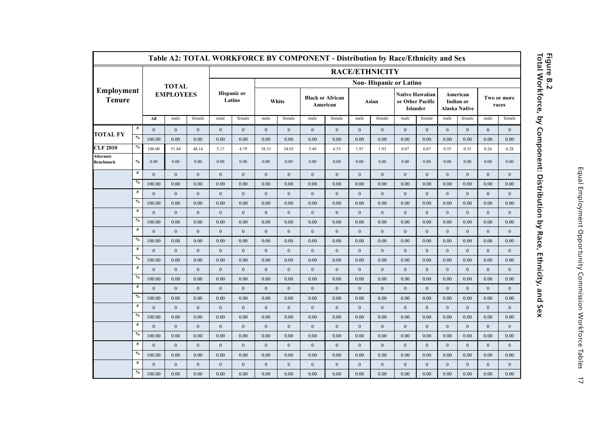|                                    |               |                  |                  |                  |                              |              |              |              | Table A2: TOTAL WORKFORCE BY COMPONENT - Distribution by Race/Ethnicity and Sex |                  |              |                               |                                                        |              |                                        |              |                  |                      |
|------------------------------------|---------------|------------------|------------------|------------------|------------------------------|--------------|--------------|--------------|---------------------------------------------------------------------------------|------------------|--------------|-------------------------------|--------------------------------------------------------|--------------|----------------------------------------|--------------|------------------|----------------------|
|                                    |               |                  |                  |                  |                              |              |              |              |                                                                                 |                  |              | <b>RACE/ETHNICITY</b>         |                                                        |              |                                        |              |                  |                      |
|                                    |               |                  | <b>TOTAL</b>     |                  |                              |              |              |              |                                                                                 |                  |              | <b>Non-Hispanic or Latino</b> |                                                        |              |                                        |              |                  |                      |
| <b>Employment</b><br><b>Tenure</b> |               |                  | <b>EMPLOYEES</b> |                  | <b>Hispanic or</b><br>Latino |              | White        |              | <b>Black or African</b><br>American                                             |                  |              | Asian                         | <b>Native Hawaiian</b><br>or Other Pacific<br>Islander |              | American<br>Indian or<br>Alaska Native |              |                  | Two or more<br>races |
|                                    |               | All              | male             | female           | male                         | female       | male         | female       | male                                                                            | female           | male         | female                        | male                                                   | female       | male                                   | female       | male             | female               |
| <b>TOTAL FY</b>                    | $\#$          | $\mathbf{0}$     | $\boldsymbol{0}$ | $\bf{0}$         | $\mathbf{0}$                 | $\mathbf{0}$ | $\mathbf{0}$ | $\mathbf{0}$ | $\bf{0}$                                                                        | $\bf{0}$         | $\mathbf{0}$ | $\mathbf{0}$                  | $\mathbf{0}$                                           | $\bf{0}$     | $\mathbf{0}$                           | $\bf{0}$     | $\boldsymbol{0}$ | $\mathbf{0}$         |
|                                    | $\frac{0}{6}$ | 100.00           | 0.00             | 0.00             | 0.00                         | 0.00         | 0.00         | 0.00         | 0.00                                                                            | 0.00             | 0.00         | 0.00                          | 0.00                                                   | 0.00         | 0.00                                   | 0.00         | 0.00             | 0.00                 |
| <b>CLF 2010</b>                    | $\%$          | 100.00           | 51.84            | 48.16            | 5.17                         | 4.79         | 38.33        | 34.03        | 5.49                                                                            | 6.53             | 1.97         | 1.93                          | 0.07                                                   | 0.07         | 0.55                                   | 0.53         | 0.26             | 0.28                 |
| Alternate<br>Benchmark             | $\frac{0}{0}$ | 0.00             | 0.00             | 0.00             | 0.00                         | 0.00         | 0.00         | 0.00         | 0.00                                                                            | 0.00             | 0.00         | 0.00                          | 0.00                                                   | 0.00         | 0.00                                   | 0.00         | 0.00             | 0.00                 |
|                                    | $\#$          | $\mathbf{0}$     | $\mathbf{0}$     | $\mathbf{0}$     | $\mathbf{0}$                 | $\mathbf{0}$ | $\mathbf{0}$ | $\mathbf{0}$ | $\mathbf{0}$                                                                    | $\mathbf{0}$     | $\mathbf{0}$ | $\mathbf{0}$                  | $\mathbf{0}$                                           | $\Omega$     | $\mathbf{0}$                           | $\mathbf{0}$ | $\mathbf{0}$     | $\mathbf{0}$         |
|                                    | $\%$          | 100.00           | 0.00             | 0.00             | 0.00                         | 0.00         | 0.00         | 0.00         | 0.00                                                                            | 0.00             | 0.00         | 0.00                          | 0.00                                                   | 0.00         | 0.00                                   | 0.00         | 0.00             | 0.00                 |
|                                    | $\#$          | $\boldsymbol{0}$ | $\boldsymbol{0}$ | $\boldsymbol{0}$ | $\overline{0}$               | $\mathbf{0}$ | $\mathbf{0}$ | $\mathbf{0}$ | $\mathbf{0}$                                                                    | $\mathbf{0}$     | $\mathbf{0}$ | $\mathbf{0}$                  | $\mathbf{0}$                                           | $\mathbf{0}$ | $\mathbf{0}$                           | $\mathbf{0}$ | $\boldsymbol{0}$ | $\mathbf{0}$         |
|                                    | $\frac{0}{6}$ | 100.00           | 0.00             | 0.00             | 0.00                         | 0.00         | 0.00         | 0.00         | 0.00                                                                            | 0.00             | 0.00         | 0.00                          | 0.00                                                   | 0.00         | 0.00                                   | 0.00         | 0.00             | 0.00                 |
|                                    | $\#$          | $\mathbf{0}$     | $\mathbf{0}$     | $\boldsymbol{0}$ | $\mathbf{0}$                 | $\mathbf{0}$ | $\mathbf{0}$ | $\mathbf{0}$ | $\mathbf{0}$                                                                    | $\boldsymbol{0}$ | $\mathbf{0}$ | $\mathbf{0}$                  | $\mathbf{0}$                                           | $\mathbf{0}$ | $\mathbf{0}$                           | $\mathbf{0}$ | $\mathbf{0}$     | $\mathbf{0}$         |
|                                    | $\%$          | 100.00           | 0.00             | 0.00             | 0.00                         | 0.00         | 0.00         | 0.00         | 0.00                                                                            | 0.00             | 0.00         | 0.00                          | 0.00                                                   | 0.00         | 0.00                                   | 0.00         | 0.00             | 0.00                 |
|                                    | $\#$          | $\mathbf{0}$     | $\boldsymbol{0}$ | $\mathbf{0}$     | $\mathbf{0}$                 | $\mathbf{0}$ | $\mathbf{0}$ | $\mathbf{0}$ | $\mathbf{0}$                                                                    | $\mathbf{0}$     | $\mathbf{0}$ | $\mathbf{0}$                  | $\mathbf{0}$                                           | $\mathbf{0}$ | $\mathbf{0}$                           | $\mathbf{0}$ | $\mathbf{0}$     | $\mathbf{0}$         |
|                                    | $\frac{0}{6}$ | 100.00           | 0.00             | 0.00             | 0.00                         | 0.00         | 0.00         | 0.00         | 0.00                                                                            | 0.00             | 0.00         | 0.00                          | 0.00                                                   | 0.00         | 0.00                                   | 0.00         | 0.00             | 0.00                 |
|                                    | #             | $\mathbf{0}$     | $\mathbf{0}$     | $\mathbf{0}$     | $\overline{0}$               | $\mathbf{0}$ | $\mathbf{0}$ | $\mathbf{0}$ | $\mathbf{0}$                                                                    | $\mathbf{0}$     | $\mathbf{0}$ | $\mathbf{0}$                  | $\mathbf{0}$                                           | $\mathbf{0}$ | $\mathbf{0}$                           | $\mathbf{0}$ | $\mathbf{0}$     | $\mathbf{0}$         |
|                                    | $\frac{0}{0}$ | 100.00           | 0.00             | 0.00             | 0.00                         | 0.00         | 0.00         | 0.00         | 0.00                                                                            | 0.00             | 0.00         | 0.00                          | 0.00                                                   | 0.00         | 0.00                                   | 0.00         | 0.00             | 0.00                 |
|                                    | $^{\#}$       | $\mathbf{0}$     | $\mathbf{0}$     | $\mathbf{0}$     | $\mathbf{0}$                 | $\mathbf{0}$ | $\mathbf{0}$ | $\mathbf{0}$ | $\mathbf{0}$                                                                    | $\overline{0}$   | $\mathbf{0}$ | $\mathbf{0}$                  | $\mathbf{0}$                                           | $\mathbf{0}$ | $\mathbf{0}$                           | $\mathbf{0}$ | $\mathbf{0}$     | $\mathbf{0}$         |
|                                    | $\%$          | 100.00           | 0.00             | 0.00             | 0.00                         | 0.00         | 0.00         | 0.00         | 0.00                                                                            | 0.00             | 0.00         | 0.00                          | 0.00                                                   | 0.00         | 0.00                                   | 0.00         | 0.00             | 0.00                 |
|                                    | $\#$          | $\mathbf{0}$     | $\mathbf{0}$     | $\mathbf{0}$     | $\mathbf{0}$                 | $\mathbf{0}$ | $\mathbf{0}$ | $\mathbf{0}$ | $\mathbf{0}$                                                                    | $\mathbf{0}$     | $\mathbf{0}$ | $\mathbf{0}$                  | $\mathbf{0}$                                           | $\mathbf{0}$ | $\mathbf{0}$                           | $\mathbf{0}$ | $\mathbf{0}$     | $\mathbf{0}$         |
|                                    | $\frac{0}{0}$ | 100.00           | 0.00             | 0.00             | 0.00                         | 0.00         | 0.00         | 0.00         | 0.00                                                                            | 0.00             | 0.00         | 0.00                          | 0.00                                                   | 0.00         | 0.00                                   | 0.00         | 0.00             | 0.00                 |
|                                    | $\#$          | $\mathbf{0}$     | $\boldsymbol{0}$ | $\mathbf{0}$     | $\mathbf{0}$                 | $\mathbf{0}$ | $\mathbf{0}$ | $\mathbf{0}$ | $\mathbf{0}$                                                                    | $\mathbf{0}$     | $\mathbf{0}$ | $\mathbf{0}$                  | $\mathbf{0}$                                           | $\mathbf{0}$ | $\mathbf{0}$                           | $\mathbf{0}$ | $\boldsymbol{0}$ | $\mathbf{0}$         |
|                                    | $\%$          | 100.00           | 0.00             | 0.00             | 0.00                         | 0.00         | 0.00         | 0.00         | 0.00                                                                            | 0.00             | 0.00         | 0.00                          | 0.00                                                   | 0.00         | 0.00                                   | 0.00         | 0.00             | 0.00                 |
|                                    | $^{\#}$       | $\Omega$         | $\mathbf{0}$     | $\mathbf{0}$     | $\mathbf{0}$                 | $\Omega$     | $\theta$     | $\Omega$     | $\Omega$                                                                        | $\mathbf{0}$     | $\mathbf{0}$ | $\Omega$                      | $\Omega$                                               | $\Omega$     | $\Omega$                               | $\Omega$     | $\theta$         | $\Omega$             |
|                                    | $\%$          | 100.00           | 0.00             | 0.00             | 0.00                         | 0.00         | 0.00         | 0.00         | 0.00                                                                            | 0.00             | 0.00         | 0.00                          | 0.00                                                   | 0.00         | 0.00                                   | 0.00         | 0.00             | 0.00                 |
|                                    | $\#$          | $\Omega$         | $\mathbf{0}$     | $\mathbf{0}$     | $\Omega$                     | $\mathbf{0}$ | $\mathbf{0}$ | $\Omega$     | $\mathbf{0}$                                                                    | $\mathbf{0}$     | $\mathbf{0}$ | $\overline{0}$                | $\Omega$                                               | $\Omega$     | $\mathbf{0}$                           | $\mathbf{0}$ | $\mathbf{0}$     | $\Omega$             |
|                                    | $\frac{0}{2}$ | 100.00           | 0.00             | 0.00             | 0.00                         | 0.00         | 0.00         | 0.00         | 0.00                                                                            | 0.00             | 0.00         | 0.00                          | 0.00                                                   | 0.00         | 0.00                                   | 0.00         | 0.00             | 0.00                 |
|                                    | $\#$          | $\mathbf{0}$     | $\boldsymbol{0}$ | $\mathbf{0}$     | $\mathbf{0}$                 | $\mathbf{0}$ | $\mathbf{0}$ | $\mathbf{0}$ | $\mathbf{0}$                                                                    | $\mathbf{0}$     | $\mathbf{0}$ | $\mathbf{0}$                  | $\mathbf{0}$                                           | $\mathbf{0}$ | $\mathbf{0}$                           | $\mathbf{0}$ | $\boldsymbol{0}$ | $\mathbf{0}$         |
|                                    | $\%$          | 100.00           | 0.00             | 0.00             | 0.00                         | 0.00         | 0.00         | 0.00         | 0.00                                                                            | 0.00             | 0.00         | 0.00                          | 0.00                                                   | 0.00         | 0.00                                   | 0.00         | 0.00             | 0.00                 |

### **Total Workforce, by Component: Distribution by Race, Ethnicity, and Sex Figure B.2**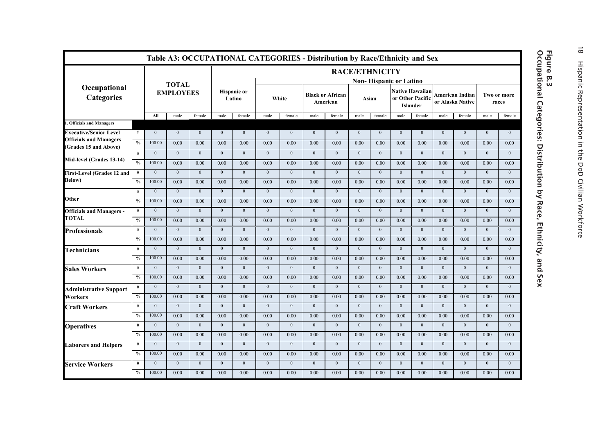|                                                              |               |                |                  |                  |                  |                              |                |                  |                | Table A3: OCCUPATIONAL CATEGORIES - Distribution by Race/Ethnicity and Sex |                       |                |                               |                                    |                |                                     |                |                      |
|--------------------------------------------------------------|---------------|----------------|------------------|------------------|------------------|------------------------------|----------------|------------------|----------------|----------------------------------------------------------------------------|-----------------------|----------------|-------------------------------|------------------------------------|----------------|-------------------------------------|----------------|----------------------|
|                                                              |               |                |                  |                  |                  |                              |                |                  |                |                                                                            | <b>RACE/ETHNICITY</b> |                |                               |                                    |                |                                     |                |                      |
| Occupational                                                 |               |                | <b>TOTAL</b>     |                  |                  |                              |                |                  |                |                                                                            |                       |                | <b>Non-Hispanic or Latino</b> |                                    |                |                                     |                |                      |
| <b>Categories</b>                                            |               |                | <b>EMPLOYEES</b> |                  |                  | <b>Hispanic or</b><br>Latino |                | White            |                | <b>Black or African</b><br>American                                        | Asian                 |                | or Other Pacific              | <b>Native Hawaiian</b><br>Islander |                | American Indian<br>or Alaska Native |                | Two or more<br>races |
|                                                              |               | All            | male             | female           | male             | female                       | male           | female           | male           | female                                                                     | male                  | female         | male                          | female                             | male           | female                              | male           | female               |
| <b>Officials and Managers</b>                                |               |                |                  |                  |                  |                              |                |                  |                |                                                                            |                       |                |                               |                                    |                |                                     |                |                      |
| <b>Executive/Senior Level</b>                                | #             | $\mathbf{0}$   | $\mathbf{0}$     | $\mathbf{0}$     | $\mathbf{0}$     | $\Omega$                     | $\mathbf{0}$   | $\mathbf{0}$     | $\mathbf{0}$   | $\overline{0}$                                                             | $\mathbf{0}$          | $\Omega$       | $\mathbf{0}$                  | $\Omega$                           | $\mathbf{0}$   | $\mathbf{0}$                        | $\mathbf{0}$   | $\mathbf{0}$         |
| <b>Officials and Managers</b><br><b>Grades 15 and Above)</b> | $\frac{0}{0}$ | 100.00         | 0.00             | 0.00             | 0.00             | 0.00                         | 0.00           | 0.00             | 0.00           | 0.00                                                                       | 0.00                  | 0.00           | 0.00                          | 0.00                               | 0.00           | 0.00                                | 0.00           | 0.00                 |
|                                                              | #             | $\mathbf{0}$   | $\mathbf{0}$     | $\boldsymbol{0}$ | $\mathbf{0}$     | $\mathbf{0}$                 | $\mathbf{0}$   | $\mathbf{0}$     | $\mathbf{0}$   | $\mathbf{0}$                                                               | $\mathbf{0}$          | $\mathbf{0}$   | $\mathbf{0}$                  | $\mathbf{0}$                       | $\mathbf{0}$   | $\mathbf{0}$                        | $\mathbf{0}$   | $\mathbf{0}$         |
| Mid-level (Grades 13-14)                                     | $\frac{0}{6}$ | 100.00         | 0.00             | 0.00             | 0.00             | 0.00                         | 0.00           | 0.00             | 0.00           | 0.00                                                                       | 0.00                  | 0.00           | 0.00                          | 0.00                               | 0.00           | 0.00                                | 0.00           | 0.00                 |
| First-Level (Grades 12 and                                   | #             | $\mathbf{0}$   | $\mathbf{0}$     | $\boldsymbol{0}$ | $\mathbf{0}$     | $\mathbf{0}$                 | $\mathbf{0}$   | $\mathbf{0}$     | $\bf{0}$       | $\boldsymbol{0}$                                                           | $\mathbf{0}$          | $\mathbf{0}$   | $\mathbf{0}$                  | $\boldsymbol{0}$                   | $\mathbf{0}$   | $\mathbf{0}$                        | $\mathbf{0}$   | $\overline{0}$       |
| Below)                                                       | $\%$          | 100.00         | 0.00             | 0.00             | 0.00             | 0.00                         | 0.00           | 0.00             | 0.00           | 0.00                                                                       | 0.00                  | 0.00           | 0.00                          | 0.00                               | 0.00           | 0.00                                | 0.00           | 0.00                 |
|                                                              | #             | $\overline{0}$ | $\mathbf{0}$     | $\mathbf{0}$     | $\mathbf{0}$     | $\mathbf{0}$                 | $\mathbf{0}$   | $\mathbf{0}$     | $\mathbf{0}$   | $\mathbf{0}$                                                               | $\mathbf{0}$          | $\theta$       | $\mathbf{0}$                  | $\mathbf{0}$                       | $\mathbf{0}$   | $\mathbf{0}$                        | $\mathbf{0}$   | $\mathbf{0}$         |
| Other                                                        | $\%$          | 100.00         | 0.00             | 0.00             | 0.00             | 0.00                         | 0.00           | 0.00             | 0.00           | 0.00                                                                       | 0.00                  | 0.00           | 0.00                          | 0.00                               | 0.00           | 0.00                                | 0.00           | 0.00                 |
| <b>Officials and Managers -</b>                              | #             | $\overline{0}$ | $\overline{0}$   | $\overline{0}$   | $\overline{0}$   | $\overline{0}$               | $\overline{0}$ | $\overline{0}$   | $\overline{0}$ | $\overline{0}$                                                             | $\overline{0}$        | $\overline{0}$ | $\overline{0}$                | $\overline{0}$                     | $\overline{0}$ | $\overline{0}$                      | $\overline{0}$ | $\overline{0}$       |
| <b>TOTAL</b>                                                 | $\frac{0}{2}$ | 100.00         | 0.00             | 0.00             | 0.00             | 0.00                         | 0.00           | 0.00             | 0.00           | 0.00                                                                       | 0.00                  | 0.00           | 0.00                          | 0.00                               | 0.00           | 0.00                                | 0.00           | 0.00                 |
| <b>Professionals</b>                                         | #             | $\overline{0}$ | $\overline{0}$   | $\overline{0}$   | $\overline{0}$   | $\overline{0}$               | $\overline{0}$ | $\overline{0}$   | $\overline{0}$ | $\overline{0}$                                                             | $\overline{0}$        | $\overline{0}$ | $\overline{0}$                | $\overline{0}$                     | $\overline{0}$ | $\overline{0}$                      | $\overline{0}$ | $\overline{0}$       |
|                                                              | $\%$          | 100.00         | 0.00             | 0.00             | 0.00             | 0.00                         | 0.00           | 0.00             | 0.00           | 0.00                                                                       | 0.00                  | 0.00           | 0.00                          | 0.00                               | 0.00           | 0.00                                | 0.00           | 0.00                 |
| <b>Technicians</b>                                           | #             | $\mathbf{0}$   | $\mathbf{0}$     | $\boldsymbol{0}$ | $\mathbf{0}$     | $\mathbf{0}$                 | $\mathbf{0}$   | $\mathbf{0}$     | $\mathbf{0}$   | $\mathbf{0}$                                                               | $\mathbf{0}$          | $\mathbf{0}$   | $\mathbf{0}$                  | $\mathbf{0}$                       | $\mathbf{0}$   | $\mathbf{0}$                        | $\mathbf{0}$   | $\mathbf{0}$         |
|                                                              | $\frac{0}{0}$ | 100.00         | 0.00             | 0.00             | 0.00             | 0.00                         | 0.00           | 0.00             | 0.00           | 0.00                                                                       | 0.00                  | 0.00           | 0.00                          | 0.00                               | 0.00           | 0.00                                | 0.00           | 0.00                 |
| <b>Sales Workers</b>                                         | $\#$          | $\mathbf{0}$   | $\mathbf{0}$     | $\mathbf{0}$     | $\overline{0}$   | $\mathbf{0}$                 | $\mathbf{0}$   | $\mathbf{0}$     | $\mathbf{0}$   | $\overline{0}$                                                             | $\overline{0}$        | $\mathbf{0}$   | $\overline{0}$                | $\mathbf{0}$                       | $\mathbf{0}$   | $\mathbf{0}$                        | $\mathbf{0}$   | $\mathbf{0}$         |
|                                                              | $\frac{0}{2}$ | 100.00         | 0.00             | 0.00             | 0.00             | 0.00                         | 0.00           | 0.00             | 0.00           | 0.00                                                                       | 0.00                  | 0.00           | 0.00                          | 0.00                               | 0.00           | 0.00                                | 0.00           | 0.00                 |
| <b>Administrative Support</b>                                | #             | $\mathbf{0}$   | $\mathbf{0}$     | $\mathbf{0}$     | $\mathbf{0}$     | $\mathbf{0}$                 | $\mathbf{0}$   | $\mathbf{0}$     | $\mathbf{0}$   | $\mathbf{0}$                                                               | $\mathbf{0}$          | $\mathbf{0}$   | $\mathbf{0}$                  | $\mathbf{0}$                       | $\mathbf{0}$   | $\mathbf{0}$                        | $\mathbf{0}$   | $\mathbf{0}$         |
| <b>Workers</b>                                               | $\frac{0}{2}$ | 100.00         | 0.00             | 0.00             | 0.00             | 0.00                         | 0.00           | 0.00             | 0.00           | 0.00                                                                       | 0.00                  | 0.00           | 0.00                          | 0.00                               | 0.00           | 0.00                                | 0.00           | 0.00                 |
| <b>Craft Workers</b>                                         | #             | $\overline{0}$ | $\mathbf{0}$     | $\boldsymbol{0}$ | $\mathbf{0}$     | $\mathbf{0}$                 | $\mathbf{0}$   | $\mathbf{0}$     | $\mathbf{0}$   | $\mathbf{0}$                                                               | $\mathbf{0}$          | $\mathbf{0}$   | $\mathbf{0}$                  | $\mathbf{0}$                       | $\mathbf{0}$   | $\mathbf{0}$                        | $\mathbf{0}$   | $\mathbf{0}$         |
|                                                              | $\frac{0}{2}$ | 100.00         | 0.00             | 0.00             | 0.00             | 0.00                         | 0.00           | 0.00             | 0.00           | 0.00                                                                       | 0.00                  | 0.00           | 0.00                          | 0.00                               | 0.00           | 0.00                                | 0.00           | 0.00                 |
| <b>Operatives</b>                                            | #             | $\mathbf{0}$   | $\mathbf{0}$     | $\boldsymbol{0}$ | $\boldsymbol{0}$ | $\mathbf{0}$                 | $\mathbf{0}$   | $\mathbf{0}$     | $\bf{0}$       | $\boldsymbol{0}$                                                           | $\mathbf{0}$          | $\mathbf{0}$   | $\mathbf{0}$                  | $\mathbf{0}$                       | $\mathbf{0}$   | $\mathbf{0}$                        | $\mathbf{0}$   | $\mathbf{0}$         |
|                                                              | $\%$          | 100.00         | 0.00             | 0.00             | 0.00             | 0.00                         | 0.00           | 0.00             | 0.00           | 0.00                                                                       | 0.00                  | 0.00           | 0.00                          | 0.00                               | 0.00           | 0.00                                | 0.00           | 0.00                 |
| <b>Laborers and Helpers</b>                                  | #             | $\mathbf{0}$   | $\mathbf{0}$     | $\mathbf{0}$     | $\mathbf{0}$     | $\mathbf{0}$                 | $\theta$       | $\mathbf{0}$     | $\mathbf{0}$   | $\mathbf{0}$                                                               | $\mathbf{0}$          | $\Omega$       | $\mathbf{0}$                  | $\mathbf{0}$                       | $\mathbf{0}$   | $\mathbf{0}$                        | $\mathbf{0}$   | $\mathbf{0}$         |
|                                                              | $\%$          | 100.00         | 0.00             | 0.00             | 0.00             | 0.00                         | 0.00           | 0.00             | 0.00           | 0.00                                                                       | 0.00                  | 0.00           | 0.00                          | 0.00                               | 0.00           | 0.00                                | 0.00           | 0.00                 |
| <b>Service Workers</b>                                       | #             | $\mathbf{0}$   | $\boldsymbol{0}$ | $\boldsymbol{0}$ | $\boldsymbol{0}$ | $\mathbf{0}$                 | $\mathbf{0}$   | $\boldsymbol{0}$ | $\mathbf{0}$   | $\boldsymbol{0}$                                                           | $\boldsymbol{0}$      | $\mathbf{0}$   | $\mathbf{0}$                  | $\mathbf{0}$                       | $\mathbf{0}$   | $\mathbf{0}$                        | $\mathbf{0}$   | $\mathbf{0}$         |
|                                                              | $\frac{0}{2}$ | 100.00         | 0.00             | 0.00             | 0.00             | 0.00                         | 0.00           | 0.00             | 0.00           | 0.00                                                                       | 0.00                  | 0.00           | 0.00                          | 0.00                               | 0.00           | 0.00                                | 0.00           | 0.00                 |

### **Occupational Categories: Distribution by Race, Ethnicity, and Sex Figure B.3**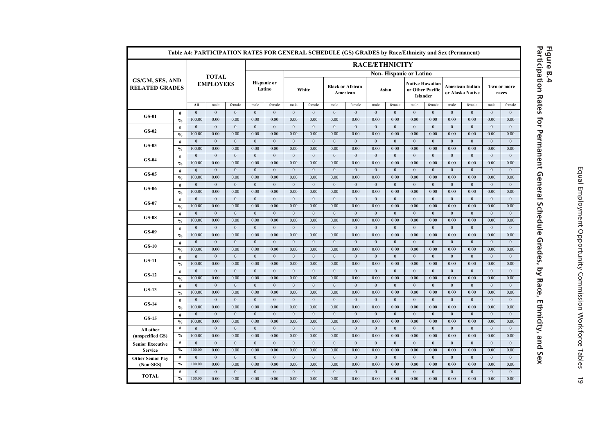|                                          |                                  |                        |                  |                      |                              |                      |                      |                      | Table A4: PARTICIPATION RATES FOR GENERAL SCHEDULE (GS) GRADES by Race/Ethnicity and Sex (Permanent) |                      |                  |                       |                                                        |                  |                      |                                     |                      |                      |
|------------------------------------------|----------------------------------|------------------------|------------------|----------------------|------------------------------|----------------------|----------------------|----------------------|------------------------------------------------------------------------------------------------------|----------------------|------------------|-----------------------|--------------------------------------------------------|------------------|----------------------|-------------------------------------|----------------------|----------------------|
|                                          |                                  |                        |                  |                      |                              |                      |                      |                      |                                                                                                      |                      |                  | <b>RACE/ETHNICITY</b> |                                                        |                  |                      |                                     |                      |                      |
|                                          |                                  |                        | <b>TOTAL</b>     |                      |                              |                      |                      |                      |                                                                                                      |                      |                  |                       | <b>Non-Hispanic or Latino</b>                          |                  |                      |                                     |                      |                      |
| GS/GM, SES, AND<br><b>RELATED GRADES</b> |                                  |                        | <b>EMPLOYEES</b> |                      | <b>Hispanic</b> or<br>Latino |                      |                      | White                | <b>Black or African</b><br>American                                                                  |                      |                  | Asian                 | <b>Native Hawaiian</b><br>or Other Pacific<br>Islander |                  |                      | American Indian<br>or Alaska Native |                      | Two or more<br>races |
|                                          |                                  | All                    | male             | female               | male                         | female               | male                 | female               | male                                                                                                 | female               | male             | female                | male                                                   | female           | male                 | female                              | male                 | female               |
| $GS-01$                                  | #                                | $\mathbf{0}$<br>100.00 | $\theta$<br>0.00 | $\mathbf{0}$<br>0.00 | $\mathbf{0}$<br>0.00         | $\mathbf{0}$<br>0.00 | $\mathbf{0}$<br>0.00 | $\mathbf{0}$<br>0.00 | $\mathbf{0}$<br>0.00                                                                                 | $\mathbf{0}$<br>0.00 | $\theta$<br>0.00 | $\mathbf{0}$<br>0.00  | $\theta$<br>0.00                                       | $\theta$<br>0.00 | $\mathbf{0}$<br>0.00 | $\mathbf{0}$<br>0.00                | $\mathbf{0}$<br>0.00 | $\mathbf{0}$<br>0.00 |
|                                          | $\frac{0}{0}$<br>#               | $\mathbf{0}$           | $\mathbf{0}$     | $\mathbf{0}$         | $\mathbf{0}$                 | $\mathbf{0}$         | $\mathbf{0}$         | $\mathbf{0}$         | $\mathbf{0}$                                                                                         | $\mathbf{0}$         | $\mathbf{0}$     | $\mathbf{0}$          | $\mathbf{0}$                                           | $\Omega$         | $\mathbf{0}$         | $\mathbf{0}$                        | $\mathbf{0}$         | $\mathbf{0}$         |
| $GS-02$                                  | $\frac{0}{0}$                    | 100.00                 | 0.00             | 0.00                 | 0.00                         | 0.00                 | 0.00                 | 0.00                 | 0.00                                                                                                 | 0.00                 | 0.00             | 0.00                  | 0.00                                                   | 0.00             | 0.00                 | 0.00                                | 0.00                 | 0.00                 |
|                                          | #                                | $\mathbf{0}$           | $\theta$         | $\theta$             | $\mathbf{0}$                 | $\Omega$             | $\theta$             | $\mathbf{0}$         | $\mathbf{0}$                                                                                         | $\mathbf{0}$         | $\theta$         | $\theta$              | $\mathbf{0}$                                           | $\Omega$         | $\Omega$             | $\theta$                            | $\theta$             | $\mathbf{0}$         |
| $GS-03$                                  | $\frac{0}{0}$                    | 100.00                 | 0.00             | 0.00                 | 0.00                         | 0.00                 | 0.00                 | 0.00                 | 0.00                                                                                                 | 0.00                 | 0.00             | 0.00                  | 0.00                                                   | 0.00             | 0.00                 | 0.00                                | 0.00                 | 0.00                 |
|                                          | #                                | $\bf{0}$               | $\mathbf{0}$     | $\mathbf{0}$         | $\mathbf{0}$                 | $\mathbf{0}$         | $\mathbf{0}$         | $\mathbf{0}$         | $\mathbf{0}$                                                                                         | $\mathbf{0}$         | $\mathbf{0}$     | $\mathbf{0}$          | $\mathbf{0}$                                           | $\mathbf{0}$     | $\mathbf{0}$         | $\mathbf{0}$                        | $\mathbf{0}$         | $\mathbf{0}$         |
| $GS-04$                                  | $\frac{0}{0}$                    | 100.00                 | 0.00             | 0.00                 | 0.00                         | 0.00                 | 0.00                 | 0.00                 | 0.00                                                                                                 | 0.00                 | 0.00             | 0.00                  | 0.00                                                   | 0.00             | 0.00                 | 0.00                                | 0.00                 | 0.00                 |
|                                          | #                                | $\bf{0}$               | $\mathbf{0}$     | $\overline{0}$       | $\mathbf{0}$                 | $\overline{0}$       | $\overline{0}$       | $\mathbf{0}$         | $\mathbf{0}$                                                                                         | $\mathbf{0}$         | $\mathbf{0}$     | $\overline{0}$        | $\mathbf{0}$                                           | $\mathbf{0}$     | $\mathbf{0}$         | $\mathbf{0}$                        | $\mathbf{0}$         | $\mathbf{0}$         |
| $GS-0.5$                                 | $\boldsymbol{\theta}/_{\!\!\!0}$ | 100.00                 | 0.00             | 0.00                 | 0.00                         | 0.00                 | 0.00                 | 0.00                 | 0.00                                                                                                 | 0.00                 | 0.00             | 0.00                  | 0.00                                                   | 0.00             | 0.00                 | 0.00                                | 0.00                 | 0.00                 |
|                                          | #                                | $\bf{0}$               | $\overline{0}$   | $\overline{0}$       | $\overline{0}$               | $\overline{0}$       | $\overline{0}$       | $\overline{0}$       | $\overline{0}$                                                                                       | $\overline{0}$       | $\overline{0}$   | $\overline{0}$        | $\overline{0}$                                         | $\overline{0}$   | $\overline{0}$       | $\overline{0}$                      | $\overline{0}$       | $\mathbf{0}$         |
| <b>GS-06</b>                             | $\frac{0}{0}$                    | 100.00                 | 0.00             | 0.00                 | 0.00                         | 0.00                 | 0.00                 | 0.00                 | 0.00                                                                                                 | 0.00                 | 0.00             | 0.00                  | 0.00                                                   | 0.00             | 0.00                 | 0.00                                | 0.00                 | 0.00                 |
|                                          | #                                | $\bf{0}$               | $\mathbf{0}$     | $\mathbf{0}$         | $\mathbf{0}$                 | $\mathbf{0}$         | $\mathbf{0}$         | $\mathbf{0}$         | $\mathbf{0}$                                                                                         | $\mathbf{0}$         | $\mathbf{0}$     | $\mathbf{0}$          | $\mathbf{0}$                                           | $\mathbf{0}$     | $\mathbf{0}$         | $\mathbf{0}$                        | $\mathbf{0}$         | $\mathbf{0}$         |
| GS-07                                    | $\frac{0}{0}$                    | 100.00                 | 0.00             | 0.00                 | 0.00                         | 0.00                 | 0.00                 | 0.00                 | 0.00                                                                                                 | 0.00                 | 0.00             | 0.00                  | 0.00                                                   | 0.00             | 0.00                 | 0.00                                | 0.00                 | 0.00                 |
|                                          | #                                | $\bf{0}$               | $\mathbf{0}$     | $\mathbf{0}$         | $\mathbf{0}$                 | $\mathbf{0}$         | $\mathbf{0}$         | $\mathbf{0}$         | $\mathbf{0}$                                                                                         | $\mathbf{0}$         | $\mathbf{0}$     | $\mathbf{0}$          | $\mathbf{0}$                                           | $\mathbf{0}$     | $\mathbf{0}$         | $\mathbf{0}$                        | $\mathbf{0}$         | $\boldsymbol{0}$     |
| $GS-08$                                  | $\frac{0}{2}$                    | 100.00                 | 0.00             | 0.00                 | 0.00                         | 0.00                 | 0.00                 | 0.00                 | 0.00                                                                                                 | 0.00                 | 0.00             | 0.00                  | 0.00                                                   | 0.00             | 0.00                 | 0.00                                | 0.00                 | 0.00                 |
|                                          | $\#$                             | $\bf{0}$               | $\overline{0}$   | $\overline{0}$       | $\overline{0}$               | $\overline{0}$       | $\overline{0}$       | $\overline{0}$       | $\overline{0}$                                                                                       | $\overline{0}$       | $\overline{0}$   | $\overline{0}$        | $\overline{0}$                                         | $\overline{0}$   | $\overline{0}$       | $\overline{0}$                      | $\overline{0}$       | $\overline{0}$       |
| GS-09                                    | $\frac{0}{0}$                    | 100.00                 | 0.00             | 0.00                 | 0.00                         | 0.00                 | 0.00                 | 0.00                 | 0.00                                                                                                 | 0.00                 | 0.00             | 0.00                  | 0.00                                                   | 0.00             | 0.00                 | 0.00                                | 0.00                 | 0.00                 |
|                                          | #                                | $\bf{0}$               | $\mathbf{0}$     | $\mathbf{0}$         | $\bf{0}$                     | $\mathbf{0}$         | $\mathbf{0}$         | $\mathbf{0}$         | $\bf{0}$                                                                                             | $\mathbf{0}$         | $\mathbf{0}$     | $\mathbf{0}$          | $\mathbf{0}$                                           | $\mathbf{0}$     | $\mathbf{0}$         | $\mathbf{0}$                        | $\mathbf{0}$         | $\mathbf{0}$         |
| $GS-10$                                  | $\frac{0}{2}$                    | 100.00                 | 0.00             | 0.00                 | 0.00                         | 0.00                 | 0.00                 | 0.00                 | 0.00                                                                                                 | 0.00                 | 0.00             | 0.00                  | 0.00                                                   | 0.00             | 0.00                 | 0.00                                | 0.00                 | 0.00                 |
|                                          | #                                | $\mathbf{0}$           | $\mathbf{0}$     | $\overline{0}$       | $\overline{0}$               | $\overline{0}$       | $\overline{0}$       | $\overline{0}$       | $\mathbf{0}$                                                                                         | $\mathbf{0}$         | $\overline{0}$   | $\mathbf{0}$          | $\overline{0}$                                         | $\overline{0}$   | $\overline{0}$       | $\mathbf{0}$                        | $\mathbf{0}$         | $\mathbf{0}$         |
| $GS-11$                                  | $\frac{0}{0}$                    | 100.00                 | 0.00             | 0.00                 | 0.00                         | 0.00                 | 0.00                 | 0.00                 | 0.00                                                                                                 | 0.00                 | 0.00             | 0.00                  | 0.00                                                   | 0.00             | 0.00                 | 0.00                                | 0.00                 | 0.00                 |
|                                          | #                                | $\bf{0}$               | $\mathbf{0}$     | $\mathbf{0}$         | $\mathbf{0}$                 | $\mathbf{0}$         | $\mathbf{0}$         | $\mathbf{0}$         | $\mathbf{0}$                                                                                         | $\mathbf{0}$         | $\mathbf{0}$     | $\mathbf{0}$          | $\mathbf{0}$                                           | $\mathbf{0}$     | $\mathbf{0}$         | $\mathbf{0}$                        | $\mathbf{0}$         | $\mathbf{0}$         |
| $GS-12$                                  | $\frac{0}{0}$                    | 100.00                 | 0.00             | 0.00                 | 0.00                         | 0.00                 | 0.00                 | 0.00                 | 0.00                                                                                                 | 0.00                 | 0.00             | 0.00                  | 0.00                                                   | 0.00             | 0.00                 | 0.00                                | 0.00                 | 0.00                 |
| $GS-13$                                  | #                                | $\bf{0}$               | $\overline{0}$   | $\overline{0}$       | $\overline{0}$               | $\overline{0}$       | $\overline{0}$       | $\overline{0}$       | $\overline{0}$                                                                                       | $\overline{0}$       | $\overline{0}$   | $\overline{0}$        | $\overline{0}$                                         | $\overline{0}$   | $\overline{0}$       | $\overline{0}$                      | $\overline{0}$       | $\overline{0}$       |
|                                          | $\frac{0}{0}$                    | 100.00                 | 0.00             | 0.00                 | 0.00                         | 0.00                 | 0.00                 | 0.00                 | 0.00                                                                                                 | 0.00                 | 0.00             | 0.00                  | 0.00                                                   | 0.00             | 0.00                 | 0.00                                | 0.00                 | 0.00                 |
| $GS-14$                                  | #                                | $\bf{0}$               | $\mathbf{0}$     | $\bf{0}$             | $\bf{0}$                     | $\mathbf{0}$         | $\mathbf{0}$         | $\mathbf{0}$         | $\mathbf{0}$                                                                                         | $\mathbf{0}$         | $\boldsymbol{0}$ | $\mathbf{0}$          | $\mathbf{0}$                                           | $\mathbf{0}$     | $\mathbf{0}$         | $\mathbf{0}$                        | $\mathbf{0}$         | $\mathbf{0}$         |
|                                          | $\frac{0}{0}$                    | 100.00                 | 0.00             | 0.00                 | 0.00                         | 0.00                 | 0.00                 | 0.00                 | 0.00                                                                                                 | 0.00                 | 0.00             | 0.00                  | 0.00                                                   | 0.00             | 0.00                 | 0.00                                | 0.00                 | 0.00                 |
| $GS-15$                                  | #                                | $\bf{0}$               | $\overline{0}$   | $\overline{0}$       | $\overline{0}$               | $\overline{0}$       | $\overline{0}$       | $\overline{0}$       | $\overline{0}$                                                                                       | $\overline{0}$       | $\overline{0}$   | $\overline{0}$        | $\overline{0}$                                         | $\overline{0}$   | $\overline{0}$       | $\overline{0}$                      | $\overline{0}$       | $\boldsymbol{0}$     |
|                                          | $\frac{0}{0}$                    | 100.00                 | 0.00             | 0.00                 | 0.00                         | 0.00                 | 0.00                 | 0.00                 | 0.00                                                                                                 | 0.00                 | 0.00             | 0.00                  | 0.00                                                   | 0.00             | 0.00                 | 0.00                                | 0.00                 | 0.00                 |
| All other                                | #                                | $\mathbf{0}$           | $\mathbf{0}$     | $\overline{0}$       | $\mathbf{0}$                 | $\overline{0}$       | $\overline{0}$       | $\overline{0}$       | $\mathbf{0}$                                                                                         | $\mathbf{0}$         | $\overline{0}$   | $\mathbf{0}$          | $\mathbf{0}$                                           | $\mathbf{0}$     | $\overline{0}$       | $\mathbf{0}$                        | $\overline{0}$       | $\mathbf{0}$         |
| (unspecified GS)                         | $\%$                             | 100.00                 | 0.00             | 0.00                 | 0.00                         | 0.00                 | 0.00                 | 0.00                 | 0.00                                                                                                 | 0.00                 | 0.00             | 0.00                  | 0.00                                                   | 0.00             | 0.00                 | 0.00                                | 0.00                 | 0.00                 |
| <b>Senior Executive</b>                  | #                                | $\bf{0}$               | $\mathbf{0}$     | $\mathbf{0}$         | $\mathbf{0}$                 | $\mathbf{0}$         | $\mathbf{0}$         | $\mathbf{0}$         | $\mathbf{0}$                                                                                         | $\mathbf{0}$         | $\mathbf{0}$     | $\mathbf{0}$          | $\mathbf{0}$                                           | $\mathbf{0}$     | $\mathbf{0}$         | $\mathbf{0}$                        | $\mathbf{0}$         | $\mathbf{0}$         |
| <b>Service</b>                           | $\frac{0}{2}$                    | 100.00                 | 0.00             | 0.00                 | 0.00                         | 0.00                 | 0.00                 | 0.00                 | 0.00                                                                                                 | 0.00                 | 0.00             | 0.00                  | 0.00                                                   | 0.00             | 0.00                 | 0.00                                | 0.00                 | 0.00                 |
| <b>Other Senior Pay</b>                  | #                                | $\bf{0}$               | $\mathbf{0}$     | $\mathbf{0}$         | $\bf{0}$                     | $\mathbf{0}$         | $\mathbf{0}$         | $\mathbf{0}$         | $\mathbf{0}$                                                                                         | $\mathbf{0}$         | $\mathbf{0}$     | $\mathbf{0}$          | $\mathbf{0}$                                           | $\mathbf{0}$     | $\mathbf{0}$         | $\mathbf{0}$                        | $\mathbf{0}$         | $\mathbf{0}$         |
| (Non-SES)                                | $\%$                             | 100.00                 | 0.00             | 0.00                 | 0.00                         | 0.00                 | 0.00                 | 0.00                 | 0.00                                                                                                 | 0.00                 | 0.00             | 0.00                  | 0.00                                                   | 0.00             | 0.00                 | 0.00                                | 0.00                 | 0.00                 |
| <b>TOTAL</b>                             | #                                | $\mathbf{0}$           | $\mathbf{0}$     | $\overline{0}$       | $\bf{0}$                     | $\mathbf{0}$         | $\overline{0}$       | $\boldsymbol{0}$     | $\bf{0}$                                                                                             | $\boldsymbol{0}$     | $\overline{0}$   | $\overline{0}$        | $\mathbf{0}$                                           | $\overline{0}$   | $\overline{0}$       | $\mathbf{0}$                        | $\overline{0}$       | $\boldsymbol{0}$     |
|                                          | $\%$                             | 100.00                 | 0.00             | 0.00                 | 0.00                         | 0.00                 | 0.00                 | 0.00                 | 0.00                                                                                                 | 0.00                 | 0.00             | 0.00                  | 0.00                                                   | 0.00             | 0.00                 | 0.00                                | 0.00                 | 0.00                 |

# **Participation Rates for Permanent General Schedule Grades, by Race, Ethnicity, and Sex Figure B.4**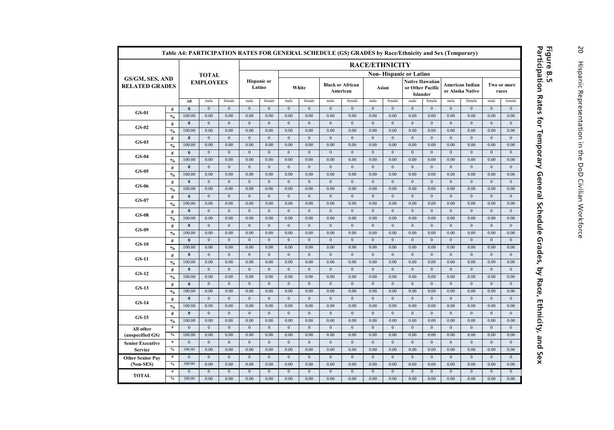|                                          | Table A4: PARTICIPATION RATES FOR GENERAL SCHEDULE (GS) GRADES by Race/Ethnicity and Sex (Temporary)<br><b>RACE/ETHNICITY</b> |                        |                        |                        |                              |                        |                          |                          |                          |                                     |                        |                          |                                                               |                          |                                            |                        |                          |                        |
|------------------------------------------|-------------------------------------------------------------------------------------------------------------------------------|------------------------|------------------------|------------------------|------------------------------|------------------------|--------------------------|--------------------------|--------------------------|-------------------------------------|------------------------|--------------------------|---------------------------------------------------------------|--------------------------|--------------------------------------------|------------------------|--------------------------|------------------------|
|                                          |                                                                                                                               |                        |                        |                        |                              |                        |                          |                          |                          |                                     |                        |                          |                                                               |                          |                                            |                        |                          |                        |
|                                          |                                                                                                                               |                        | <b>TOTAL</b>           |                        |                              |                        |                          |                          |                          |                                     |                        |                          | <b>Non-Hispanic or Latino</b>                                 |                          |                                            |                        |                          |                        |
| GS/GM, SES, AND<br><b>RELATED GRADES</b> |                                                                                                                               |                        | <b>EMPLOYEES</b>       |                        | <b>Hispanic</b> or<br>Latino |                        |                          | White                    |                          | <b>Black or African</b><br>American | Asian                  |                          | <b>Native Hawaiian</b><br>or Other Pacific<br><b>Islander</b> |                          | <b>American Indian</b><br>or Alaska Native |                        |                          | Two or more<br>races   |
|                                          |                                                                                                                               | All                    | male                   | female                 | male                         | female                 | male                     | female                   | male                     | female                              | male                   | female                   | male                                                          | female                   | male                                       | female                 | male                     | female                 |
| $GS-01$                                  | $\#$                                                                                                                          | $\mathbf{0}$           | $\mathbf{0}$           | $\mathbf{0}$           | $\mathbf{0}$                 | $\mathbf{0}$           | $\mathbf{0}$             | $\mathbf{0}$             | $\mathbf{0}$             | $\mathbf{0}$                        | $\Omega$               | $\mathbf{0}$             | $\mathbf{0}$                                                  | $\mathbf{0}$             | $\mathbf{0}$                               | $\mathbf{0}$           | $\mathbf{0}$             | $\Omega$               |
|                                          | $\frac{0}{0}$                                                                                                                 | 100.00                 | 0.00                   | 0.00                   | 0.00                         | 0.00                   | 0.00                     | 0.00                     | 0.00                     | 0.00                                | 0.00                   | 0.00                     | 0.00                                                          | 0.00                     | 0.00                                       | 0.00                   | 0.00                     | 0.00                   |
| $GS-02$                                  | $\#$                                                                                                                          | $\bf{0}$<br>100.00     | $\mathbf{0}$<br>0.00   | $\mathbf{0}$<br>0.00   | $\mathbf{0}$<br>0.00         | $\overline{0}$<br>0.00 | $\mathbf{0}$<br>0.00     | $\mathbf{0}$<br>0.00     | $\mathbf{0}$<br>0.00     | $\bf{0}$<br>0.00                    | $\mathbf{0}$<br>0.00   | $\bf{0}$<br>0.00         | $\mathbf{0}$<br>0.00                                          | $\mathbf{0}$<br>0.00     | $\mathbf{0}$<br>0.00                       | $\mathbf{0}$<br>0.00   | $\mathbf{0}$<br>0.00     | $\mathbf{0}$<br>0.00   |
|                                          | $\frac{0}{0}$<br>#                                                                                                            | $\mathbf{0}$           | $\overline{0}$         | $\mathbf{0}$           | $\overline{0}$               | $\overline{0}$         | $\overline{0}$           | $\overline{0}$           | $\overline{0}$           | $\overline{0}$                      | $\mathbf{0}$           | $\mathbf{0}$             | $\mathbf{0}$                                                  | $\overline{0}$           | $\overline{0}$                             | $\overline{0}$         | $\overline{0}$           | $\overline{0}$         |
| $GS-03$                                  | $\frac{0}{0}$                                                                                                                 | 100.00                 | 0.00                   | 0.00                   | 0.00                         | 0.00                   | 0.00                     | 0.00                     | 0.00                     | 0.00                                | 0.00                   | 0.00                     | 0.00                                                          | 0.00                     | 0.00                                       | 0.00                   | 0.00                     | 0.00                   |
|                                          | $\#$                                                                                                                          | $\theta$               | $\mathbf{0}$           | $\mathbf{0}$           | $\mathbf{0}$                 | $\mathbf{0}$           | $\mathbf{0}$             | $\mathbf{0}$             | $\mathbf{0}$             | $\mathbf{0}$                        | $\mathbf{0}$           | $\mathbf{0}$             | $\mathbf{0}$                                                  | $\mathbf{0}$             | $\mathbf{0}$                               | $\mathbf{0}$           | $\mathbf{0}$             | $\mathbf{0}$           |
| $GS-04$                                  | $\frac{0}{0}$                                                                                                                 | 100.00                 | 0.00                   | 0.00                   | 0.00                         | 0.00                   | 0.00                     | 0.00                     | 0.00                     | 0.00                                | 0.00                   | 0.00                     | 0.00                                                          | 0.00                     | 0.00                                       | 0.00                   | 0.00                     | 0.00                   |
|                                          | $\#$                                                                                                                          | $\mathbf{0}$           | $\mathbf{0}$           | $\mathbf{0}$           | $\mathbf{0}$                 | $\overline{0}$         | $\mathbf{0}$             | $\mathbf{0}$             | $\mathbf{0}$             | $\mathbf{0}$                        | $\Omega$               | $\mathbf{0}$             | $\mathbf{0}$                                                  | $\mathbf{0}$             | $\mathbf{0}$                               | $\mathbf{0}$           | $\mathbf{0}$             | $\mathbf{0}$           |
| $GS-0.5$                                 | $\frac{0}{0}$                                                                                                                 | 100.00                 | 0.00                   | 0.00                   | 0.00                         | 0.00                   | 0.00                     | 0.00                     | 0.00                     | 0.00                                | 0.00                   | 0.00                     | 0.00                                                          | 0.00                     | 0.00                                       | 0.00                   | 0.00                     | 0.00                   |
| GS-06                                    | #                                                                                                                             | $\bf{0}$               | $\boldsymbol{0}$       | $\mathbf{0}$           | $\bf{0}$                     | $\mathbf{0}$           | $\mathbf{0}$             | $\mathbf{0}$             | $\mathbf{0}$             | $\mathbf{0}$                        | $\bf{0}$               | $\bf{0}$                 | $\bf{0}$                                                      | $\bf{0}$                 | $\bf{0}$                                   | $\mathbf{0}$           | $\bf{0}$                 | $\mathbf{0}$           |
|                                          | $\frac{0}{0}$                                                                                                                 | 100.00                 | 0.00                   | 0.00                   | 0.00                         | 0.00                   | 0.00                     | 0.00                     | 0.00                     | 0.00                                | 0.00                   | 0.00                     | 0.00                                                          | 0.00                     | 0.00                                       | 0.00                   | 0.00                     | 0.00                   |
| $GS-07$                                  | #                                                                                                                             | $\bf{0}$               | $\mathbf{0}$           | $\overline{0}$         | $\boldsymbol{0}$             | $\boldsymbol{0}$       | $\boldsymbol{0}$         | $\mathbf{0}$             | $\boldsymbol{0}$         | $\boldsymbol{0}$                    | $\mathbf{0}$           | $\boldsymbol{0}$         | $\boldsymbol{0}$                                              | $\mathbf{0}$             | $\boldsymbol{0}$                           | $\mathbf{0}$           | $\boldsymbol{0}$         | $\mathbf{0}$           |
|                                          | $\frac{0}{0}$                                                                                                                 | 100.00                 | 0.00                   | 0.00                   | 0.00                         | 0.00                   | 0.00                     | 0.00                     | 0.00                     | 0.00                                | 0.00                   | 0.00                     | 0.00                                                          | 0.00                     | 0.00                                       | 0.00                   | 0.00                     | 0.00                   |
| $GS-08$                                  | $\#$                                                                                                                          | $\theta$               | $\theta$               | $\mathbf{0}$           | $\mathbf{0}$                 | $\mathbf{0}$           | $\overline{0}$           | $\mathbf{0}$             | $\mathbf{0}$             | $\overline{0}$                      | $\mathbf{0}$           | $\mathbf{0}$             | $\mathbf{0}$                                                  | $\mathbf{0}$             | $\mathbf{0}$                               | $\mathbf{0}$           | $\mathbf{0}$             | $\mathbf{0}$           |
|                                          | $\frac{0}{0}$                                                                                                                 | 100.00                 | 0.00                   | 0.00                   | 0.00                         | 0.00                   | 0.00                     | 0.00                     | 0.00                     | 0.00                                | 0.00                   | 0.00                     | 0.00                                                          | 0.00                     | 0.00                                       | 0.00                   | 0.00                     | 0.00                   |
| $GS-09$                                  | $\#$                                                                                                                          | $\bf{0}$               | $\mathbf{0}$           | $\mathbf{0}$           | $\mathbf{0}$                 | $\overline{0}$         | $\mathbf{0}$             | $\mathbf{0}$             | $\mathbf{0}$             | $\mathbf{0}$                        | $\mathbf{0}$           | $\mathbf{0}$             | $\mathbf{0}$                                                  | $\mathbf{0}$             | $\mathbf{0}$                               | $\mathbf{0}$           | $\mathbf{0}$             | $\mathbf{0}$           |
|                                          | $\frac{0}{0}$                                                                                                                 | 100.00                 | 0.00                   | 0.00                   | 0.00                         | 0.00                   | 0.00                     | 0.00                     | 0.00                     | 0.00                                | 0.00                   | 0.00                     | 0.00                                                          | 0.00                     | 0.00                                       | 0.00                   | 0.00                     | 0.00                   |
| $GS-10$                                  | #                                                                                                                             | $\bf{0}$<br>100.00     | $\mathbf{0}$<br>0.00   | $\mathbf{0}$<br>0.00   | $\mathbf{0}$<br>0.00         | $\mathbf{0}$<br>0.00   | $\boldsymbol{0}$<br>0.00 | $\boldsymbol{0}$<br>0.00 | $\boldsymbol{0}$<br>0.00 | $\mathbf{0}$<br>0.00                | $\mathbf{0}$<br>0.00   | $\boldsymbol{0}$<br>0.00 | $\boldsymbol{0}$<br>0.00                                      | $\boldsymbol{0}$<br>0.00 | $\mathbf{0}$<br>0.00                       | $\mathbf{0}$<br>0.00   | $\boldsymbol{0}$<br>0.00 | $\mathbf{0}$<br>0.00   |
|                                          | $\frac{0}{0}$                                                                                                                 | $\bf{0}$               | $\mathbf{0}$           | $\overline{0}$         | $\boldsymbol{0}$             | $\boldsymbol{0}$       | $\boldsymbol{0}$         | $\mathbf{0}$             | $\boldsymbol{0}$         | $\mathbf{0}$                        | $\mathbf{0}$           | $\boldsymbol{0}$         | $\boldsymbol{0}$                                              | $\mathbf{0}$             | $\mathbf{0}$                               | $\mathbf{0}$           | $\boldsymbol{0}$         | $\mathbf{0}$           |
| $GS-11$                                  | $\#$<br>$\frac{0}{0}$                                                                                                         | 100.00                 | 0.00                   | 0.00                   | 0.00                         | 0.00                   | 0.00                     | 0.00                     | 0.00                     | 0.00                                | 0.00                   | 0.00                     | 0.00                                                          | 0.00                     | 0.00                                       | 0.00                   | 0.00                     | 0.00                   |
|                                          | $\#$                                                                                                                          | $\theta$               | $\mathbf{0}$           | $\Omega$               | $\overline{0}$               | $\overline{0}$         | $\mathbf{0}$             | $\overline{0}$           | $\overline{0}$           | $\overline{0}$                      | $\theta$               | $\overline{0}$           | $\mathbf{0}$                                                  | $\overline{0}$           | $\mathbf{0}$                               | $\overline{0}$         | $\overline{0}$           | $\overline{0}$         |
| $GS-12$                                  | $\frac{0}{0}$                                                                                                                 | 100.00                 | 0.00                   | 0.00                   | 0.00                         | 0.00                   | 0.00                     | 0.00                     | 0.00                     | 0.00                                | 0.00                   | 0.00                     | 0.00                                                          | 0.00                     | 0.00                                       | 0.00                   | 0.00                     | 0.00                   |
|                                          | $\#$                                                                                                                          | $\mathbf{0}$           | $\mathbf{0}$           | $\mathbf{0}$           | $\mathbf{0}$                 | $\overline{0}$         | $\mathbf{0}$             | $\mathbf{0}$             | $\mathbf{0}$             | $\mathbf{0}$                        | $\mathbf{0}$           | $\mathbf{0}$             | $\mathbf{0}$                                                  | $\mathbf{0}$             | $\mathbf{0}$                               | $\mathbf{0}$           | $\mathbf{0}$             | $\Omega$               |
| $GS-13$                                  | $\frac{0}{0}$                                                                                                                 | 100.00                 | 0.00                   | 0.00                   | 0.00                         | 0.00                   | 0.00                     | 0.00                     | 0.00                     | 0.00                                | 0.00                   | 0.00                     | 0.00                                                          | 0.00                     | 0.00                                       | 0.00                   | 0.00                     | 0.00                   |
|                                          | $\#$                                                                                                                          | $\bf{0}$               | $\mathbf{0}$           | $\boldsymbol{0}$       | $\boldsymbol{0}$             | $\mathbf{0}$           | $\boldsymbol{0}$         | $\boldsymbol{0}$         | $\boldsymbol{0}$         | $\mathbf{0}$                        | $\boldsymbol{0}$       | $\boldsymbol{0}$         | $\boldsymbol{0}$                                              | $\boldsymbol{0}$         | $\boldsymbol{0}$                           | $\boldsymbol{0}$       | $\boldsymbol{0}$         | $\mathbf{0}$           |
| $GS-14$                                  | $\frac{0}{0}$                                                                                                                 | 100.00                 | 0.00                   | 0.00                   | 0.00                         | 0.00                   | 0.00                     | 0.00                     | 0.00                     | 0.00                                | 0.00                   | 0.00                     | 0.00                                                          | 0.00                     | 0.00                                       | 0.00                   | 0.00                     | 0.00                   |
|                                          | $\#$                                                                                                                          | $\bf{0}$               | $\mathbf{0}$           | $\mathbf{0}$           | $\bf{0}$                     | $\overline{0}$         | $\mathbf{0}$             | $\mathbf{0}$             | $\overline{0}$           | $\mathbf{0}$                        | $\mathbf{0}$           | $\mathbf{0}$             | $\bf{0}$                                                      | $\bf{0}$                 | $\bf{0}$                                   | $\mathbf{0}$           | $\bf{0}$                 | $\mathbf{0}$           |
| $GS-15$                                  | $\frac{0}{0}$                                                                                                                 | 100.00                 | 0.00                   | 0.00                   | 0.00                         | 0.00                   | 0.00                     | 0.00                     | 0.00                     | 0.00                                | 0.00                   | 0.00                     | 0.00                                                          | 0.00                     | 0.00                                       | 0.00                   | 0.00                     | 0.00                   |
| All other                                | #                                                                                                                             | $\mathbf{0}$           | $\mathbf{0}$           | $\mathbf{0}$           | $\mathbf{0}$                 | $\mathbf{0}$           | $\mathbf{0}$             | $\mathbf{0}$             | $\mathbf{0}$             | $\mathbf{0}$                        | $\mathbf{0}$           | $\mathbf{0}$             | $\mathbf{0}$                                                  | $\mathbf{0}$             | $\mathbf{0}$                               | $\mathbf{0}$           | $\mathbf{0}$             | $\mathbf{0}$           |
| (unspecified GS)                         | $\%$                                                                                                                          | 100.00                 | 0.00                   | 0.00                   | 0.00                         | 0.00                   | 0.00                     | 0.00                     | 0.00                     | 0.00                                | 0.00                   | 0.00                     | 0.00                                                          | 0.00                     | 0.00                                       | 0.00                   | 0.00                     | 0.00                   |
| <b>Senior Executive</b>                  | #                                                                                                                             | $\mathbf{0}$           | $\mathbf{0}$           | $\mathbf{0}$           | $\mathbf{0}$                 | $\overline{0}$         | $\mathbf{0}$             | $\mathbf{0}$             | $\mathbf{0}$             | $\mathbf{0}$                        | $\mathbf{0}$           | $\mathbf{0}$             | $\mathbf{0}$                                                  | $\mathbf{0}$             | $\mathbf{0}$                               | $\mathbf{0}$           | $\mathbf{0}$             | $\mathbf{0}$           |
| Service                                  | $\frac{0}{0}$                                                                                                                 | 100.00                 | 0.00                   | 0.00                   | 0.00                         | 0.00                   | 0.00                     | 0.00                     | 0.00                     | 0.00                                | 0.00                   | 0.00                     | 0.00                                                          | 0.00                     | 0.00                                       | 0.00                   | 0.00                     | 0.00                   |
| <b>Other Senior Pay</b>                  | $\#$                                                                                                                          | $\overline{0}$         | $\overline{0}$         | $\overline{0}$         | $\overline{0}$               | $\overline{0}$         | $\overline{0}$           | $\overline{0}$           | $\overline{0}$           | $\overline{0}$                      | $\overline{0}$         | $\overline{0}$           | $\overline{0}$                                                | $\overline{0}$           | $\overline{0}$                             | $\overline{0}$         | $\overline{0}$           | $\overline{0}$         |
| (Non-SES)                                | $\%$                                                                                                                          | 100.00                 | 0.00                   | 0.00                   | 0.00                         | 0.00                   | 0.00                     | 0.00                     | 0.00                     | 0.00                                | 0.00                   | 0.00                     | 0.00                                                          | 0.00                     | 0.00                                       | 0.00                   | 0.00                     | 0.00                   |
| <b>TOTAL</b>                             | #<br>$\%$                                                                                                                     | $\mathbf{0}$<br>100.00 | $\overline{0}$<br>0.00 | $\overline{0}$<br>0.00 | $\overline{0}$<br>0.00       | $\overline{0}$<br>0.00 | $\overline{0}$<br>0.00   | $\overline{0}$<br>0.00   | $\overline{0}$<br>0.00   | $\overline{0}$<br>0.00              | $\overline{0}$<br>0.00 | $\overline{0}$<br>0.00   | $\overline{0}$<br>0.00                                        | $\overline{0}$<br>0.00   | $\overline{0}$<br>0.00                     | $\overline{0}$<br>0.00 | $\overline{0}$<br>0.00   | $\overline{0}$<br>0.00 |
|                                          |                                                                                                                               |                        |                        |                        |                              |                        |                          |                          |                          |                                     |                        |                          |                                                               |                          |                                            |                        |                          |                        |

# **Participation Rates for Temporary General Schedule Grades, by Race, Ethnicity, and Sex Figure B.5**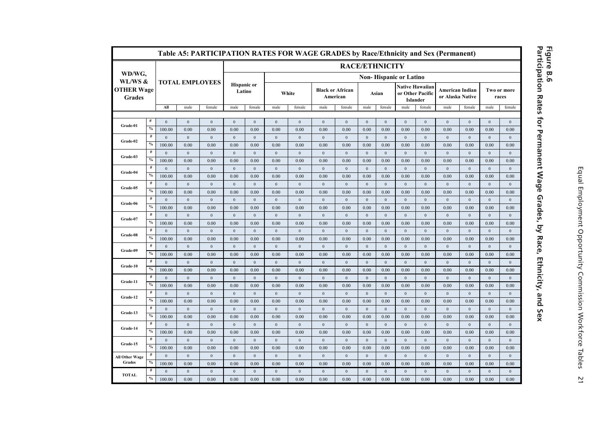|                                               |                                         |                        |                        | Table A5: PARTICIPATION RATES FOR WAGE GRADES by Race/Ethnicity and Sex (Permanent) |                              |                          |                      |                      |                                     |                          |                          |                      |                                                               |                      |                                            |                          |                          |                      |  |
|-----------------------------------------------|-----------------------------------------|------------------------|------------------------|-------------------------------------------------------------------------------------|------------------------------|--------------------------|----------------------|----------------------|-------------------------------------|--------------------------|--------------------------|----------------------|---------------------------------------------------------------|----------------------|--------------------------------------------|--------------------------|--------------------------|----------------------|--|
|                                               |                                         |                        |                        |                                                                                     | <b>RACE/ETHNICITY</b>        |                          |                      |                      |                                     |                          |                          |                      |                                                               |                      |                                            |                          |                          |                      |  |
| WD/WG,                                        |                                         |                        |                        |                                                                                     |                              |                          |                      |                      |                                     |                          |                          |                      | <b>Non-Hispanic or Latino</b>                                 |                      |                                            |                          |                          |                      |  |
| WL/WS &<br><b>OTHER Wage</b><br><b>Grades</b> |                                         |                        | <b>TOTAL EMPLOYEES</b> |                                                                                     | <b>Hispanic</b> or<br>Latino |                          |                      | White                | <b>Black or African</b><br>American |                          |                          | Asian                | <b>Native Hawaiian</b><br>or Other Pacific<br><b>Islander</b> |                      | <b>American Indian</b><br>or Alaska Native |                          |                          | Two or more<br>races |  |
|                                               |                                         | All                    | male                   | female                                                                              | male                         | female                   | male                 | female               | male                                | female                   | male                     | female               | male                                                          | female               | male                                       | female                   | male                     | female               |  |
|                                               | $\#$                                    | $\boldsymbol{0}$       | $\boldsymbol{0}$       | $\boldsymbol{0}$                                                                    | $\boldsymbol{0}$             | $\bf{0}$                 | $\theta$             | $\boldsymbol{0}$     | $\boldsymbol{0}$                    | $\boldsymbol{0}$         | $\boldsymbol{0}$         | $\boldsymbol{0}$     | $\boldsymbol{0}$                                              | $\boldsymbol{0}$     | $\boldsymbol{0}$                           | $\boldsymbol{0}$         | $\boldsymbol{0}$         | $\boldsymbol{0}$     |  |
| Grade-01                                      | $\%$                                    | 100.00                 | 0.00                   | 0.00                                                                                | 0.00                         | 0.00                     | 0.00                 | 0.00                 | 0.00                                | 0.00                     | 0.00                     | 0.00                 | 0.00                                                          | 0.00                 | 0.00                                       | 0.00                     | 0.00                     | 0.00                 |  |
|                                               | $\#$                                    | $\mathbf{0}$           | $\mathbf{0}$           | $\boldsymbol{0}$                                                                    | $\boldsymbol{0}$             | $\boldsymbol{0}$         | $\mathbf{0}$         | $\mathbf{0}$         | $\boldsymbol{0}$                    | $\boldsymbol{0}$         | $\boldsymbol{0}$         | $\mathbf{0}$         | $\boldsymbol{0}$                                              | $\mathbf{0}$         | $\boldsymbol{0}$                           | $\boldsymbol{0}$         | $\boldsymbol{0}$         | $\mathbf{0}$         |  |
| Grade-02                                      | $\%$                                    | 100.00                 | 0.00                   | 0.00                                                                                | 0.00                         | 0.00                     | 0.00                 | 0.00                 | 0.00                                | 0.00                     | 0.00                     | 0.00                 | 0.00                                                          | 0.00                 | 0.00                                       | 0.00                     | 0.00                     | 0.00                 |  |
|                                               | $\#$                                    | $\Omega$               | $\mathbf{0}$           | $\mathbf{0}$                                                                        | $\mathbf{0}$                 | $\mathbf{0}$             | $\theta$             | $\mathbf{0}$         | $\boldsymbol{0}$                    | $\boldsymbol{0}$         | $\mathbf{0}$             | $\mathbf{0}$         | $\mathbf{0}$                                                  | $\mathbf{0}$         | $\mathbf{0}$                               | $\mathbf{0}$             | $\mathbf{0}$             | $\mathbf{0}$         |  |
| Grade-03                                      | $\%$                                    | 100.00                 | 0.00                   | 0.00                                                                                | 0.00                         | 0.00                     | 0.00                 | 0.00                 | 0.00                                | 0.00                     | 0.00                     | 0.00                 | 0.00                                                          | 0.00                 | 0.00                                       | 0.00                     | 0.00                     | 0.00                 |  |
|                                               | $\#$                                    | $\mathbf{0}$           | $\mathbf{0}$           | $\boldsymbol{0}$                                                                    | $\boldsymbol{0}$             | $\boldsymbol{0}$         | $\boldsymbol{0}$     | $\boldsymbol{0}$     | $\boldsymbol{0}$                    | $\mathbf{0}$             | $\mathbf{0}$             | $\mathbf{0}$         | $\mathbf{0}$                                                  | $\mathbf{0}$         | $\boldsymbol{0}$                           | $\mathbf{0}$             | $\boldsymbol{0}$         | $\mathbf{0}$         |  |
| Grade-04                                      | $\%$                                    | 100.00                 | 0.00                   | 0.00                                                                                | 0.00                         | 0.00                     | 0.00                 | 0.00                 | 0.00                                | 0.00                     | 0.00                     | 0.00                 | 0.00                                                          | 0.00                 | 0.00                                       | 0.00                     | 0.00                     | 0.00                 |  |
| Grade-05                                      | $\#$                                    | $\Omega$               | $\mathbf{0}$           | $\mathbf{0}$                                                                        | $\mathbf{0}$                 | $\mathbf{0}$             | $\theta$             | $\mathbf{0}$         | $\mathbf{0}$                        | $\mathbf{0}$             | $\mathbf{0}$             | $\mathbf{0}$         | $\mathbf{0}$                                                  | $\mathbf{0}$         | $\mathbf{0}$                               | $\mathbf{0}$             | $\mathbf{0}$             | $\mathbf{0}$         |  |
|                                               | $\%$                                    | 100.00                 | 0.00                   | 0.00                                                                                | 0.00                         | 0.00                     | 0.00                 | 0.00                 | 0.00                                | 0.00                     | 0.00                     | 0.00                 | 0.00                                                          | 0.00                 | 0.00                                       | 0.00                     | 0.00                     | 0.00                 |  |
| Grade-06                                      | $\#$                                    | $\mathbf{0}$           | $\mathbf{0}$           | $\mathbf{0}$                                                                        | $\boldsymbol{0}$             | $\boldsymbol{0}$         | $\mathbf{0}$         | $\mathbf{0}$         | $\boldsymbol{0}$                    | $\boldsymbol{0}$         | $\bf{0}$                 | $\mathbf{0}$         | $\boldsymbol{0}$                                              | $\mathbf{0}$         | $\boldsymbol{0}$                           | $\mathbf{0}$             | $\mathbf{0}$             | $\mathbf{0}$         |  |
|                                               | $\%$                                    | 100.00                 | 0.00                   | 0.00                                                                                | 0.00                         | 0.00                     | 0.00                 | 0.00                 | 0.00                                | 0.00                     | 0.00                     | 0.00                 | 0.00                                                          | 0.00                 | 0.00                                       | 0.00                     | 0.00                     | 0.00                 |  |
| Grade-07                                      | $\#$                                    | $\mathbf{0}$           | $\mathbf{0}$           | $\mathbf{0}$                                                                        | $\mathbf{0}$                 | $\mathbf{0}$             | $\mathbf{0}$         | $\mathbf{0}$         | $\mathbf{0}$                        | $\boldsymbol{0}$         | $\mathbf{0}$             | $\mathbf{0}$         | $\mathbf{0}$                                                  | $\mathbf{0}$         | $\mathbf{0}$                               | $\mathbf{0}$             | $\mathbf{0}$             | $\mathbf{0}$         |  |
|                                               | $\boldsymbol{\theta}/_{\boldsymbol{0}}$ | 100.00                 | 0.00                   | 0.00                                                                                | 0.00                         | 0.00                     | 0.00                 | 0.00                 | 0.00                                | 0.00                     | 0.00                     | 0.00                 | 0.00                                                          | 0.00                 | 0.00                                       | 0.00                     | 0.00                     | 0.00                 |  |
| Grade-08                                      | $\#$                                    | $\mathbf{0}$           | $\mathbf{0}$           | $\mathbf{0}$                                                                        | $\mathbf{0}$                 | $\mathbf{0}$             | $\mathbf{0}$         | $\mathbf{0}$         | $\mathbf{0}$                        | $\mathbf{0}$             | $\mathbf{0}$             | $\mathbf{0}$         | $\mathbf{0}$                                                  | $\mathbf{0}$         | $\mathbf{0}$                               | $\mathbf{0}$             | $\mathbf{0}$             | $\mathbf{0}$         |  |
|                                               | $\%$                                    | 100.00                 | 0.00                   | 0.00                                                                                | 0.00                         | 0.00                     | 0.00                 | 0.00                 | 0.00                                | 0.00                     | 0.00                     | 0.00                 | 0.00                                                          | 0.00                 | 0.00                                       | 0.00                     | 0.00                     | 0.00                 |  |
| Grade-09                                      | $\#$                                    | $\mathbf{0}$           | $\mathbf{0}$           | $\mathbf{0}$                                                                        | $\mathbf{0}$                 | $\mathbf{0}$             | $\mathbf{0}$         | $\mathbf{0}$         | $\mathbf{0}$                        | $\mathbf{0}$             | $\mathbf{0}$             | $\mathbf{0}$         | $\mathbf{0}$                                                  | $\mathbf{0}$         | $\mathbf{0}$                               | $\mathbf{0}$             | $\mathbf{0}$             | $\mathbf{0}$         |  |
|                                               | $\%$                                    | 100.00                 | 0.00                   | 0.00                                                                                | 0.00                         | 0.00                     | 0.00                 | 0.00                 | 0.00                                | 0.00                     | 0.00                     | 0.00                 | 0.00                                                          | 0.00                 | 0.00                                       | 0.00                     | 0.00                     | 0.00                 |  |
| Grade-10                                      | $\#$<br>$\%$                            | $\mathbf{0}$           | $\mathbf{0}$           | $\mathbf{0}$                                                                        | $\boldsymbol{0}$             | $\mathbf{0}$             | $\mathbf{0}$         | $\mathbf{0}$         | $\mathbf{0}$                        | $\mathbf{0}$             | $\mathbf{0}$             | $\mathbf{0}$         | $\mathbf{0}$                                                  | $\mathbf{0}$         | $\boldsymbol{0}$                           | $\mathbf{0}$             | $\mathbf{0}$             | $\mathbf{0}$         |  |
|                                               | $\#$                                    | 100.00                 | 0.00                   | 0.00                                                                                | 0.00                         | 0.00                     | 0.00                 | 0.00                 | 0.00                                | 0.00                     | 0.00                     | 0.00                 | 0.00                                                          | 0.00                 | 0.00                                       | 0.00                     | 0.00                     | 0.00                 |  |
| Grade-11                                      | $\%$                                    | $\mathbf{0}$           | $\boldsymbol{0}$       | $\boldsymbol{0}$                                                                    | $\boldsymbol{0}$             | $\boldsymbol{0}$         | $\boldsymbol{0}$     | $\boldsymbol{0}$     | $\boldsymbol{0}$                    | $\boldsymbol{0}$         | $\bf{0}$                 | $\boldsymbol{0}$     | $\boldsymbol{0}$                                              | $\boldsymbol{0}$     | $\boldsymbol{0}$                           | $\boldsymbol{0}$         | $\boldsymbol{0}$         | $\boldsymbol{0}$     |  |
|                                               | #                                       | 100.00<br>$\mathbf{0}$ | 0.00<br>$\mathbf{0}$   | 0.00<br>$\mathbf{0}$                                                                | 0.00<br>$\boldsymbol{0}$     | 0.00<br>$\boldsymbol{0}$ | 0.00<br>$\mathbf{0}$ | 0.00<br>$\mathbf{0}$ | 0.00<br>$\boldsymbol{0}$            | 0.00<br>$\boldsymbol{0}$ | 0.00<br>$\boldsymbol{0}$ | 0.00<br>$\mathbf{0}$ | 0.00<br>$\mathbf{0}$                                          | 0.00<br>$\mathbf{0}$ | 0.00<br>$\boldsymbol{0}$                   | 0.00<br>$\boldsymbol{0}$ | 0.00<br>$\boldsymbol{0}$ | 0.00<br>$\mathbf{0}$ |  |
| Grade-12                                      | $\%$                                    | 100.00                 | 0.00                   | 0.00                                                                                | 0.00                         | 0.00                     | 0.00                 | 0.00                 | 0.00                                | 0.00                     | 0.00                     | 0.00                 | 0.00                                                          | 0.00                 | 0.00                                       | 0.00                     | 0.00                     | 0.00                 |  |
|                                               | $^{\#}$                                 | $\mathbf{0}$           | $\mathbf{0}$           | $\mathbf{0}$                                                                        | $\boldsymbol{0}$             | $\mathbf{0}$             | $\mathbf{0}$         | $\mathbf{0}$         | $\boldsymbol{0}$                    | $\boldsymbol{0}$         | $\mathbf{0}$             | $\mathbf{0}$         | $\mathbf{0}$                                                  | $\boldsymbol{0}$     | $\boldsymbol{0}$                           | $\boldsymbol{0}$         | $\boldsymbol{0}$         | $\mathbf{0}$         |  |
| Grade-13                                      | $\%$                                    | 100.00                 | 0.00                   | 0.00                                                                                | 0.00                         | 0.00                     | 0.00                 | 0.00                 | 0.00                                | 0.00                     | 0.00                     | 0.00                 | 0.00                                                          | 0.00                 | 0.00                                       | 0.00                     | 0.00                     | 0.00                 |  |
|                                               | $^{\#}$                                 | $\mathbf{0}$           | $\mathbf{0}$           | $\mathbf{0}$                                                                        | $\mathbf{0}$                 | $\mathbf{0}$             | $\mathbf{0}$         | $\mathbf{0}$         | $\mathbf{0}$                        | $\mathbf{0}$             | $\mathbf{0}$             | $\mathbf{0}$         | $\mathbf{0}$                                                  | $\mathbf{0}$         | $\mathbf{0}$                               | $\mathbf{0}$             | $\mathbf{0}$             | $\mathbf{0}$         |  |
| Grade-14                                      | $\%$                                    | 100.00                 | 0.00                   | 0.00                                                                                | 0.00                         | 0.00                     | 0.00                 | 0.00                 | 0.00                                | 0.00                     | 0.00                     | 0.00                 | 0.00                                                          | 0.00                 | 0.00                                       | 0.00                     | 0.00                     | 0.00                 |  |
|                                               | $\#$                                    | $\mathbf{0}$           | $\mathbf{0}$           | $\mathbf{0}$                                                                        | $\mathbf{0}$                 | $\mathbf{0}$             | $\mathbf{0}$         | $\mathbf{0}$         | $\mathbf{0}$                        | $\mathbf{0}$             | $\mathbf{0}$             | $\mathbf{0}$         | $\mathbf{0}$                                                  | $\mathbf{0}$         | $\mathbf{0}$                               | $\mathbf{0}$             | $\mathbf{0}$             | $\mathbf{0}$         |  |
| Grade-15                                      | $\%$                                    | 100.00                 | 0.00                   | 0.00                                                                                | 0.00                         | 0.00                     | 0.00                 | 0.00                 | 0.00                                | 0.00                     | 0.00                     | 0.00                 | 0.00                                                          | 0.00                 | 0.00                                       | 0.00                     | 0.00                     | 0.00                 |  |
| All Other Wage                                | $\#$                                    | $\mathbf{0}$           | $\mathbf{0}$           | $\mathbf{0}$                                                                        | $\mathbf{0}$                 | $\mathbf{0}$             | $\theta$             | $\mathbf{0}$         | $\boldsymbol{0}$                    | $\mathbf{0}$             | $\mathbf{0}$             | $\mathbf{0}$         | $\mathbf{0}$                                                  | $\mathbf{0}$         | $\mathbf{0}$                               | $\mathbf{0}$             | $\boldsymbol{0}$         | $\mathbf{0}$         |  |
| Grades                                        | $\%$                                    | 100.00                 | 0.00                   | 0.00                                                                                | 0.00                         | 0.00                     | 0.00                 | 0.00                 | 0.00                                | 0.00                     | 0.00                     | 0.00                 | 0.00                                                          | 0.00                 | 0.00                                       | 0.00                     | 0.00                     | 0.00                 |  |
|                                               | #                                       | $\mathbf{0}$           | $\mathbf{0}$           | $\mathbf{0}$                                                                        | $\mathbf{0}$                 | $\bf{0}$                 | $\overline{0}$       | $\mathbf{0}$         | $\mathbf{0}$                        | $\boldsymbol{0}$         | $\mathbf{0}$             | $\mathbf{0}$         | $\mathbf{0}$                                                  | $\mathbf{0}$         | $\mathbf{0}$                               | $\mathbf{0}$             | $\mathbf{0}$             | $\mathbf{0}$         |  |
| <b>TOTAL</b>                                  | $\%$                                    | 100.00                 | 0.00                   | 0.00                                                                                | 0.00                         | 0.00                     | 0.00                 | 0.00                 | 0.00                                | 0.00                     | 0.00                     | 0.00                 | 0.00                                                          | 0.00                 | 0.00                                       | 0.00                     | 0.00                     | 0.00                 |  |

## **Participation Rates for Permanent Wage Grades, by Race, Ethnicity, and Sex Figure B.6**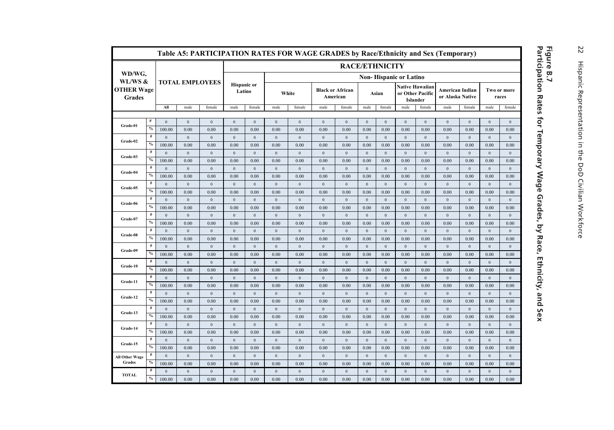|                             |               |                        |                        | Table A5: PARTICIPATION RATES FOR WAGE GRADES by Race/Ethnicity and Sex (Temporary) |                              |                      |                               |                      |                                     |                        |                        |                        |                                                        |                        |                                     |                        |                      |                      |  |  |
|-----------------------------|---------------|------------------------|------------------------|-------------------------------------------------------------------------------------|------------------------------|----------------------|-------------------------------|----------------------|-------------------------------------|------------------------|------------------------|------------------------|--------------------------------------------------------|------------------------|-------------------------------------|------------------------|----------------------|----------------------|--|--|
|                             |               |                        |                        |                                                                                     |                              |                      |                               |                      |                                     | <b>RACE/ETHNICITY</b>  |                        |                        |                                                        |                        |                                     |                        |                      |                      |  |  |
| WD/WG,<br>WL/WS &           |               |                        |                        |                                                                                     |                              |                      | <b>Non-Hispanic or Latino</b> |                      |                                     |                        |                        |                        |                                                        |                        |                                     |                        |                      |                      |  |  |
| <b>OTHER Wage</b><br>Grades |               |                        | <b>TOTAL EMPLOYEES</b> |                                                                                     | <b>Hispanic</b> or<br>Latino |                      |                               | White                | <b>Black or African</b><br>American |                        | Asian                  |                        | <b>Native Hawaiian</b><br>or Other Pacific<br>Islander |                        | American Indian<br>or Alaska Native |                        | Two or more<br>races |                      |  |  |
|                             |               | All                    | male                   | female                                                                              | male                         | female               | male                          | female               | male                                | female                 | male                   | female                 | male                                                   | female                 | male                                | female                 | male                 | female               |  |  |
|                             | #             | $\Omega$               |                        |                                                                                     |                              |                      |                               |                      |                                     |                        |                        |                        |                                                        |                        |                                     |                        |                      |                      |  |  |
| Grade-01                    | $\frac{0}{0}$ | 100.00                 | $\mathbf{0}$<br>0.00   | $\mathbf{0}$<br>0.00                                                                | $\overline{0}$<br>0.00       | $\mathbf{0}$<br>0.00 | $\mathbf{0}$<br>0.00          | $\mathbf{0}$<br>0.00 | $\mathbf{0}$<br>0.00                | $\overline{0}$<br>0.00 | $\overline{0}$<br>0.00 | $\overline{0}$<br>0.00 | $\mathbf{0}$<br>0.00                                   | $\overline{0}$<br>0.00 | $\mathbf{0}$<br>0.00                | $\overline{0}$<br>0.00 | $\mathbf{0}$<br>0.00 | $\mathbf{0}$<br>0.00 |  |  |
|                             | $\#$          | $\boldsymbol{0}$       | $\boldsymbol{0}$       | $\mathbf{0}$                                                                        | $\mathbf{0}$                 | $\mathbf{0}$         | $\boldsymbol{0}$              | $\boldsymbol{0}$     | $\boldsymbol{0}$                    | $\,0\,$                | $\,0\,$                | $\mathbf{0}$           | $\boldsymbol{0}$                                       | $\overline{0}$         | $\,0\,$                             | $\mathbf{0}$           | $\boldsymbol{0}$     | $\mathbf{0}$         |  |  |
| Grade-02                    | $\%$          | 100.00                 | 0.00                   | 0.00                                                                                | 0.00                         | 0.00                 | 0.00                          | 0.00                 | 0.00                                | 0.00                   | 0.00                   | 0.00                   | 0.00                                                   | 0.00                   | 0.00                                | 0.00                   | 0.00                 | 0.00                 |  |  |
|                             | #             | $\Omega$               | $\mathbf{0}$           | $\mathbf{0}$                                                                        | $\mathbf{0}$                 | $\mathbf{0}$         | $\boldsymbol{0}$              | $\bf{0}$             | $\boldsymbol{0}$                    | $\bf{0}$               | $\overline{0}$         | $\mathbf{0}$           | $\mathbf{0}$                                           | $\overline{0}$         | $\mathbf{0}$                        | $\overline{0}$         | $\boldsymbol{0}$     | $\mathbf{0}$         |  |  |
| Grade-03                    | $\%$          | 100.00                 | 0.00                   | 0.00                                                                                | 0.00                         | 0.00                 | 0.00                          | 0.00                 | 0.00                                | 0.00                   | 0.00                   | 0.00                   | 0.00                                                   | 0.00                   | 0.00                                | 0.00                   | 0.00                 | 0.00                 |  |  |
|                             | $\#$          | $\Omega$               | $\mathbf{0}$           | $\mathbf{0}$                                                                        | $\mathbf{0}$                 | $\mathbf{0}$         | $\mathbf{0}$                  | $\mathbf{0}$         | $\mathbf{0}$                        | $\overline{0}$         | $\overline{0}$         | $\mathbf{0}$           | $\mathbf{0}$                                           | $\overline{0}$         | $\mathbf{0}$                        | $\mathbf{0}$           | $\mathbf{0}$         | $\mathbf{0}$         |  |  |
| Grade-04                    | $\%$          | 100.00                 | 0.00                   | 0.00                                                                                | 0.00                         | 0.00                 | 0.00                          | 0.00                 | 0.00                                | 0.00                   | 0.00                   | 0.00                   | 0.00                                                   | 0.00                   | 0.00                                | 0.00                   | 0.00                 | 0.00                 |  |  |
|                             | #             | $\mathbf{0}$           | $\boldsymbol{0}$       | $\mathbf{0}$                                                                        | $\mathbf{0}$                 | $\mathbf{0}$         | $\boldsymbol{0}$              | $\mathbf{0}$         | $\boldsymbol{0}$                    | $\overline{0}$         | $\overline{0}$         | $\mathbf{0}$           | $\boldsymbol{0}$                                       | $\overline{0}$         | $\mathbf{0}$                        | $\overline{0}$         | $\boldsymbol{0}$     | $\mathbf{0}$         |  |  |
| Grade-05                    | $\%$          | 100.00                 | 0.00                   | 0.00                                                                                | 0.00                         | 0.00                 | 0.00                          | 0.00                 | 0.00                                | 0.00                   | 0.00                   | 0.00                   | 0.00                                                   | 0.00                   | 0.00                                | 0.00                   | 0.00                 | 0.00                 |  |  |
|                             | #             | $\Omega$               | $\mathbf{0}$           | $\mathbf{0}$                                                                        | $\mathbf{0}$                 | $\bf{0}$             | $\mathbf{0}$                  | $\mathbf{0}$         | $\mathbf{0}$                        | $\overline{0}$         | $\overline{0}$         | $\mathbf{0}$           | $\mathbf{0}$                                           | $\mathbf{0}$           | $\mathbf{0}$                        | $\overline{0}$         | $\bf{0}$             | $\mathbf{0}$         |  |  |
| Grade-06                    | $\%$          | 100.00                 | 0.00                   | 0.00                                                                                | 0.00                         | 0.00                 | 0.00                          | 0.00                 | 0.00                                | 0.00                   | 0.00                   | 0.00                   | 0.00                                                   | 0.00                   | 0.00                                | 0.00                   | 0.00                 | 0.00                 |  |  |
| Grade-07                    | $\#$          | $\Omega$               | $\theta$               | $\mathbf{0}$                                                                        | $\mathbf{0}$                 | $\mathbf{0}$         | $\Omega$                      | $\mathbf{0}$         | $\mathbf{0}$                        | $\overline{0}$         | $\overline{0}$         | $\mathbf{0}$           | $\mathbf{0}$                                           | $\overline{0}$         | $\mathbf{0}$                        | $\mathbf{0}$           | $\mathbf{0}$         | $\mathbf{0}$         |  |  |
|                             | $\frac{0}{0}$ | 100.00                 | 0.00                   | 0.00                                                                                | 0.00                         | 0.00                 | 0.00                          | 0.00                 | 0.00                                | 0.00                   | 0.00                   | 0.00                   | 0.00                                                   | 0.00                   | 0.00                                | 0.00                   | 0.00                 | 0.00                 |  |  |
| Grade-08                    | #             | $\Omega$               | $\mathbf{0}$           | $\mathbf{0}$                                                                        | $\mathbf{0}$                 | $\mathbf{0}$         | $\boldsymbol{0}$              | $\mathbf{0}$         | $\mathbf{0}$                        | $\overline{0}$         | $\mathbf{0}$           | $\mathbf{0}$           | $\mathbf{0}$                                           | $\mathbf{0}$           | $\mathbf{0}$                        | $\mathbf{0}$           | $\boldsymbol{0}$     | $\mathbf{0}$         |  |  |
|                             | $\%$          | 100.00                 | 0.00                   | 0.00                                                                                | 0.00                         | 0.00                 | 0.00                          | 0.00                 | 0.00                                | 0.00                   | 0.00                   | 0.00                   | 0.00                                                   | 0.00                   | 0.00                                | 0.00                   | 0.00                 | 0.00                 |  |  |
| Grade-09                    | #             | $\Omega$               | $\mathbf{0}$           | $\mathbf{0}$                                                                        | $\mathbf{0}$                 | $\mathbf{0}$         | $\theta$                      | $\mathbf{0}$         | $\mathbf{0}$                        | $\overline{0}$         | $\overline{0}$         | $\mathbf{0}$           | $\mathbf{0}$                                           | $\mathbf{0}$           | $\mathbf{0}$                        | $\mathbf{0}$           | $\boldsymbol{0}$     | $\mathbf{0}$         |  |  |
|                             | $\%$          | 100.00                 | 0.00                   | 0.00                                                                                | 0.00                         | 0.00                 | 0.00                          | 0.00                 | 0.00                                | 0.00                   | 0.00                   | 0.00                   | 0.00                                                   | 0.00                   | 0.00                                | 0.00                   | 0.00                 | 0.00                 |  |  |
| Grade-10                    | #             | $\Omega$               | $\mathbf{0}$           | $\mathbf{0}$                                                                        | $\mathbf{0}$                 | $\mathbf{0}$         | $\mathbf{0}$                  | $\mathbf{0}$         | $\mathbf{0}$                        | $\overline{0}$         | $\mathbf{0}$           | $\mathbf{0}$           | $\mathbf{0}$                                           | $\overline{0}$         | $\mathbf{0}$                        | $\mathbf{0}$           | $\boldsymbol{0}$     | $\mathbf{0}$         |  |  |
|                             | $\%$          | 100.00                 | 0.00                   | 0.00                                                                                | 0.00                         | 0.00                 | 0.00                          | 0.00                 | 0.00                                | 0.00                   | 0.00                   | 0.00                   | 0.00                                                   | 0.00                   | 0.00                                | 0.00                   | 0.00                 | 0.00                 |  |  |
| Grade-11                    | $\#$          | $\Omega$               | $\mathbf{0}$           | $\mathbf{0}$                                                                        | $\mathbf{0}$                 | $\mathbf{0}$         | $\mathbf{0}$                  | $\mathbf{0}$         | $\mathbf{0}$                        | $\overline{0}$         | $\overline{0}$         | $\mathbf{0}$           | $\mathbf{0}$                                           | $\overline{0}$         | $\mathbf{0}$                        | $\overline{0}$         | $\mathbf{0}$         | $\mathbf{0}$         |  |  |
|                             | $\%$          | 100.00                 | 0.00                   | 0.00                                                                                | 0.00                         | 0.00                 | 0.00                          | 0.00                 | 0.00                                | 0.00                   | 0.00                   | 0.00                   | 0.00                                                   | 0.00                   | 0.00                                | 0.00                   | 0.00                 | 0.00                 |  |  |
| Grade-12                    | #             | $\Omega$               | $\boldsymbol{0}$       | $\boldsymbol{0}$                                                                    | $\mathbf{0}$                 | $\boldsymbol{0}$     | $\boldsymbol{0}$              | $\boldsymbol{0}$     | $\boldsymbol{0}$                    | $\,0\,$                | $\bf{0}$               | $\mathbf{0}$           | $\boldsymbol{0}$                                       | $\mathbf{0}$           | $\,0\,$                             | $\overline{0}$         | $\boldsymbol{0}$     | $\mathbf{0}$         |  |  |
|                             | $\%$          | 100.00                 | 0.00                   | 0.00                                                                                | 0.00                         | 0.00                 | 0.00                          | 0.00                 | 0.00                                | 0.00                   | 0.00                   | 0.00                   | 0.00                                                   | 0.00                   | 0.00                                | 0.00                   | 0.00                 | 0.00                 |  |  |
| Grade-13                    | $\#$          | $\Omega$               | $\mathbf{0}$           | $\mathbf{0}$                                                                        | $\mathbf{0}$                 | $\mathbf{0}$         | $\mathbf{0}$                  | $\mathbf{0}$         | $\mathbf{0}$                        | $\overline{0}$         | $\mathbf{0}$           | $\mathbf{0}$           | $\mathbf{0}$                                           | $\overline{0}$         | $\mathbf{0}$                        | $\overline{0}$         | $\boldsymbol{0}$     | $\boldsymbol{0}$     |  |  |
|                             | $\%$          | 100.00                 | 0.00                   | 0.00                                                                                | 0.00                         | 0.00                 | 0.00                          | 0.00                 | 0.00                                | 0.00                   | 0.00                   | 0.00                   | 0.00                                                   | 0.00                   | 0.00                                | 0.00                   | 0.00                 | 0.00                 |  |  |
| Grade-14                    | $\#$<br>$\%$  | $\mathbf{0}$           | $\mathbf{0}$           | $\mathbf{0}$                                                                        | $\overline{0}$               | $\mathbf{0}$         | $\mathbf{0}$                  | $\mathbf{0}$         | $\mathbf{0}$                        | $\overline{0}$         | $\overline{0}$         | $\mathbf{0}$           | $\mathbf{0}$                                           | $\overline{0}$         | $\mathbf{0}$                        | $\overline{0}$         | $\mathbf{0}$         | $\mathbf{0}$         |  |  |
|                             | #             | 100.00                 | 0.00                   | 0.00                                                                                | 0.00                         | 0.00                 | 0.00                          | 0.00                 | 0.00                                | 0.00                   | 0.00                   | 0.00                   | 0.00                                                   | 0.00                   | 0.00                                | 0.00                   | 0.00                 | 0.00                 |  |  |
| Grade-15                    | $\frac{0}{0}$ | $\mathbf{0}$<br>100.00 | $\mathbf{0}$<br>0.00   | $\mathbf{0}$                                                                        | $\mathbf{0}$                 | $\mathbf{0}$         | $\boldsymbol{0}$              | $\mathbf{0}$         | $\mathbf{0}$                        | $\overline{0}$         | $\overline{0}$         | $\mathbf{0}$           | $\mathbf{0}$                                           | $\overline{0}$         | $\mathbf{0}$                        | $\overline{0}$         | $\boldsymbol{0}$     | $\,0\,$              |  |  |
|                             | #             | $\Omega$               |                        | 0.00                                                                                | 0.00                         | 0.00                 | 0.00                          | 0.00                 | 0.00                                | 0.00                   | 0.00                   | 0.00                   | 0.00                                                   | 0.00                   | 0.00                                | 0.00                   | 0.00                 | 0.00                 |  |  |
| All Other Wage<br>Grades    | $\%$          | 100.00                 | $\mathbf{0}$<br>0.00   | $\mathbf{0}$<br>0.00                                                                | $\mathbf{0}$<br>0.00         | $\mathbf{0}$<br>0.00 | $\mathbf{0}$<br>0.00          | $\mathbf{0}$<br>0.00 | $\mathbf{0}$<br>0.00                | $\overline{0}$<br>0.00 | $\overline{0}$<br>0.00 | $\mathbf{0}$<br>0.00   | $\mathbf{0}$<br>0.00                                   | $\overline{0}$<br>0.00 | $\mathbf{0}$<br>0.00                | $\overline{0}$<br>0.00 | $\mathbf{0}$<br>0.00 | $\mathbf{0}$<br>0.00 |  |  |
|                             | #             | $\Omega$               | $\mathbf{0}$           | $\mathbf{0}$                                                                        | $\mathbf{0}$                 | $\overline{0}$       | $\mathbf{0}$                  | $\mathbf{0}$         | $\mathbf{0}$                        | $\overline{0}$         | $\overline{0}$         | $\mathbf{0}$           | $\mathbf{0}$                                           | $\mathbf{0}$           | $\mathbf{0}$                        | $\mathbf{0}$           | $\mathbf{0}$         | $\mathbf{0}$         |  |  |
| <b>TOTAL</b>                | $\%$          | 100.00                 | 0.00                   | 0.00                                                                                | 0.00                         | 0.00                 | 0.00                          | 0.00                 | 0.00                                | 0.00                   | 0.00                   | 0.00                   | 0.00                                                   | 0.00                   | 0.00                                | 0.00                   | 0.00                 | 0.00                 |  |  |
|                             |               |                        |                        |                                                                                     |                              |                      |                               |                      |                                     |                        |                        |                        |                                                        |                        |                                     |                        |                      |                      |  |  |

## **Participation Rates for Temporary Wage Grades, by Race, Ethnicity, and Sex Figure B.7**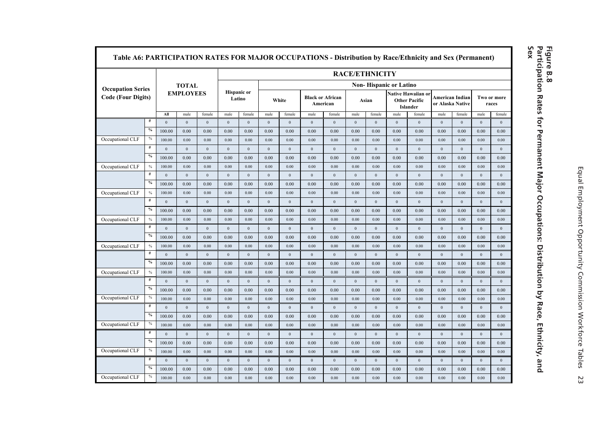| Table A6: PARTICIPATION RATES FOR MAJOR OCCUPATIONS - Distribution by Race/Ethnicity and Sex (Permanent) |               |                  |                  |                  |                              |                  |                  |                  |                  |                                     |                  |                  |                        |                                                        |              |                                     |                  |                      |  |
|----------------------------------------------------------------------------------------------------------|---------------|------------------|------------------|------------------|------------------------------|------------------|------------------|------------------|------------------|-------------------------------------|------------------|------------------|------------------------|--------------------------------------------------------|--------------|-------------------------------------|------------------|----------------------|--|
|                                                                                                          |               |                  |                  |                  | <b>RACE/ETHNICITY</b>        |                  |                  |                  |                  |                                     |                  |                  |                        |                                                        |              |                                     |                  |                      |  |
|                                                                                                          |               |                  | <b>TOTAL</b>     |                  |                              |                  |                  |                  |                  |                                     |                  |                  | Non-Hispanic or Latino |                                                        |              |                                     |                  |                      |  |
| <b>Occupation Series</b><br><b>Code (Four Digits)</b>                                                    |               |                  | <b>EMPLOYEES</b> |                  | <b>Hispanic or</b><br>Latino |                  |                  | White            |                  | <b>Black or African</b><br>American |                  | Asian            |                        | Native Hawaiian or<br><b>Other Pacific</b><br>Islander |              | American Indian<br>or Alaska Native |                  | Two or more<br>races |  |
|                                                                                                          |               | All              | male             | female           | male                         | female           | male             | female           | male             | female                              | male             | female           | male                   | female                                                 | male         | female                              | male             | female               |  |
|                                                                                                          | $\#$          | $\mathbf{0}$     | $\mathbf{0}$     | $\mathbf{0}$     | $\mathbf{0}$                 | $\mathbf{0}$     | $\mathbf{0}$     | $\mathbf{0}$     | $\mathbf{0}$     | $\overline{0}$                      | $\mathbf{0}$     | $\mathbf{0}$     | $\mathbf{0}$           | $\mathbf{0}$                                           | $\mathbf{0}$ | $\mathbf{0}$                        | $\mathbf{0}$     | $\mathbf{0}$         |  |
|                                                                                                          | $\frac{0}{6}$ | 100.00           | 0.00             | 0.00             | 0.00                         | 0.00             | 0.00             | 0.00             | 0.00             | 0.00                                | 0.00             | 0.00             | 0.00                   | 0.00                                                   | 0.00         | 0.00                                | 0.00             | 0.00                 |  |
| Occupational CLF                                                                                         | $\frac{0}{6}$ | 100.00           | 0.00             | 0.00             | 0.00                         | 0.00             | 0.00             | 0.00             | 0.00             | 0.00                                | 0.00             | 0.00             | 0.00                   | 0.00                                                   | 0.00         | 0.00                                | 0.00             | 0.00                 |  |
|                                                                                                          | $\#$          | $\mathbf{0}$     | $\mathbf{0}$     | $\mathbf{0}$     | $\mathbf{0}$                 | $\mathbf{0}$     | $\mathbf{0}$     | $\mathbf{0}$     | $\mathbf{0}$     | $\overline{0}$                      | $\mathbf{0}$     | $\mathbf{0}$     | $\mathbf{0}$           | $\mathbf{0}$                                           | $\mathbf{0}$ | $\mathbf{0}$                        | $\mathbf{0}$     | $\mathbf{0}$         |  |
|                                                                                                          | $\frac{0}{2}$ | 100.00           | 0.00             | 0.00             | 0.00                         | 0.00             | 0.00             | 0.00             | 0.00             | 0.00                                | 0.00             | 0.00             | 0.00                   | 0.00                                                   | 0.00         | 0.00                                | 0.00             | 0.00                 |  |
| Occupational CLF                                                                                         | $\%$          | 100.00           | 0.00             | 0.00             | 0.00                         | 0.00             | 0.00             | 0.00             | 0.00             | 0.00                                | 0.00             | 0.00             | 0.00                   | 0.00                                                   | 0.00         | 0.00                                | 0.00             | 0.00                 |  |
|                                                                                                          | $\#$          | $\boldsymbol{0}$ | $\mathbf{0}$     | $\mathbf{0}$     | $\mathbf{0}$                 | $\mathbf{0}$     | $\boldsymbol{0}$ | $\mathbf{0}$     | $\boldsymbol{0}$ | $\boldsymbol{0}$                    | $\bf{0}$         | $\mathbf{0}$     | $\mathbf{0}$           | $\boldsymbol{0}$                                       | $\mathbf{0}$ | $\mathbf{0}$                        | $\mathbf{0}$     | $\mathbf{0}$         |  |
|                                                                                                          | $\frac{0}{6}$ | 100.00           | 0.00             | 0.00             | 0.00                         | 0.00             | 0.00             | 0.00             | 0.00             | 0.00                                | 0.00             | 0.00             | 0.00                   | 0.00                                                   | 0.00         | 0.00                                | 0.00             | 0.00                 |  |
| Occupational CLF                                                                                         | $\frac{0}{0}$ | 100.00           | 0.00             | 0.00             | 0.00                         | 0.00             | 0.00             | 0.00             | 0.00             | 0.00                                | 0.00             | 0.00             | 0.00                   | 0.00                                                   | 0.00         | 0.00                                | 0.00             | 0.00                 |  |
|                                                                                                          | #             | $\boldsymbol{0}$ | $\mathbf{0}$     | $\mathbf{0}$     | $\mathbf{0}$                 | $\mathbf{0}$     | $\boldsymbol{0}$ | $\mathbf{0}$     | $\boldsymbol{0}$ | $\theta$                            | $\overline{0}$   | $\mathbf{0}$     | $\boldsymbol{0}$       | $\boldsymbol{0}$                                       | $\mathbf{0}$ | $\boldsymbol{0}$                    | $\mathbf{0}$     | $\mathbf{0}$         |  |
|                                                                                                          | $\frac{0}{6}$ | 100.00           | 0.00             | 0.00             | 0.00                         | 0.00             | 0.00             | 0.00             | 0.00             | 0.00                                | 0.00             | 0.00             | 0.00                   | 0.00                                                   | 0.00         | 0.00                                | 0.00             | 0.00                 |  |
| Occupational CLF                                                                                         | $\%$          | 100.00           | 0.00             | 0.00             | 0.00                         | 0.00             | 0.00             | 0.00             | 0.00             | 0.00                                | 0.00             | 0.00             | 0.00                   | 0.00                                                   | 0.00         | 0.00                                | 0.00             | 0.00                 |  |
|                                                                                                          | #             | $\bf{0}$         | $\bf{0}$         | $\boldsymbol{0}$ | $\boldsymbol{0}$             | $\mathbf{0}$     | $\bf{0}$         | $\boldsymbol{0}$ | $\boldsymbol{0}$ | $\mathbf{0}$                        | $\bf{0}$         | $\bf{0}$         | $\boldsymbol{0}$       | $\boldsymbol{0}$                                       | $\mathbf{0}$ | $\boldsymbol{0}$                    | $\mathbf{0}$     | $\mathbf{0}$         |  |
|                                                                                                          | $\frac{0}{6}$ | 100.00           | 0.00             | 0.00             | 0.00                         | 0.00             | 0.00             | 0.00             | 0.00             | 0.00                                | 0.00             | 0.00             | 0.00                   | 0.00                                                   | 0.00         | 0.00                                | 0.00             | 0.00                 |  |
| Occupational CLF                                                                                         | $\frac{0}{0}$ | 100.00           | 0.00             | 0.00             | 0.00                         | 0.00             | 0.00             | 0.00             | 0.00             | 0.00                                | 0.00             | 0.00             | 0.00                   | 0.00                                                   | 0.00         | 0.00                                | 0.00             | 0.00                 |  |
|                                                                                                          | $\#$          | $\bf{0}$         | $\mathbf{0}$     | $\mathbf{0}$     | $\mathbf{0}$                 | $\mathbf{0}$     | $\bf{0}$         | $\mathbf{0}$     | $\mathbf{0}$     | $\bf{0}$                            | $\mathbf{0}$     | $\mathbf{0}$     | $\mathbf{0}$           | $\mathbf{0}$                                           | $\mathbf{0}$ | $\mathbf{0}$                        | $\mathbf{0}$     | $\mathbf{0}$         |  |
|                                                                                                          | $\frac{0}{6}$ | 100.00           | 0.00             | 0.00             | 0.00                         | 0.00             | 0.00             | 0.00             | 0.00             | 0.00                                | 0.00             | 0.00             | 0.00                   | 0.00                                                   | 0.00         | 0.00                                | 0.00             | 0.00                 |  |
| Occupational CLF                                                                                         | $\frac{0}{6}$ | 100.00           | 0.00             | 0.00             | 0.00                         | 0.00             | 0.00             | 0.00             | 0.00             | 0.00                                | 0.00             | 0.00             | 0.00                   | 0.00                                                   | 0.00         | 0.00                                | 0.00             | 0.00                 |  |
|                                                                                                          | $\#$          | $\mathbf{0}$     | $\mathbf{0}$     | $\mathbf{0}$     | $\mathbf{0}$                 | $\mathbf{0}$     | $\mathbf{0}$     | $\mathbf{0}$     | $\mathbf{0}$     | $\Omega$                            | $\mathbf{0}$     | $\mathbf{0}$     | $\mathbf{0}$           | $\mathbf{0}$                                           | $\mathbf{0}$ | $\mathbf{0}$                        | $\mathbf{0}$     | $\mathbf{0}$         |  |
|                                                                                                          | $\frac{0}{6}$ | 100.00           | 0.00             | 0.00             | 0.00                         | 0.00             | 0.00             | 0.00             | 0.00             | 0.00                                | 0.00             | 0.00             | 0.00                   | 0.00                                                   | 0.00         | 0.00                                | 0.00             | 0.00                 |  |
| Occupational CLF                                                                                         | $\frac{0}{6}$ | 100.00           | 0.00             | 0.00             | 0.00                         | 0.00             | 0.00             | 0.00             | 0.00             | 0.00                                | 0.00             | 0.00             | 0.00                   | 0.00                                                   | 0.00         | 0.00                                | 0.00             | 0.00                 |  |
|                                                                                                          | #             | $\mathbf{0}$     | $\mathbf{0}$     | $\mathbf{0}$     | $\mathbf{0}$                 | $\mathbf{0}$     | $\mathbf{0}$     | $\mathbf{0}$     | $\mathbf{0}$     | $\overline{0}$                      | $\mathbf{0}$     | $\mathbf{0}$     | $\mathbf{0}$           | $\mathbf{0}$                                           | $\mathbf{0}$ | $\mathbf{0}$                        | $\mathbf{0}$     | $\mathbf{0}$         |  |
|                                                                                                          | $\%$          | 100.00           | 0.00             | 0.00             | 0.00                         | 0.00             | 0.00             | 0.00             | 0.00             | 0.00                                | 0.00             | 0.00             | 0.00                   | 0.00                                                   | 0.00         | 0.00                                | 0.00             | 0.00                 |  |
| Occupational CLF                                                                                         | $\%$          | 100.00           | 0.00             | 0.00             | 0.00                         | 0.00             | 0.00             | 0.00             | 0.00             | 0.00                                | 0.00             | 0.00             | 0.00                   | 0.00                                                   | 0.00         | 0.00                                | 0.00             | 0.00                 |  |
|                                                                                                          | $\#$          | $\mathbf{0}$     | $\mathbf{0}$     | $\mathbf{0}$     | $\mathbf{0}$                 | $\mathbf{0}$     | $\boldsymbol{0}$ | $\mathbf{0}$     | $\mathbf{0}$     | $\overline{0}$                      | $\mathbf{0}$     | $\mathbf{0}$     | $\mathbf{0}$           | $\mathbf{0}$                                           | $\mathbf{0}$ | $\mathbf{0}$                        | $\mathbf{0}$     | $\mathbf{0}$         |  |
|                                                                                                          | $\frac{0}{6}$ | 100.00           | 0.00             | 0.00             | 0.00                         | 0.00             | 0.00             | 0.00             | 0.00             | 0.00                                | 0.00             | 0.00             | 0.00                   | 0.00                                                   | 0.00         | 0.00                                | 0.00             | 0.00                 |  |
| Occupational CLF                                                                                         | $\%$          |                  |                  |                  |                              |                  |                  |                  |                  |                                     |                  |                  |                        |                                                        |              |                                     |                  |                      |  |
|                                                                                                          | #             | 100.00           | 0.00             | 0.00             | 0.00                         | 0.00             | 0.00             | 0.00             | 0.00             | 0.00                                | 0.00             | 0.00             | 0.00                   | 0.00                                                   | 0.00         | 0.00                                | 0.00             | 0.00<br>$\mathbf{0}$ |  |
|                                                                                                          | $\frac{0}{0}$ | $\boldsymbol{0}$ | $\boldsymbol{0}$ | $\boldsymbol{0}$ | $\boldsymbol{0}$             | $\boldsymbol{0}$ | $\boldsymbol{0}$ | $\boldsymbol{0}$ | $\boldsymbol{0}$ | $\boldsymbol{0}$                    | $\boldsymbol{0}$ | $\boldsymbol{0}$ | $\boldsymbol{0}$       | $\bf{0}$                                               | $\mathbf{0}$ | $\boldsymbol{0}$                    | $\boldsymbol{0}$ |                      |  |
|                                                                                                          | $\%$          | 100.00           | 0.00             | 0.00             | 0.00                         | 0.00             | 0.00             | 0.00             | 0.00             | 0.00                                | 0.00             | 0.00             | 0.00                   | 0.00                                                   | 0.00         | 0.00                                | 0.00             | 0.00                 |  |
| Occupational CLF                                                                                         |               | 100.00           | 0.00             | 0.00             | 0.00                         | 0.00             | 0.00             | 0.00             | 0.00             | 0.00                                | 0.00             | 0.00             | 0.00                   | 0.00                                                   | 0.00         | 0.00                                | 0.00             | 0.00                 |  |



Equal Employment Opportunity Commission Workforce Tables Equal Employment Opportunity Commission Workforce Tables 23 23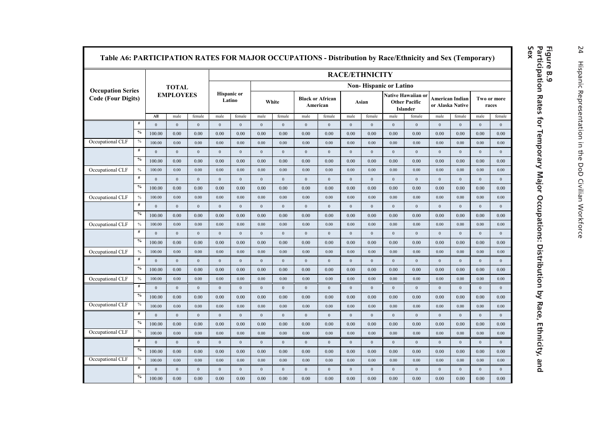|                           |               |                  |                  |                  |                              | <b>RACE/ETHNICITY</b> |                               |                  |                                     |                  |                  |              |                  |                                                        |                  |                                     |                      |                  |  |  |
|---------------------------|---------------|------------------|------------------|------------------|------------------------------|-----------------------|-------------------------------|------------------|-------------------------------------|------------------|------------------|--------------|------------------|--------------------------------------------------------|------------------|-------------------------------------|----------------------|------------------|--|--|
| <b>Occupation Series</b>  |               | <b>TOTAL</b>     |                  |                  |                              |                       | <b>Non-Hispanic or Latino</b> |                  |                                     |                  |                  |              |                  |                                                        |                  |                                     |                      |                  |  |  |
| <b>Code (Four Digits)</b> |               |                  | <b>EMPLOYEES</b> |                  | <b>Hispanic or</b><br>Latino |                       | White                         |                  | <b>Black or African</b><br>American |                  |                  | Asian        |                  | Native Hawaiian or<br><b>Other Pacific</b><br>Islander |                  | American Indian<br>or Alaska Native | Two or more<br>races |                  |  |  |
|                           |               | All              | male             | female           | male                         | female                | male                          | female           | male                                | female           | male             | female       | male             | female                                                 | male             | female                              | male                 | female           |  |  |
|                           | #             | $\mathbf{0}$     | $\overline{0}$   | $\mathbf{0}$     | $\mathbf{0}$                 | $\overline{0}$        | $\mathbf{0}$                  | $\mathbf{0}$     | $\mathbf{0}$                        | $\mathbf{0}$     | $\mathbf{0}$     | $\mathbf{0}$ | $\mathbf{0}$     | $\mathbf{0}$                                           | $\mathbf{0}$     | $\mathbf{0}$                        | $\overline{0}$       | $\mathbf{0}$     |  |  |
|                           | $\%$          | 100.00           | 0.00             | 0.00             | 0.00                         | 0.00                  | 0.00                          | 0.00             | 0.00                                | 0.00             | 0.00             | 0.00         | 0.00             | 0.00                                                   | 0.00             | 0.00                                | 0.00                 | 0.00             |  |  |
| Occupational CLF          | $\%$          | 100.00           | 0.00             | 0.00             | 0.00                         | 0.00                  | 0.00                          | 0.00             | 0.00                                | 0.00             | 0.00             | 0.00         | 0.00             | 0.00                                                   | 0.00             | 0.00                                | 0.00                 | 0.00             |  |  |
|                           | $\#$          | $\mathbf{0}$     | $\overline{0}$   | $\overline{0}$   | $\mathbf{0}$                 | $\overline{0}$        | $\mathbf{0}$                  | $\mathbf{0}$     | $\mathbf{0}$                        | $\bf{0}$         | $\boldsymbol{0}$ | $\mathbf{0}$ | $\mathbf{0}$     | $\mathbf{0}$                                           | $\mathbf{0}$     | $\overline{0}$                      | $\overline{0}$       | $\mathbf{0}$     |  |  |
|                           | $\%$          | 100.00           | 0.00             | 0.00             | 0.00                         | 0.00                  | 0.00                          | 0.00             | 0.00                                | 0.00             | 0.00             | 0.00         | 0.00             | 0.00                                                   | 0.00             | 0.00                                | 0.00                 | 0.00             |  |  |
| Occupational CLF          | $\%$          | 100.00           | 0.00             | 0.00             | 0.00                         | 0.00                  | 0.00                          | 0.00             | 0.00                                | 0.00             | 0.00             | 0.00         | 0.00             | 0.00                                                   | 0.00             | 0.00                                | 0.00                 | 0.00             |  |  |
|                           | $\#$          | $\boldsymbol{0}$ | $\overline{0}$   | $\,0\,$          | $\boldsymbol{0}$             | $\overline{0}$        | $\mathbf{0}$                  | $\boldsymbol{0}$ | $\boldsymbol{0}$                    | $\,0\,$          | $\boldsymbol{0}$ | $\mathbf{0}$ | $\mathbf{0}$     | $\boldsymbol{0}$                                       | $\,0\,$          | $\mathbf{0}$                        | $\,0\,$              | $\mathbf{0}$     |  |  |
|                           | $\%$          | 100.00           | 0.00             | 0.00             | 0.00                         | 0.00                  | 0.00                          | 0.00             | 0.00                                | 0.00             | 0.00             | 0.00         | 0.00             | 0.00                                                   | 0.00             | 0.00                                | 0.00                 | 0.00             |  |  |
| Occupational CLF          | $\frac{0}{0}$ | 100.00           | 0.00             | 0.00             | 0.00                         | 0.00                  | 0.00                          | 0.00             | 0.00                                | 0.00             | 0.00             | 0.00         | 0.00             | 0.00                                                   | 0.00             | 0.00                                | 0.00                 | 0.00             |  |  |
|                           | #             | $\boldsymbol{0}$ | $\boldsymbol{0}$ | $\bf{0}$         | $\boldsymbol{0}$             | $\overline{0}$        | $\boldsymbol{0}$              | $\boldsymbol{0}$ | $\boldsymbol{0}$                    | $\boldsymbol{0}$ | $\boldsymbol{0}$ | $\mathbf{0}$ | $\boldsymbol{0}$ | $\mathbf{0}$                                           | $\boldsymbol{0}$ | $\mathbf{0}$                        | $\bf{0}$             | $\bf{0}$         |  |  |
|                           | $\frac{6}{6}$ | 100.00           | 0.00             | 0.00             | 0.00                         | 0.00                  | 0.00                          | 0.00             | 0.00                                | 0.00             | 0.00             | 0.00         | 0.00             | 0.00                                                   | 0.00             | 0.00                                | 0.00                 | 0.00             |  |  |
| Occupational CLF          | $\frac{0}{0}$ | 100.00           | 0.00             | 0.00             | 0.00                         | 0.00                  | 0.00                          | 0.00             | 0.00                                | 0.00             | 0.00             | 0.00         | 0.00             | 0.00                                                   | 0.00             | 0.00                                | 0.00                 | 0.00             |  |  |
|                           | $\#$          | $\mathbf{0}$     | $\mathbf{0}$     | $\overline{0}$   | $\mathbf{0}$                 | $\overline{0}$        | $\mathbf{0}$                  | $\mathbf{0}$     | $\mathbf{0}$                        | $\mathbf{0}$     | $\mathbf{0}$     | $\mathbf{0}$ | $\mathbf{0}$     | $\mathbf{0}$                                           | $\mathbf{0}$     | $\mathbf{0}$                        | $\overline{0}$       | $\mathbf{0}$     |  |  |
|                           | $\%$          | 100.00           | 0.00             | 0.00             | 0.00                         | 0.00                  | 0.00                          | 0.00             | 0.00                                | 0.00             | 0.00             | 0.00         | 0.00             | 0.00                                                   | 0.00             | 0.00                                | 0.00                 | 0.00             |  |  |
| Occupational CLF          | $\frac{0}{0}$ | 100.00           | 0.00             | 0.00             | 0.00                         | 0.00                  | 0.00                          | 0.00             | 0.00                                | 0.00             | 0.00             | 0.00         | 0.00             | 0.00                                                   | 0.00             | 0.00                                | 0.00                 | 0.00             |  |  |
|                           | $\#$          | $\bf{0}$         | $\mathbf{0}$     | $\bf{0}$         | $\mathbf{0}$                 | $\mathbf{0}$          | $\bf{0}$                      | $\mathbf{0}$     | $\bf{0}$                            | $\mathbf{0}$     | $\bf{0}$         | $\mathbf{0}$ | $\bf{0}$         | $\mathbf{0}$                                           | $\bf{0}$         | $\mathbf{0}$                        | $\overline{0}$       | $\mathbf{0}$     |  |  |
|                           | $\%$          | 100.00           | 0.00             | 0.00             | 0.00                         | 0.00                  | 0.00                          | 0.00             | 0.00                                | 0.00             | 0.00             | 0.00         | 0.00             | 0.00                                                   | 0.00             | 0.00                                | 0.00                 | 0.00             |  |  |
| Occupational CLF          | $\%$          | 100.00           | 0.00             | 0.00             | 0.00                         | 0.00                  | 0.00                          | 0.00             | 0.00                                | 0.00             | 0.00             | 0.00         | 0.00             | 0.00                                                   | 0.00             | 0.00                                | 0.00                 | 0.00             |  |  |
|                           | #             | $\mathbf{0}$     | $\mathbf{0}$     | $\boldsymbol{0}$ | $\mathbf{0}$                 | $\mathbf{0}$          | $\boldsymbol{0}$              | $\boldsymbol{0}$ | $\boldsymbol{0}$                    | $\mathbf{0}$     | $\boldsymbol{0}$ | $\mathbf{0}$ | $\boldsymbol{0}$ | $\mathbf{0}$                                           | $\bf{0}$         | $\mathbf{0}$                        | $\overline{0}$       | $\mathbf{0}$     |  |  |
|                           | $\%$          | 100.00           | 0.00             | 0.00             | 0.00                         | 0.00                  | 0.00                          | 0.00             | 0.00                                | 0.00             | 0.00             | 0.00         | 0.00             | 0.00                                                   | 0.00             | 0.00                                | 0.00                 | 0.00             |  |  |
| Occupational CLF          | $\%$          | 100.00           | 0.00             | 0.00             | 0.00                         | 0.00                  | 0.00                          | 0.00             | 0.00                                | 0.00             | 0.00             | 0.00         | 0.00             | 0.00                                                   | 0.00             | 0.00                                | 0.00                 | 0.00             |  |  |
|                           | #             | $\bf{0}$         | $\mathbf{0}$     | $\boldsymbol{0}$ | $\bf{0}$                     | $\mathbf{0}$          | $\bf{0}$                      | $\boldsymbol{0}$ | $\boldsymbol{0}$                    | $\mathbf{0}$     | $\boldsymbol{0}$ | $\mathbf{0}$ | $\boldsymbol{0}$ | $\mathbf{0}$                                           | $\bf{0}$         | $\mathbf{0}$                        | $\overline{0}$       | $\boldsymbol{0}$ |  |  |
|                           | $\%$          | 100.00           | 0.00             | 0.00             | 0.00                         | 0.00                  | 0.00                          | 0.00             | 0.00                                | 0.00             | 0.00             | 0.00         | 0.00             | 0.00                                                   | 0.00             | 0.00                                | 0.00                 | 0.00             |  |  |
| Occupational CLF          | $\%$          | 100.00           | 0.00             | 0.00             | 0.00                         | 0.00                  | 0.00                          | 0.00             | 0.00                                | 0.00             | 0.00             | 0.00         | 0.00             | 0.00                                                   | 0.00             | 0.00                                | 0.00                 | 0.00             |  |  |
|                           | #             | $\mathbf{0}$     | $\mathbf{0}$     | $\mathbf{0}$     | $\mathbf{0}$                 | $\mathbf{0}$          | $\mathbf{0}$                  | $\mathbf{0}$     | $\mathbf{0}$                        | $\mathbf{0}$     | $\mathbf{0}$     | $\mathbf{0}$ | $\mathbf{0}$     | $\mathbf{0}$                                           | $\mathbf{0}$     | $\mathbf{0}$                        | $\overline{0}$       | $\mathbf{0}$     |  |  |
|                           | $\%$          | 100.00           | 0.00             | 0.00             | 0.00                         | 0.00                  | 0.00                          | 0.00             | 0.00                                | 0.00             | 0.00             | 0.00         | 0.00             | 0.00                                                   | 0.00             | 0.00                                | 0.00                 | 0.00             |  |  |
| Occupational CLF          | $\%$          | 100.00           | 0.00             | 0.00             | 0.00                         | 0.00                  | 0.00                          | 0.00             | 0.00                                | 0.00             | 0.00             | 0.00         | 0.00             | 0.00                                                   | 0.00             | 0.00                                | 0.00                 | 0.00             |  |  |
|                           | #             | $\overline{0}$   | $\mathbf{0}$     | $\bf{0}$         | $\mathbf{0}$                 | $\mathbf{0}$          | $\mathbf{0}$                  | $\mathbf{0}$     | $\bf{0}$                            | $\mathbf{0}$     | $\boldsymbol{0}$ | $\mathbf{0}$ | $\bf{0}$         | $\mathbf{0}$                                           | $\bf{0}$         | $\mathbf{0}$                        | $\overline{0}$       | $\mathbf{0}$     |  |  |
|                           | $\%$          | 100.00           | 0.00             | 0.00             | 0.00                         | 0.00                  | 0.00                          | 0.00             | 0.00                                | 0.00             | 0.00             | 0.00         | 0.00             | 0.00                                                   | 0.00             | 0.00                                | 0.00                 | 0.00             |  |  |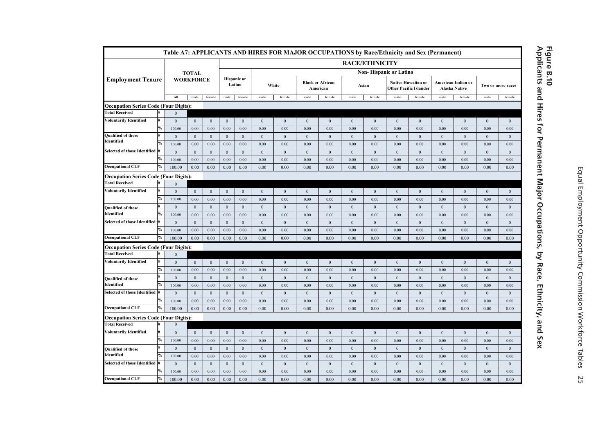|                                              |               |                  |                  |                  |                              |                  |                  |                  |                  |                                     |                  |                       | Table A7: APPLICANTS AND HIRES FOR MAJOR OCCUPATIONS by Race/Ethnicity and Sex (Permanent) |                           |                  |                                            |                  |                   |
|----------------------------------------------|---------------|------------------|------------------|------------------|------------------------------|------------------|------------------|------------------|------------------|-------------------------------------|------------------|-----------------------|--------------------------------------------------------------------------------------------|---------------------------|------------------|--------------------------------------------|------------------|-------------------|
|                                              |               |                  |                  |                  |                              |                  |                  |                  |                  |                                     |                  | <b>RACE/ETHNICITY</b> |                                                                                            |                           |                  |                                            |                  |                   |
|                                              |               |                  | <b>TOTAL</b>     |                  |                              |                  |                  |                  |                  |                                     |                  |                       | <b>Non-Hispanic or Latino</b>                                                              |                           |                  |                                            |                  |                   |
| <b>Employment Tenure</b>                     |               |                  | <b>WORKFORCE</b> |                  | <b>Hispanic</b> or<br>Latino |                  |                  | White            |                  | <b>Black or African</b><br>American | Asian            |                       | <b>Other Pacific Islander</b>                                                              | <b>Native Hawaiian or</b> |                  | American Indian or<br><b>Alaska Native</b> |                  | Two or more races |
|                                              |               | All              | male             | female           | male                         | female           | male             | female           | male             | female                              | male             | female                | male                                                                                       | female                    | male             | female                                     | male             | female            |
| <b>Occupation Series Code (Four Digits):</b> |               |                  |                  |                  |                              |                  |                  |                  |                  |                                     |                  |                       |                                                                                            |                           |                  |                                            |                  |                   |
| <b>Total Received</b>                        |               | $\theta$         |                  |                  |                              |                  |                  |                  |                  |                                     |                  |                       |                                                                                            |                           |                  |                                            |                  |                   |
| <b>Voluntarily Identified</b>                | #             | $\overline{0}$   | $\boldsymbol{0}$ | $\boldsymbol{0}$ | $\bf{0}$                     | $\bf{0}$         | $\bf{0}$         | $\boldsymbol{0}$ | $\boldsymbol{0}$ | $\mathbf{0}$                        | $\boldsymbol{0}$ | $\boldsymbol{0}$      | $\mathbf{0}$                                                                               | $\mathbf{0}$              | $\bf{0}$         | $\mathbf{0}$                               | $\mathbf{0}$     | $\bf{0}$          |
|                                              | $\%$          | 100.00           | 0.00             | 0.00             | 0.00                         | 0.00             | 0.00             | 0.00             | 0.00             | 0.00                                | 0.00             | 0.00                  | 0.00                                                                                       | 0.00                      | 0.00             | 0.00                                       | 0.00             | 0.00              |
| <b>Qualified of those</b><br>Identified      | #             | $\overline{0}$   | $\mathbf{0}$     | $\mathbf{0}$     | $\mathbf{0}$                 | $\mathbf{0}$     | $\mathbf{0}$     | $\mathbf{0}$     | $\mathbf{0}$     | $\mathbf{0}$                        | $\mathbf{0}$     | $\mathbf{0}$          | $\mathbf{0}$                                                                               | $\mathbf{0}$              | $\mathbf{0}$     | $\mathbf{0}$                               | $\mathbf{0}$     | $\mathbf{0}$      |
|                                              | $\%$          | 100.00           | 0.00             | 0.00             | 0.00                         | 0.00             | 0.00             | 0.00             | 0.00             | 0.00                                | 0.00             | 0.00                  | 0.00                                                                                       | 0.00                      | 0.00             | 0.00                                       | 0.00             | 0.00              |
| <b>Selected of those Identified</b>          | #             | $\mathbf{0}$     | $\mathbf{0}$     | $\mathbf{0}$     | $\mathbf{0}$                 | $\mathbf{0}$     | $\mathbf{0}$     | $\mathbf{0}$     | $\mathbf{0}$     | $\mathbf{0}$                        | $\mathbf{0}$     | $\mathbf{0}$          | $\mathbf{0}$                                                                               | $\mathbf{0}$              | $\mathbf{0}$     | $\boldsymbol{0}$                           | $\mathbf{0}$     | $\mathbf{0}$      |
|                                              | $\%$          | 100.00           | 0.00             | 0.00             | 0.00                         | 0.00             | 0.00             | 0.00             | 0.00             | 0.00                                | 0.00             | 0.00                  | 0.00                                                                                       | 0.00                      | 0.00             | 0.00                                       | 0.00             | 0.00              |
| <b>Occupational CLF</b>                      | $\%$          | 100.00           | 0.00             | 0.00             | 0.00                         | 0.00             | 0.00             | 0.00             | 0.00             | 0.00                                | 0.00             | 0.00                  | 0.00                                                                                       | 0.00                      | 0.00             | 0.00                                       | 0.00             | 0.00              |
| <b>Occupation Series Code (Four Digits):</b> |               |                  |                  |                  |                              |                  |                  |                  |                  |                                     |                  |                       |                                                                                            |                           |                  |                                            |                  |                   |
| <b>Total Received</b>                        |               | $\boldsymbol{0}$ |                  |                  |                              |                  |                  |                  |                  |                                     |                  |                       |                                                                                            |                           |                  |                                            |                  |                   |
| <b>Voluntarily Identified</b>                | #             | $\mathbf{0}$     | $\mathbf{0}$     | $\mathbf{0}$     | $\mathbf{0}$                 | $\mathbf{0}$     | $\mathbf{0}$     | $\mathbf{0}$     | $\mathbf{0}$     | $\mathbf{0}$                        | $\mathbf{0}$     | $\mathbf{0}$          | $\mathbf{0}$                                                                               | $\mathbf{0}$              | $\mathbf{0}$     | $\mathbf{0}$                               | $\mathbf{0}$     | $\mathbf{0}$      |
|                                              | $\%$          | 100.00           | 0.00             | 0.00             | 0.00                         | 0.00             | 0.00             | 0.00             | 0.00             | 0.00                                | 0.00             | 0.00                  | 0.00                                                                                       | 0.00                      | 0.00             | 0.00                                       | 0.00             | 0.00              |
| <b>Qualified of those</b>                    | #             | $\overline{0}$   | $\mathbf{0}$     | $\mathbf{0}$     | $\boldsymbol{0}$             | $\boldsymbol{0}$ | $\boldsymbol{0}$ | $\boldsymbol{0}$ | $\boldsymbol{0}$ | $\boldsymbol{0}$                    | $\boldsymbol{0}$ | $\boldsymbol{0}$      | $\boldsymbol{0}$                                                                           | $\boldsymbol{0}$          | $\boldsymbol{0}$ | $\boldsymbol{0}$                           | $\boldsymbol{0}$ | $\boldsymbol{0}$  |
| Identified                                   | $\frac{6}{6}$ | 100.00           | 0.00             | 0.00             | 0.00                         | 0.00             | 0.00             | 0.00             | 0.00             | 0.00                                | 0.00             | 0.00                  | 0.00                                                                                       | 0.00                      | 0.00             | 0.00                                       | 0.00             | 0.00              |
| <b>Selected of those Identified</b>          | #             | $\mathbf{0}$     | $\mathbf{0}$     | $\mathbf{0}$     | $\bf{0}$                     | $\mathbf{0}$     | $\bf{0}$         | $\boldsymbol{0}$ | $\boldsymbol{0}$ | $\mathbf{0}$                        | $\boldsymbol{0}$ | $\boldsymbol{0}$      | $\mathbf{0}$                                                                               | $\bf{0}$                  | $\bf{0}$         | $\mathbf{0}$                               | $\mathbf{0}$     | $\bf{0}$          |
|                                              | $\%$          | 100.00           | 0.00             | 0.00             | 0.00                         | 0.00             | 0.00             | 0.00             | 0.00             | 0.00                                | 0.00             | 0.00                  | 0.00                                                                                       | 0.00                      | 0.00             | 0.00                                       | 0.00             | 0.00              |
| <b>Occupational CLF</b>                      | $\%$          | 100.00           | 0.00             | 0.00             | 0.00                         | 0.00             | 0.00             | 0.00             | 0.00             | 0.00                                | 0.00             | 0.00                  | 0.00                                                                                       | 0.00                      | 0.00             | 0.00                                       | 0.00             | 0.00              |
| <b>Occupation Series Code (Four Digits):</b> |               |                  |                  |                  |                              |                  |                  |                  |                  |                                     |                  |                       |                                                                                            |                           |                  |                                            |                  |                   |
| <b>Total Received</b>                        |               | $\mathbf{0}$     |                  |                  |                              |                  |                  |                  |                  |                                     |                  |                       |                                                                                            |                           |                  |                                            |                  |                   |
| <b>Voluntarily Identified</b>                | #             | $\mathbf{0}$     | $\mathbf{0}$     | $\mathbf{0}$     | $\mathbf{0}$                 | $\mathbf{0}$     | $\mathbf{0}$     | $\mathbf{0}$     | $\mathbf{0}$     | $\mathbf{0}$                        | $\mathbf{0}$     | $\mathbf{0}$          | $\mathbf{0}$                                                                               | $\mathbf{0}$              | $\mathbf{0}$     | $\mathbf{0}$                               | $\mathbf{0}$     | $\mathbf{0}$      |
|                                              | $\frac{0}{0}$ | 100.00           | 0.00             | 0.00             | 0.00                         | 0.00             | 0.00             | 0.00             | 0.00             | 0.00                                | 0.00             | 0.00                  | 0.00                                                                                       | 0.00                      | 0.00             | 0.00                                       | 0.00             | 0.00              |
| <b>Qualified of those</b>                    | #             | $\mathbf{0}$     | $\boldsymbol{0}$ | $\mathbf{0}$     | $\mathbf{0}$                 | $\mathbf{0}$     | $\boldsymbol{0}$ | $\boldsymbol{0}$ | $\boldsymbol{0}$ | $\boldsymbol{0}$                    | $\boldsymbol{0}$ | $\boldsymbol{0}$      | $\boldsymbol{0}$                                                                           | $\boldsymbol{0}$          | $\boldsymbol{0}$ | $\mathbf{0}$                               | $\mathbf{0}$     | $\bf{0}$          |
| Identified                                   | $\%$          | 100.00           | 0.00             | 0.00             | 0.00                         | 0.00             | 0.00             | 0.00             | 0.00             | 0.00                                | 0.00             | 0.00                  | 0.00                                                                                       | 0.00                      | 0.00             | 0.00                                       | 0.00             | 0.00              |
| <b>Selected of those Identified</b>          | l#            | $\mathbf{0}$     | $\mathbf{0}$     | $\mathbf{0}$     | $\mathbf{0}$                 | $\mathbf{0}$     | $\mathbf{0}$     | $\mathbf{0}$     | $\mathbf{0}$     | $\mathbf{0}$                        | $\boldsymbol{0}$ | $\boldsymbol{0}$      | $\bf{0}$                                                                                   | $\mathbf{0}$              | $\mathbf{0}$     | $\mathbf{0}$                               | $\mathbf{0}$     | $\mathbf{0}$      |
|                                              | $\%$          | 100.00           | 0.00             | 0.00             | 0.00                         | 0.00             | 0.00             | 0.00             | 0.00             | 0.00                                | 0.00             | 0.00                  | 0.00                                                                                       | 0.00                      | 0.00             | 0.00                                       | 0.00             | 0.00              |
| <b>Occupational CLF</b>                      | $\%$          | 100.00           | 0.00             | 0.00             | 0.00                         | 0.00             | 0.00             | 0.00             | 0.00             | 0.00                                | 0.00             | 0.00                  | 0.00                                                                                       | 0.00                      | 0.00             | 0.00                                       | 0.00             | 0.00              |
| <b>Occupation Series Code (Four Digits):</b> |               |                  |                  |                  |                              |                  |                  |                  |                  |                                     |                  |                       |                                                                                            |                           |                  |                                            |                  |                   |
| <b>Total Received</b>                        |               |                  |                  |                  |                              |                  |                  |                  |                  |                                     |                  |                       |                                                                                            |                           |                  |                                            |                  |                   |
| <b>Voluntarily Identified</b>                | #             | $\mathbf{0}$     | $\mathbf{0}$     | $\mathbf{0}$     | $\bf{0}$                     | $\mathbf{0}$     | $\bf{0}$         | $\boldsymbol{0}$ | $\boldsymbol{0}$ | $\boldsymbol{0}$                    | $\boldsymbol{0}$ | $\boldsymbol{0}$      | $\mathbf{0}$                                                                               | $\bf{0}$                  | $\bf{0}$         | $\mathbf{0}$                               | $\bf{0}$         | $\bf{0}$          |
|                                              | $\%$          | 100.00           | 0.00             | 0.00             | 0.00                         | 0.00             | 0.00             | 0.00             | 0.00             | 0.00                                | 0.00             | 0.00                  | 0.00                                                                                       | 0.00                      | 0.00             | 0.00                                       | 0.00             | 0.00              |
| <b>Qualified of those</b>                    | #             | $\mathbf{0}$     | $\boldsymbol{0}$ | $\boldsymbol{0}$ | $\mathbf{0}$                 | $\bf{0}$         | $\bf{0}$         | $\boldsymbol{0}$ | $\boldsymbol{0}$ | $\mathbf{0}$                        | $\bf{0}$         | $\bf{0}$              | $\boldsymbol{0}$                                                                           | $\boldsymbol{0}$          | $\boldsymbol{0}$ | $\mathbf{0}$                               | $\mathbf{0}$     | $\bf{0}$          |
| Identified                                   | $\%$          | 100.00           | 0.00             | 0.00             | 0.00                         | 0.00             | 0.00             | 0.00             | 0.00             | 0.00                                | 0.00             | 0.00                  | 0.00                                                                                       | 0.00                      | 0.00             | 0.00                                       | 0.00             | 0.00              |
| <b>Selected of those Identified</b>          | l#            | $\mathbf{0}$     | $\mathbf{0}$     | $\mathbf{0}$     | $\mathbf{0}$                 | $\mathbf{0}$     | $\mathbf{0}$     | $\mathbf{0}$     | $\mathbf{0}$     | $\mathbf{0}$                        | $\mathbf{0}$     | $\mathbf{0}$          | $\mathbf{0}$                                                                               | $\mathbf{0}$              | $\mathbf{0}$     | $\mathbf{0}$                               | $\mathbf{0}$     | $\mathbf{0}$      |
|                                              | $\%$          | 100.00           | 0.00             | 0.00             | 0.00                         | 0.00             | 0.00             | 0.00             | 0.00             | 0.00                                | 0.00             | 0.00                  | 0.00                                                                                       | 0.00                      | 0.00             | 0.00                                       | 0.00             | 0.00              |
| <b>Occupational CLF</b>                      | $\%$          | 100.00           | 0.00             | 0.00             | 0.00                         | 0.00             | 0.00             | 0.00             | 0.00             | 0.00                                | 0.00             | 0.00                  | 0.00                                                                                       | 0.00                      | 0.00             | 0.00                                       | 0.00             | 0.00              |

### Figure B.10<br>Applicants and Hires for Permanent Major Occupations, by Race, Ethnicity, and Sex **Applicants and Hires for Permanent Major Occupations, by Race, Ethnicity, and Sex Figure B.10**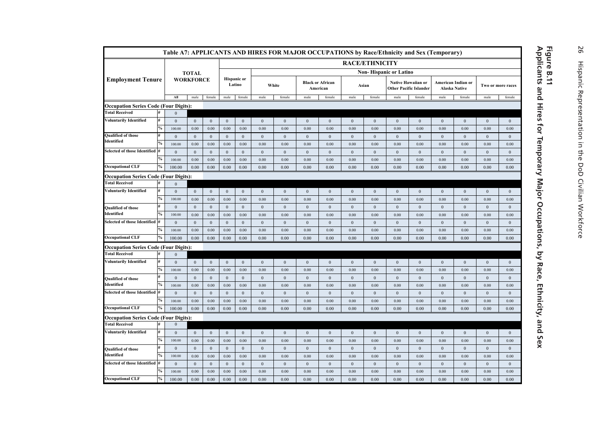|                                                                       |      |                              |                  |                  |              |                              |                |                  |                  |                                     |                |                       |                               | Table A7: APPLICANTS AND HIRES FOR MAJOR OCCUPATIONS by Race/Ethnicity and Sex (Temporary) |                  |                                                   |              |                   |
|-----------------------------------------------------------------------|------|------------------------------|------------------|------------------|--------------|------------------------------|----------------|------------------|------------------|-------------------------------------|----------------|-----------------------|-------------------------------|--------------------------------------------------------------------------------------------|------------------|---------------------------------------------------|--------------|-------------------|
|                                                                       |      |                              |                  |                  |              |                              |                |                  |                  |                                     |                | <b>RACE/ETHNICITY</b> |                               |                                                                                            |                  |                                                   |              |                   |
|                                                                       |      |                              | <b>TOTAL</b>     |                  |              |                              |                |                  |                  |                                     |                |                       | <b>Non-Hispanic or Latino</b> |                                                                                            |                  |                                                   |              |                   |
| <b>Employment Tenure</b>                                              |      |                              | <b>WORKFORCE</b> |                  |              | <b>Hispanic</b> or<br>Latino |                | White            |                  | <b>Black or African</b><br>American |                | Asian                 |                               | Native Hawaiian or<br><b>Other Pacific Islander</b>                                        |                  | <b>American Indian or</b><br><b>Alaska Native</b> |              | Two or more races |
|                                                                       |      | All                          | male             | female           | male         | female                       | male           | female           | male             | female                              | male           | female                | male                          | female                                                                                     | male             | female                                            | male         | female            |
| <b>Occupation Series Code (Four Digits):</b>                          |      |                              |                  |                  |              |                              |                |                  |                  |                                     |                |                       |                               |                                                                                            |                  |                                                   |              |                   |
| <b>Total Received</b>                                                 |      | $\mathbf{0}$                 |                  |                  |              |                              |                |                  |                  |                                     |                |                       |                               |                                                                                            |                  |                                                   |              |                   |
| Voluntarily Identified                                                |      | $\mathbf{0}$                 | $\boldsymbol{0}$ | $\overline{0}$   | $\mathbf{0}$ | $\mathbf{0}$                 | $\mathbf{0}$   | $\overline{0}$   | $\mathbf{0}$     | $\mathbf{0}$                        | $\mathbf{0}$   | $\mathbf{0}$          | $\overline{0}$                | $\overline{0}$                                                                             | $\mathbf{0}$     | $\mathbf{0}$                                      | $\mathbf{0}$ | $\mathbf{0}$      |
|                                                                       | $\%$ | 100.00                       | 0.00             | 0.00             | 0.00         | 0.00                         | 0.00           | 0.00             | 0.00             | 0.00                                | 0.00           | 0.00                  | 0.00                          | 0.00                                                                                       | 0.00             | 0.00                                              | 0.00         | 0.00              |
| <b>Qualified of those</b><br>Identified                               | #    | $\mathbf{0}$                 | $\mathbf{0}$     | $\mathbf{0}$     | $\mathbf{0}$ | $\mathbf{0}$                 | $\mathbf{0}$   | $\overline{0}$   | $\mathbf{0}$     | $\mathbf{0}$                        | $\mathbf{0}$   | $\mathbf{0}$          | $\overline{0}$                | $\Omega$                                                                                   | $\Omega$         | $\mathbf{0}$                                      | $\theta$     | $\theta$          |
|                                                                       |      | 100.00                       | 0.00             | 0.00             | 0.00         | 0.00                         | 0.00           | 0.00             | 0.00             | 0.00                                | 0.00           | 0.00                  | 0.00                          | 0.00                                                                                       | 0.00             | 0.00                                              | 0.00         | 0.00              |
| Selected of those Identified #                                        |      | $\boldsymbol{0}$             | $\boldsymbol{0}$ | $\boldsymbol{0}$ | $\mathbf{0}$ | $\boldsymbol{0}$             | $\mathbf{0}$   | $\bf{0}$         | $\boldsymbol{0}$ | $\mathbf{0}$                        | $\overline{0}$ | $\bf{0}$              | $\mathbf{0}$                  | $\mathbf{0}$                                                                               | $\boldsymbol{0}$ | $\boldsymbol{0}$                                  | $\bf{0}$     | $\mathbf{0}$      |
| <b>Occupational CLF</b>                                               | $\%$ | 100.00                       | 0.00             | 0.00             | 0.00         | 0.00                         | 0.00           | 0.00             | 0.00             | 0.00                                | 0.00           | 0.00                  | 0.00                          | 0.00                                                                                       | 0.00             | 0.00                                              | 0.00         | 0.00              |
|                                                                       |      | 100.00                       | 0.00             | 0.00             | 0.00         | 0.00                         | 0.00           | 0.00             | 0.00             | 0.00                                | 0.00           | 0.00                  | 0.00                          | 0.00                                                                                       | 0.00             | 0.00                                              | 0.00         | 0.00              |
| <b>Occupation Series Code (Four Digits):</b><br><b>Total Received</b> |      |                              |                  |                  |              |                              |                |                  |                  |                                     |                |                       |                               |                                                                                            |                  |                                                   |              |                   |
| <b>Voluntarily Identified</b>                                         |      | $\mathbf{0}$<br>$\mathbf{0}$ | $\mathbf{0}$     | $\mathbf{0}$     | $\mathbf{0}$ | $\mathbf{0}$                 | $\overline{0}$ | $\overline{0}$   | $\mathbf{0}$     | $\mathbf{0}$                        | $\Omega$       | $\mathbf{0}$          | $\mathbf{0}$                  | $\mathbf{0}$                                                                               | $\Omega$         | $\mathbf{0}$                                      | $\theta$     | $\mathbf{0}$      |
|                                                                       | $\%$ | 100.00                       | 0.00             | 0.00             | 0.00         | 0.00                         | 0.00           | 0.00             | 0.00             | 0.00                                | 0.00           | 0.00                  | 0.00                          | 0.00                                                                                       | 0.00             | 0.00                                              | 0.00         | 0.00              |
| <b>Qualified of those</b>                                             |      | $\overline{0}$               | $\mathbf{0}$     | $\mathbf{0}$     | $\mathbf{0}$ | $\mathbf{0}$                 | $\mathbf{0}$   | $\bf{0}$         | $\mathbf{0}$     | $\overline{0}$                      | $\mathbf{0}$   | $\mathbf{0}$          | $\overline{0}$                | $\overline{0}$                                                                             | $\mathbf{0}$     | $\mathbf{0}$                                      | $\mathbf{0}$ | $\mathbf{0}$      |
| Identified                                                            |      | 100.00                       | 0.00             | 0.00             | 0.00         | 0.00                         | 0.00           | 0.00             | 0.00             | 0.00                                | 0.00           | 0.00                  | 0.00                          | 0.00                                                                                       | 0.00             | 0.00                                              | 0.00         | 0.00              |
| Selected of those Identified #                                        |      | $\mathbf{0}$                 | $\mathbf{0}$     | $\mathbf{0}$     | $\mathbf{0}$ | $\mathbf{0}$                 | $\overline{0}$ | $\mathbf{0}$     | $\mathbf{0}$     | $\mathbf{0}$                        | $\mathbf{0}$   | $\mathbf{0}$          | $\mathbf{0}$                  | $\mathbf{0}$                                                                               | $\mathbf{0}$     | $\mathbf{0}$                                      | $\mathbf{0}$ | $\mathbf{0}$      |
|                                                                       |      | 100.00                       | 0.00             | 0.00             | 0.00         | 0.00                         | 0.00           | 0.00             | 0.00             | 0.00                                | 0.00           | 0.00                  | 0.00                          | 0.00                                                                                       | 0.00             | 0.00                                              | 0.00         | 0.00              |
| <b>Occupational CLF</b>                                               | %    | 100.00                       | 0.00             | 0.00             | 0.00         | 0.00                         | 0.00           | 0.00             | 0.00             | 0.00                                | 0.00           | 0.00                  | 0.00                          | 0.00                                                                                       | 0.00             | 0.00                                              | 0.00         | 0.00              |
| <b>Occupation Series Code (Four Digits):</b>                          |      |                              |                  |                  |              |                              |                |                  |                  |                                     |                |                       |                               |                                                                                            |                  |                                                   |              |                   |
| <b>Total Received</b>                                                 |      | $\Omega$                     |                  |                  |              |                              |                |                  |                  |                                     |                |                       |                               |                                                                                            |                  |                                                   |              |                   |
| <b>Voluntarily Identified</b>                                         | #    | $\mathbf{0}$                 | $\boldsymbol{0}$ | $\overline{0}$   | $\mathbf{0}$ | $\overline{0}$               | $\overline{0}$ | $\overline{0}$   | $\mathbf{0}$     | $\mathbf{0}$                        | $\mathbf{0}$   | $\mathbf{0}$          | $\overline{0}$                | $\mathbf{0}$                                                                               | $\mathbf{0}$     | $\mathbf{0}$                                      | $\mathbf{0}$ | $\mathbf{0}$      |
|                                                                       |      | 100.00                       | 0.00             | 0.00             | 0.00         | 0.00                         | 0.00           | 0.00             | 0.00             | 0.00                                | 0.00           | 0.00                  | 0.00                          | 0.00                                                                                       | 0.00             | 0.00                                              | 0.00         | 0.00              |
| <b>Qualified of those</b>                                             | #    | $\boldsymbol{0}$             | $\boldsymbol{0}$ | $\mathbf{0}$     | $\mathbf{0}$ | $\boldsymbol{0}$             | $\mathbf{0}$   | $\boldsymbol{0}$ | $\mathbf{0}$     | $\mathbf{0}$                        | $\overline{0}$ | $\boldsymbol{0}$      | $\overline{0}$                | $\mathbf{0}$                                                                               | $\mathbf{0}$     | $\boldsymbol{0}$                                  | $\mathbf{0}$ | $\mathbf{0}$      |
| Identified                                                            |      | 100.00                       | 0.00             | 0.00             | 0.00         | 0.00                         | 0.00           | 0.00             | 0.00             | 0.00                                | 0.00           | 0.00                  | 0.00                          | 0.00                                                                                       | 0.00             | 0.00                                              | 0.00         | 0.00              |
| Selected of those Identified #                                        |      | $\mathbf{0}$                 | $\mathbf{0}$     | $\mathbf{0}$     | $\mathbf{0}$ | $\mathbf{0}$                 | $\mathbf{0}$   | $\overline{0}$   | $\mathbf{0}$     | $\overline{0}$                      | $\overline{0}$ | $\mathbf{0}$          | $\overline{0}$                | $\overline{0}$                                                                             | $\mathbf{0}$     | $\mathbf{0}$                                      | $\mathbf{0}$ | $\mathbf{0}$      |
|                                                                       |      | 100.00                       | 0.00             | 0.00             | 0.00         | 0.00                         | 0.00           | 0.00             | 0.00             | 0.00                                | 0.00           | 0.00                  | 0.00                          | 0.00                                                                                       | 0.00             | 0.00                                              | 0.00         | 0.00              |
| <b>Occupational CLF</b>                                               |      | 100.00                       | 0.00             | 0.00             | 0.00         | 0.00                         | 0.00           | 0.00             | 0.00             | 0.00                                | 0.00           | 0.00                  | 0.00                          | 0.00                                                                                       | 0.00             | 0.00                                              | 0.00         | 0.00              |
| <b>Occupation Series Code (Four Digits):</b>                          |      |                              |                  |                  |              |                              |                |                  |                  |                                     |                |                       |                               |                                                                                            |                  |                                                   |              |                   |
| <b>Total Received</b>                                                 |      | $\mathbf{0}$                 |                  |                  |              |                              |                |                  |                  |                                     |                |                       |                               |                                                                                            |                  |                                                   |              |                   |
| <b>Voluntarily Identified</b>                                         | H#   | $\mathbf{0}$                 | $\mathbf{0}$     | $\overline{0}$   | $\mathbf{0}$ | $\mathbf{0}$                 | $\overline{0}$ | $\mathbf{0}$     | $\mathbf{0}$     | $\mathbf{0}$                        | $\overline{0}$ | $\mathbf{0}$          | $\overline{0}$                | $\mathbf{0}$                                                                               | $\mathbf{0}$     | $\mathbf{0}$                                      | $\mathbf{0}$ | $\mathbf{0}$      |
|                                                                       | $\%$ | 100.00                       | 0.00             | 0.00             | 0.00         | 0.00                         | 0.00           | 0.00             | 0.00             | 0.00                                | 0.00           | 0.00                  | 0.00                          | 0.00                                                                                       | 0.00             | 0.00                                              | 0.00         | 0.00              |
| <b>Qualified of those</b>                                             | #    | $\mathbf{0}$                 | $\mathbf{0}$     | $\mathbf{0}$     | $\mathbf{0}$ | $\mathbf{0}$                 | $\mathbf{0}$   | $\bf{0}$         | $\bf{0}$         | $\mathbf{0}$                        | $\bf{0}$       | $\mathbf{0}$          | $\bf{0}$                      | $\overline{0}$                                                                             | $\mathbf{0}$     | $\mathbf{0}$                                      | $\mathbf{0}$ | $\mathbf{0}$      |
| Identified                                                            |      | 100.00                       | 0.00             | 0.00             | 0.00         | 0.00                         | 0.00           | 0.00             | 0.00             | 0.00                                | 0.00           | 0.00                  | 0.00                          | 0.00                                                                                       | 0.00             | 0.00                                              | 0.00         | 0.00              |
| Selected of those Identified #                                        |      | $\mathbf{0}$                 | $\mathbf{0}$     | $\mathbf{0}$     | $\mathbf{0}$ | $\mathbf{0}$                 | $\mathbf{0}$   | $\mathbf{0}$     | $\mathbf{0}$     | $\mathbf{0}$                        | $\mathbf{0}$   | $\mathbf{0}$          | $\mathbf{0}$                  | $\mathbf{0}$                                                                               | $\mathbf{0}$     | $\mathbf{0}$                                      | $\mathbf{0}$ | $\mathbf{0}$      |
| <b>Occupational CLF</b>                                               |      | 100.00                       | 0.00             | 0.00             | 0.00         | 0.00                         | 0.00           | 0.00             | 0.00             | 0.00                                | 0.00           | 0.00                  | 0.00                          | 0.00                                                                                       | 0.00             | 0.00                                              | 0.00         | 0.00              |
|                                                                       | $\%$ | 100.00                       | 0.00             | 0.00             | 0.00         | 0.00                         | 0.00           | 0.00             | 0.00             | 0.00                                | 0.00           | 0.00                  | 0.00                          | 0.00                                                                                       | 0.00             | 0.00                                              | 0.00         | 0.00              |

# **Applicants and Hires for Temporary Major Occupations, by Race, Ethnicity, and Sex Figure B.11**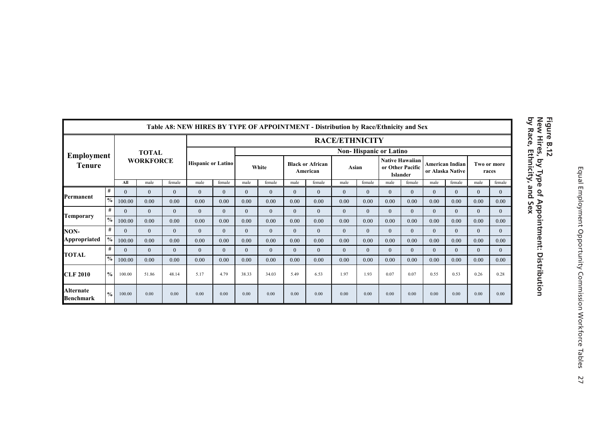|                        |               |              |                  |              | Table A8: NEW HIRES BY TYPE OF APPOINTMENT - Distribution by Race/Ethnicity and Sex |              |                |                |              |                                     |                       |              |                                     |                        |                                            |                |                      |              |
|------------------------|---------------|--------------|------------------|--------------|-------------------------------------------------------------------------------------|--------------|----------------|----------------|--------------|-------------------------------------|-----------------------|--------------|-------------------------------------|------------------------|--------------------------------------------|----------------|----------------------|--------------|
|                        |               |              |                  |              |                                                                                     |              |                |                |              |                                     | <b>RACE/ETHNICITY</b> |              |                                     |                        |                                            |                |                      |              |
| Employment             |               |              | <b>TOTAL</b>     |              |                                                                                     |              |                |                |              |                                     |                       |              | <b>Non-Hispanic or Latino</b>       |                        |                                            |                |                      |              |
| <b>Tenure</b>          |               |              | <b>WORKFORCE</b> |              | <b>Hispanic or Latino</b>                                                           |              |                | White          |              | <b>Black or African</b><br>American | Asian                 |              | or Other Pacific<br><b>Islander</b> | <b>Native Hawaiian</b> | <b>American Indian</b><br>or Alaska Native |                | Two or more<br>races |              |
|                        |               | All          | male             | female       | male                                                                                | female       | male           | female         | male         | female                              | male                  | female       | male                                | female                 | male                                       | female         | male                 | female       |
| Permanent              | #             | $\theta$     | $\Omega$         | $\mathbf{0}$ | $\mathbf{0}$                                                                        | $\mathbf{0}$ | $\Omega$       | $\Omega$       | $\Omega$     | $\Omega$                            | $\Omega$              | $\Omega$     | $\Omega$                            | $\Omega$               | $\Omega$                                   | $\overline{0}$ | $\mathbf{0}$         | $\Omega$     |
|                        | $\frac{0}{0}$ | 100.00       | 0.00             | 0.00         | 0.00                                                                                | 0.00         | 0.00           | 0.00           | 0.00         | 0.00                                | 0.00                  | 0.00         | 0.00                                | 0.00                   | 0.00                                       | 0.00           | 0.00                 | 0.00         |
|                        | #             | $\mathbf{0}$ | $\mathbf{0}$     | $\mathbf{0}$ | $\mathbf{0}$                                                                        | $\mathbf{0}$ | $\overline{0}$ | $\overline{0}$ | $\Omega$     | $\mathbf{0}$                        | $\mathbf{0}$          | $\Omega$     | $\Omega$                            | $\Omega$               | $\Omega$                                   | $\overline{0}$ | $\overline{0}$       | $\mathbf{0}$ |
| Temporary              | $\frac{0}{0}$ | 100.00       | 0.00             | 0.00         | 0.00                                                                                | 0.00         | 0.00           | 0.00           | 0.00         | 0.00                                | 0.00                  | 0.00         | 0.00                                | 0.00                   | 0.00                                       | 0.00           | 0.00                 | 0.00         |
| NON-                   | #             | $\mathbf{0}$ | $\mathbf{0}$     | $\mathbf{0}$ | $\mathbf{0}$                                                                        | $\mathbf{0}$ | $\overline{0}$ | $\overline{0}$ | $\mathbf{0}$ | $\mathbf{0}$                        | $\mathbf{0}$          | $\mathbf{0}$ | $\mathbf{0}$                        | $\overline{0}$         | $\theta$                                   | $\mathbf{0}$   | $\overline{0}$       | $\mathbf{0}$ |
| Appropriated           | $^{0}/_{0}$   | 100.00       | 0.00             | 0.00         | 0.00                                                                                | 0.00         | 0.00           | 0.00           | 0.00         | 0.00                                | 0.00                  | 0.00         | 0.00                                | 0.00                   | 0.00                                       | 0.00           | 0.00                 | 0.00         |
|                        | #             | $\mathbf{0}$ | $\mathbf{0}$     | $\mathbf{0}$ | $\mathbf{0}$                                                                        | $\mathbf{0}$ | $\overline{0}$ | $\overline{0}$ | $\mathbf{0}$ | $\mathbf{0}$                        | $\mathbf{0}$          | $\mathbf{0}$ | $\Omega$                            | $\overline{0}$         | $\theta$                                   | $\overline{0}$ | $\overline{0}$       | $\mathbf{0}$ |
| <b>TOTAL</b>           | $\frac{0}{0}$ | 100.00       | 0.00             | 0.00         | 0.00                                                                                | 0.00         | 0.00           | 0.00           | 0.00         | 0.00                                | 0.00                  | 0.00         | 0.00                                | 0.00                   | 0.00                                       | 0.00           | 0.00                 | 0.00         |
| <b>CLF 2010</b>        | $\frac{0}{0}$ | 100.00       | 51.86            | 48.14        | 5.17                                                                                | 4.79         | 38.33          | 34.03          | 5.49         | 6.53                                | 1.97                  | 1.93         | 0.07                                | 0.07                   | 0.55                                       | 0.53           | 0.26                 | 0.28         |
| Alternate<br>Benchmark | $\frac{0}{0}$ | 100.00       | 0.00             | 0.00         | 0.00                                                                                | 0.00         | 0.00           | 0.00           | 0.00         | 0.00                                | 0.00                  | 0.00         | 0.00                                | 0.00                   | 0.00                                       | 0.00           | 0.00                 | 0.00         |

Figure B.12<br>New Hires, by Type of Appointment: Distribution<br>by Race, Ethnicity, and Sex **by Race, Ethnicity, and Sex New Hires, by Type of Appointment: Distribution Figure B.12**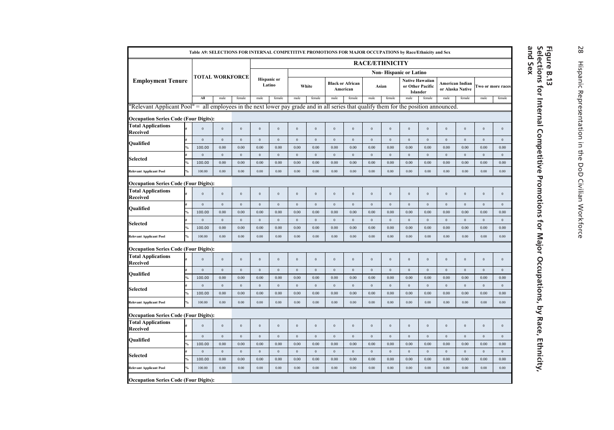|                                                                                                                                      |               | Table A9: SELECTIONS FOR INTERNAL COMPETITIVE PROMOTIONS FOR MAJOR OCCUPATIONS by Race/Ethnicity and Sex |                        |                          |                     |                              |                  |                     |                  |                                     |                       |                  |                               |                                                        |                      |                  |                      |                     |
|--------------------------------------------------------------------------------------------------------------------------------------|---------------|----------------------------------------------------------------------------------------------------------|------------------------|--------------------------|---------------------|------------------------------|------------------|---------------------|------------------|-------------------------------------|-----------------------|------------------|-------------------------------|--------------------------------------------------------|----------------------|------------------|----------------------|---------------------|
|                                                                                                                                      |               |                                                                                                          |                        |                          |                     |                              |                  |                     |                  |                                     | <b>RACE/ETHNICITY</b> |                  |                               |                                                        |                      |                  |                      |                     |
|                                                                                                                                      |               | <b>TOTAL WORKFORCE</b>                                                                                   |                        |                          |                     |                              |                  |                     |                  |                                     |                       |                  | <b>Non-Hispanic or Latino</b> |                                                        |                      |                  |                      |                     |
| <b>Employment Tenure</b>                                                                                                             |               |                                                                                                          |                        |                          |                     | <b>Hispanic</b> or<br>Latino |                  | White               |                  | <b>Black or African</b><br>American | Asian                 |                  |                               | <b>Native Hawaiian</b><br>or Other Pacific<br>Islander | or Alaska Native     | American Indian  |                      | Two or more races   |
|                                                                                                                                      |               | All                                                                                                      | male                   | female                   | male                | female                       | male             | female              | male             | female                              | male                  | female           | male                          | female                                                 | male                 | female           | male                 | female              |
| "Relevant Applicant Pool" = all employees in the next lower pay grade and in all series that qualify them for the position announced |               |                                                                                                          |                        |                          |                     |                              |                  |                     |                  |                                     |                       |                  |                               |                                                        |                      |                  |                      |                     |
| <b>Occupation Series Code (Four Digits):</b>                                                                                         |               |                                                                                                          |                        |                          |                     |                              |                  |                     |                  |                                     |                       |                  |                               |                                                        |                      |                  |                      |                     |
| <b>Total Applications</b><br>Received                                                                                                |               | $\Omega$                                                                                                 | $\theta$               | $\bf{0}$                 | $\,0\,$             | $\bf{0}$                     | $\,0\,$          | $\bf{0}$            | $\mathbf{0}$     | $\mathbf{0}$                        | $\overline{0}$        | $\boldsymbol{0}$ | $\,0\,$                       | $\,0\,$                                                | $\,0\,$              | $\,0\,$          | $\,0\,$              | $\,$ 0 $\,$         |
| Oualified                                                                                                                            |               | $\mathbf{0}$                                                                                             | $\overline{0}$         | $\overline{0}$           | $\,$ 0 $\,$         | $\,0\,$                      | $\overline{0}$   | $\,0\,$             | $\overline{0}$   | $\mathbf{0}$                        | $\,0\,$               | $\,0\,$          | $\,0\,$                       | $\,0\,$                                                | $\mathbf{0}$         | $\mathbf{0}$     | $\overline{0}$       | $\,$ 0 $\,$         |
|                                                                                                                                      |               | 100.00                                                                                                   | 0.00                   | 0.00                     | 0.00                | 0.00                         | 0.00             | 0.00                | 0.00             | 0.00                                | $0.00\,$              | 0.00             | 0.00                          | 0.00                                                   | 0.00                 | 0.00             | 0.00                 | 0.00                |
| Selected                                                                                                                             |               | $\,0\,$                                                                                                  | $\mathbf{0}$           | $\,0\,$                  | $\,$ 0 $\,$         | $\,0\,$                      | $\,0\,$          | $\,$ 0 $\,$         | $\,0\,$          | $\bf{0}$                            | $\,0\,$               | $\,0\,$          | $\,0\,$                       | $\,0\,$                                                | $\mathbf{0}$         | $\,0\,$          | $\,0\,$              | $\,0\,$             |
|                                                                                                                                      |               | 100.00                                                                                                   | 0.00                   | 0.00                     | 0.00                | 0.00                         | 0.00             | 0.00                | 0.00             | 0.00                                | 0.00                  | 0.00             | 0.00                          | 0.00                                                   | 0.00                 | 0.00             | 0.00                 | 0.00                |
| <b>Relevant Applicant Pool</b>                                                                                                       |               | 100.00                                                                                                   | 0.00                   | 0.00                     | 0.00                | 0.00                         | 0.00             | 0.00                | 0.00             | 0.00                                | 0.00                  | 0.00             | 0.00                          | 0.00                                                   | 0.00                 | 0.00             | 0.00                 | 0.00                |
| <b>Occupation Series Code (Four Digits):</b>                                                                                         |               |                                                                                                          |                        |                          |                     |                              |                  |                     |                  |                                     |                       |                  |                               |                                                        |                      |                  |                      |                     |
| <b>Total Applications</b><br>Received                                                                                                |               | $\mathbf{0}$                                                                                             | $\overline{0}$         | $\mathbf{0}$             | $\bf{0}$            | $\mathbf{0}$                 | $\mathbf{0}$     | $\overline{0}$      | $\overline{0}$   | $\mathbf{0}$                        | $\theta$              | $\mathbf{0}$     | $\mathbf{0}$                  | $\mathbf{0}$                                           | $\mathbf{0}$         | $\mathbf{0}$     | $\mathbf{0}$         | $\mathbf{0}$        |
| Qualified                                                                                                                            |               | $\boldsymbol{0}$<br>100.00                                                                               | $\overline{0}$<br>0.00 | $\boldsymbol{0}$<br>0.00 | $\bf{0}$<br>0.00    | $\boldsymbol{0}$<br>0.00     | $\theta$<br>0.00 | $\bf{0}$<br>0.00    | $\bf{0}$<br>0.00 | $\Omega$<br>0.00                    | $\,0\,$<br>0.00       | $\,0\,$<br>0.00  | $\,0\,$<br>0.00               | $\,0\,$<br>0.00                                        | $\bf{0}$<br>0.00     | $\bf{0}$<br>0.00 | $\mathbf{0}$<br>0.00 | $\,0\,$<br>0.00     |
|                                                                                                                                      |               | $\,0\,$                                                                                                  | $\mathbf{0}$           | $\,0\,$                  | $\overline{0}$      | $\bf{0}$                     | $\mathbf{0}$     | $\,$ 0 $\,$         | $\mathbf{0}$     | $\mathbf{0}$                        | $\,$ 0 $\,$           | $\,0\,$          | $\,0\,$                       | $\mathbf{0}$                                           | $\mathbf{0}$         | $\,0\,$          | $\overline{0}$       | $\,0\,$             |
| <b>Selected</b>                                                                                                                      |               | 100.00                                                                                                   | 0.00                   | 0.00                     | 0.00                | 0.00                         | 0.00             | 0.00                | 0.00             | 0.00                                | 0.00                  | 0.00             | 0.00                          | 0.00                                                   | 0.00                 | 0.00             | 0.00                 | 0.00                |
| <b>Relevant Applicant Pool</b>                                                                                                       | %             | 100.00                                                                                                   | 0.00                   | 0.00                     | 0.00                | 0.00                         | 0.00             | 0.00                | 0.00             | 0.00                                | 0.00                  | 0.00             | 0.00                          | 0.00                                                   | $0.00\,$             | 0.00             | 0.00                 | 0.00                |
| <b>Occupation Series Code (Four Digits):</b>                                                                                         |               |                                                                                                          |                        |                          |                     |                              |                  |                     |                  |                                     |                       |                  |                               |                                                        |                      |                  |                      |                     |
| <b>Total Applications</b><br>Received                                                                                                |               | $\mathbf{0}$                                                                                             | $\overline{0}$         | $\,0\,$                  | $\,0\,$             | $\bf{0}$                     | $\mathbf{0}$     | $\overline{0}$      | $\mathbf{0}$     | $\mathbf{0}$                        | $\overline{0}$        | $\boldsymbol{0}$ | $\,0\,$                       | $\,0\,$                                                | $\,0\,$              | $\mathbf{0}$     | $\boldsymbol{0}$     | $\,$ 0 $\,$         |
|                                                                                                                                      |               | $\mathbf{0}$                                                                                             | $\overline{0}$         | $\bf{0}$                 | $\bf{0}$            | $\,0\,$                      | $\overline{0}$   | $\,$ 0 $\,$         | $\overline{0}$   | $\overline{0}$                      | $\,0\,$               | $\,0\,$          | $\,0\,$                       | $\mathbf{0}$                                           | $\mathbf{0}$         | $\overline{0}$   | $\overline{0}$       | $\bf{0}$            |
| Oualified                                                                                                                            |               | 100.00                                                                                                   | 0.00                   | 0.00                     | 0.00                | 0.00                         | 0.00             | 0.00                | 0.00             | 0.00                                | 0.00                  | 0.00             | 0.00                          | 0.00                                                   | 0.00                 | 0.00             | 0.00                 | 0.00                |
| <b>Selected</b>                                                                                                                      |               | $\,0\,$                                                                                                  | $\mathbf{0}$           | $\,$ 0 $\,$              | $\,$ 0 $\,$         | $\bf{0}$                     | $\,0\,$          | $\,$ 0 $\,$         | $\,0\,$          | $\,0\,$                             | $\,0\,$               | $\,0\,$          | $\,0\,$                       | $\,0\,$                                                | $\mathbf{0}$         | $\,0\,$          | $\,0\,$              | $\mathbf{0}$        |
|                                                                                                                                      |               | 100.00                                                                                                   | 0.00                   | 0.00                     | 0.00                | 0.00                         | 0.00             | 0.00                | 0.00             | 0.00                                | 0.00                  | 0.00             | 0.00                          | 0.00                                                   | 0.00                 | 0.00             | 0.00                 | 0.00                |
| <b>Relevant Applicant Pool</b>                                                                                                       | $\frac{6}{6}$ | 100.00                                                                                                   | 0.00                   | 0.00                     | 0.00                | 0.00                         | 0.00             | 0.00                | 0.00             | 0.00                                | 0.00                  | 0.00             | 0.00                          | 0.00                                                   | $0.00\,$             | 0.00             | 0.00                 | 0.00                |
| <b>Occupation Series Code (Four Digits):</b>                                                                                         |               |                                                                                                          |                        |                          |                     |                              |                  |                     |                  |                                     |                       |                  |                               |                                                        |                      |                  |                      |                     |
| <b>Total Applications</b><br>Received                                                                                                |               | $\Omega$                                                                                                 | $\mathbf{0}$           | $\bf{0}$                 | $\,0\,$             | $\bf{0}$                     | $\mathbf{0}$     | $\overline{0}$      | $\Omega$         | $\mathbf{0}$                        | $\Omega$              | $\bf 0$          | $\,0\,$                       | $\,0\,$                                                | $\,0\,$              | $\mathbf{0}$     | $\mathbf{0}$         | $\,0\,$             |
|                                                                                                                                      |               | $\boldsymbol{0}$                                                                                         | $\,0\,$                | $\bf{0}$                 | $\bf{0}$            | $\,0\,$                      | $\,0\,$          | $\,$ 0              | $\,$ 0 $\,$      | $\bf{0}$                            | $\,0\,$               | $\boldsymbol{0}$ | $\,0\,$                       | $\,0\,$                                                | $\,0\,$              | $\,0\,$          | $\,0\,$              | $\,0\,$             |
| Qualified                                                                                                                            |               | 100.00                                                                                                   | 0.00                   | 0.00                     | 0.00                | 0.00                         | 0.00             | 0.00                | 0.00             | 0.00                                | 0.00                  | 0.00             | 0.00                          | 0.00                                                   | 0.00                 | 0.00             | 0.00                 | 0.00                |
| Selected                                                                                                                             |               | $\,0\,$<br>100.00                                                                                        | $\mathbf{0}$<br>0.00   | $\,0\,$<br>0.00          | $\,$ 0 $\,$<br>0.00 | $\bf{0}$<br>0.00             | $\,0\,$<br>0.00  | $\,$ 0 $\,$<br>0.00 | $\,0\,$<br>0.00  | $\,0\,$<br>0.00                     | $\,0\,$<br>0.00       | $\,0\,$<br>0.00  | $\,0\,$<br>0.00               | $\,0\,$<br>0.00                                        | $\mathbf{0}$<br>0.00 | $\,0\,$<br>0.00  | $\,0\,$<br>0.00      | $\,$ 0 $\,$<br>0.00 |
| <b>Relevant Applicant Pool</b>                                                                                                       |               | 100.00                                                                                                   | 0.00                   | 0.00                     | 0.00                | 0.00                         | 0.00             | 0.00                | 0.00             | 0.00                                | 0.00                  | 0.00             | 0.00                          | 0.00                                                   | 0.00                 | 0.00             | 0.00                 | 0.00                |
| <b>Occupation Series Code (Four Digits):</b>                                                                                         |               |                                                                                                          |                        |                          |                     |                              |                  |                     |                  |                                     |                       |                  |                               |                                                        |                      |                  |                      |                     |
|                                                                                                                                      |               |                                                                                                          |                        |                          |                     |                              |                  |                     |                  |                                     |                       |                  |                               |                                                        |                      |                  |                      |                     |

## Figure B.13<br>Selections for Internal Competitive Promotions for Major Occupations, by Race, Ethnicity,<br>and Sex **Selections for Internal Competitive Promotions for Major Occupations, by Race, Ethnicity, Figure B.13**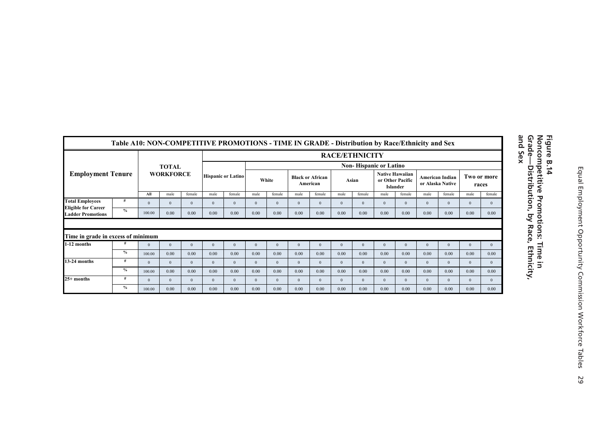|                                                        | Table A10: NON-COMPETITIVE PROMOTIONS - TIME IN GRADE - Distribution by Race/Ethnicity and Sex |                |                  |          |          |                           |                |              |          |                                     |                       |              |                                                        |          |          |                                     |          |                      |
|--------------------------------------------------------|------------------------------------------------------------------------------------------------|----------------|------------------|----------|----------|---------------------------|----------------|--------------|----------|-------------------------------------|-----------------------|--------------|--------------------------------------------------------|----------|----------|-------------------------------------|----------|----------------------|
|                                                        |                                                                                                |                |                  |          |          |                           |                |              |          |                                     | <b>RACE/ETHNICITY</b> |              |                                                        |          |          |                                     |          |                      |
|                                                        |                                                                                                |                | <b>TOTAL</b>     |          |          |                           |                |              |          |                                     |                       |              | <b>Non-Hispanic or Latino</b>                          |          |          |                                     |          |                      |
| <b>Employment Tenure</b>                               |                                                                                                |                | <b>WORKFORCE</b> |          |          | <b>Hispanic or Latino</b> |                | White        |          | <b>Black or African</b><br>American |                       | Asian        | <b>Native Hawaiian</b><br>or Other Pacific<br>Islander |          |          | American Indian<br>or Alaska Native |          | Two or more<br>races |
|                                                        |                                                                                                | All            | male             | female   | male     | female                    | male           | female       | male     | female                              | male                  | female       | male                                                   | female   | male     | female                              | male     | female               |
| <b>Total Employees</b>                                 | #                                                                                              | $\Omega$       | $\mathbf{0}$     | $\Omega$ | $\Omega$ | $\Omega$                  | $\overline{0}$ | $\mathbf{0}$ | $\Omega$ | $\Omega$                            | $\theta$              | $\theta$     | $\mathbf{0}$                                           | $\Omega$ | $\Omega$ | $\Omega$                            | $\theta$ | $\theta$             |
| <b>Eligible for Career</b><br><b>Ladder Promotions</b> | $\frac{9}{6}$                                                                                  | 100.00         | 0.00             | 0.00     | 0.00     | 0.00                      | 0.00           | 0.00         | 0.00     | 0.00                                | 0.00                  | 0.00         | 0.00                                                   | 0.00     | 0.00     | 0.00                                | 0.00     | 0.00                 |
| Time in grade in excess of minimum                     |                                                                                                |                |                  |          |          |                           |                |              |          |                                     |                       |              |                                                        |          |          |                                     |          |                      |
| 1-12 months                                            |                                                                                                | $\Omega$       | $\overline{0}$   | $\Omega$ | $\Omega$ | $\Omega$                  | $\theta$       | $\mathbf{0}$ | $\Omega$ | $\Omega$                            | $\Omega$              | $\theta$     | $\mathbf{0}$                                           | $\Omega$ | $\Omega$ | $\theta$                            |          | $\theta$             |
|                                                        | $\frac{9}{6}$                                                                                  | 100.00         | 0.00             | 0.00     | 0.00     | 0.00                      | 0.00           | 0.00         | 0.00     | 0.00                                | 0.00                  | 0.00         | 0.00                                                   | 0.00     | 0.00     | 0.00                                | 0.00     | 0.00                 |
| 13-24 months                                           | #                                                                                              | $\overline{0}$ | $\Omega$         | $\Omega$ | $\Omega$ | $\Omega$                  | $\mathbf{0}$   | $\mathbf{0}$ | $\Omega$ | $\Omega$                            | $\Omega$              | $\mathbf{0}$ | $\mathbf{0}$                                           | $\Omega$ | $\Omega$ | $\Omega$                            | $\theta$ | $\Omega$             |
|                                                        | $\frac{9}{6}$                                                                                  | 100.00         | 0.00             | 0.00     | 0.00     | 0.00                      | 0.00           | 0.00         | 0.00     | 0.00                                | 0.00                  | 0.00         | 0.00                                                   | 0.00     | 0.00     | 0.00                                | 0.00     | 0.00                 |
| $25+$ months                                           | #                                                                                              | $\Omega$       | $\Omega$         | $\Omega$ | $\Omega$ | $\Omega$                  | $\mathbf{0}$   | $\mathbf{0}$ | $\Omega$ | $\Omega$                            | $\Omega$              | $\Omega$     | $\mathbf{0}$                                           | $\Omega$ | $\Omega$ | $\Omega$                            | $\theta$ | $\mathbf{0}$         |
|                                                        | $\%$                                                                                           | 100.00         | 0.00             | 0.00     | 0.00     | 0.00                      | 0.00           | 0.00         | 0.00     | 0.00                                | 0.00                  | 0.00         | 0.00                                                   | 0.00     | 0.00     | 0.00                                | 0.00     | 0.00                 |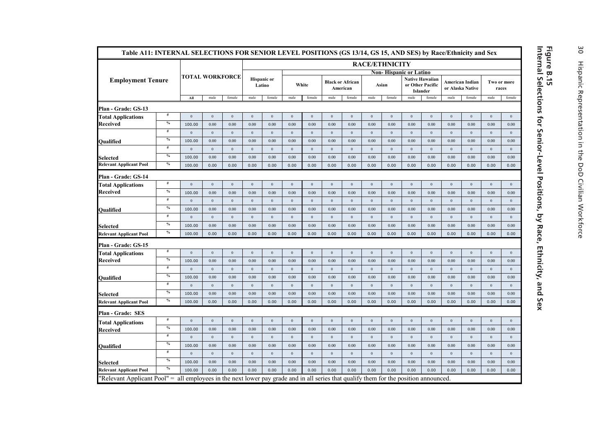| Table A11: INTERNAL SELECTIONS FOR SENIOR LEVEL POSITIONS (GS 13/14, GS 15, AND SES) by Race/Ethnicity and Sex                        |               |                        |              |                |                              |                |                |                  |              |                                     |              |                               |                              |              |                |                                     |              |                      |
|---------------------------------------------------------------------------------------------------------------------------------------|---------------|------------------------|--------------|----------------|------------------------------|----------------|----------------|------------------|--------------|-------------------------------------|--------------|-------------------------------|------------------------------|--------------|----------------|-------------------------------------|--------------|----------------------|
|                                                                                                                                       |               |                        |              |                |                              |                |                |                  |              |                                     |              | <b>RACE/ETHNICITY</b>         |                              |              |                |                                     |              |                      |
|                                                                                                                                       |               | <b>TOTAL WORKFORCE</b> |              |                |                              |                |                |                  |              |                                     |              | <b>Non-Hispanic or Latino</b> | <b>Native Hawaiian</b>       |              |                |                                     |              |                      |
| <b>Employment Tenure</b>                                                                                                              |               |                        |              |                | <b>Hispanic</b> or<br>Latino |                |                | White            |              | <b>Black or African</b><br>American |              | Asian                         | or Other Pacific<br>Islander |              |                | American Indian<br>or Alaska Native |              | Two or more<br>races |
|                                                                                                                                       |               | All                    | male         | female         | male                         | female         | male           | female           | male         | female                              | male         | female                        | male                         | female       | male           | female                              | male         | female               |
| Plan - Grade: GS-13                                                                                                                   |               |                        |              |                |                              |                |                |                  |              |                                     |              |                               |                              |              |                |                                     |              |                      |
| <b>Total Applications</b>                                                                                                             | $\#$          | $\mathbf{0}$           | $\mathbf{0}$ | $\overline{0}$ | $\overline{0}$               | $\overline{0}$ | $\mathbf{0}$   | $\mathbf{0}$     | $\mathbf{0}$ | $\mathbf{0}$                        | $\mathbf{0}$ | $\overline{0}$                | $\mathbf{0}$                 | $\mathbf{0}$ | $\overline{0}$ | $\overline{0}$                      | $\mathbf{0}$ | $\mathbf{0}$         |
| Received                                                                                                                              | $\%$          | 100.00                 | 0.00         | 0.00           | 0.00                         | 0.00           | 0.00           | 0.00             | 0.00         | 0.00                                | 0.00         | 0.00                          | 0.00                         | 0.00         | 0.00           | 0.00                                | 0.00         | 0.00                 |
|                                                                                                                                       | #             | $\mathbf{0}$           | $\,0\,$      | $\,0\,$        | $\bf{0}$                     | $\bf{0}$       | $\,0\,$        | $\boldsymbol{0}$ | $\bf 0$      | $\boldsymbol{0}$                    | $\,0\,$      | $\,0\,$                       | $\,0\,$                      | $\,0\,$      | $\,0\,$        | $\bf 0$                             | $\bf 0$      | $\,0\,$              |
| Oualified                                                                                                                             | $\frac{0}{2}$ | 100.00                 | 0.00         | 0.00           | 0.00                         | 0.00           | 0.00           | 0.00             | 0.00         | 0.00                                | 0.00         | 0.00                          | 0.00                         | 0.00         | 0.00           | 0.00                                | 0.00         | 0.00                 |
|                                                                                                                                       | $\#$          | $\theta$               | $\,0\,$      | $\,0\,$        | $\mathbf 0$                  | $\,$ 0 $\,$    | $\mathbf{0}$   | $\mathbf{0}$     | $\,0\,$      | $\,0\,$                             | $\,0\,$      | $\,0\,$                       | $\boldsymbol{0}$             | $\mathbf{0}$ | $\,$ 0 $\,$    | $\,0\,$                             | $\mathbf 0$  | $\,0\,$              |
| Selected                                                                                                                              | $\%$          | 100.00                 | 0.00         | 0.00           | 0.00                         | 0.00           | 0.00           | 0.00             | 0.00         | 0.00                                | 0.00         | 0.00                          | 0.00                         | 0.00         | 0.00           | 0.00                                | 0.00         | 0.00                 |
| <b>Relevant Applicant Pool</b>                                                                                                        | $\frac{0}{2}$ | 100.00                 | 0.00         | 0.00           | 0.00                         | 0.00           | 0.00           | 0.00             | 0.00         | 0.00                                | 0.00         | 0.00                          | 0.00                         | 0.00         | 0.00           | 0.00                                | 0.00         | 0.00                 |
| Plan - Grade: GS-14                                                                                                                   |               |                        |              |                |                              |                |                |                  |              |                                     |              |                               |                              |              |                |                                     |              |                      |
| <b>Total Applications</b>                                                                                                             | #             | $\,0\,$                | $\,0\,$      | $\,$ 0 $\,$    | $\mathbf 0$                  | $\,$ 0 $\,$    | $\,0\,$        | $\,0\,$          | $\,0\,$      | $\,0\,$                             | $\,0\,$      | $\,0\,$                       | $\,0\,$                      | $\,0\,$      | $\,0\,$        | $\,0\,$                             | $\bf 0$      | $\,0\,$              |
| Received                                                                                                                              | $\%$          | 100.00                 | 0.00         | 0.00           | 0.00                         | 0.00           | 0.00           | 0.00             | 0.00         | 0.00                                | 0.00         | 0.00                          | 0.00                         | 0.00         | 0.00           | 0.00                                | 0.00         | 0.00                 |
|                                                                                                                                       | #             | $\mathbf{0}$           | $\mathbf{0}$ | $\overline{0}$ | $\mathbf 0$                  | $\overline{0}$ | $\mathbf{0}$   | $\mathbf{0}$     | $\,0\,$      | $\,0\,$                             | $\,0\,$      | $\,0\,$                       | $\bf{0}$                     | $\mathbf{0}$ | $\,0\,$        | $\overline{0}$                      | $\mathbf 0$  | $\overline{0}$       |
| Oualified                                                                                                                             | $\frac{0}{2}$ | 100.00                 | 0.00         | 0.00           | 0.00                         | 0.00           | 0.00           | 0.00             | 0.00         | 0.00                                | 0.00         | 0.00                          | 0.00                         | 0.00         | 0.00           | 0.00                                | 0.00         | 0.00                 |
|                                                                                                                                       | #             | $\mathbf{0}$           | $\mathbf{0}$ | $\overline{0}$ | $\overline{0}$               | $\bf{0}$       | $\mathbf{0}$   | $\mathbf{0}$     | $\mathbf{0}$ | $\mathbf{0}$                        | $\,0\,$      | $\overline{0}$                | $\overline{0}$               | $\mathbf{0}$ | $\overline{0}$ | $\overline{0}$                      | $\mathbf{0}$ | $\mathbf{0}$         |
| Selected                                                                                                                              | $\frac{0}{2}$ | 100.00                 | 0.00         | 0.00           | 0.00                         | 0.00           | 0.00           | 0.00             | 0.00         | 0.00                                | 0.00         | 0.00                          | 0.00                         | 0.00         | 0.00           | 0.00                                | 0.00         | 0.00                 |
| <b>Relevant Applicant Pool</b>                                                                                                        | $\%$          | 100.00                 | 0.00         | 0.00           | 0.00                         | 0.00           | 0.00           | 0.00             | 0.00         | 0.00                                | 0.00         | 0.00                          | 0.00                         | 0.00         | 0.00           | 0.00                                | 0.00         | 0.00                 |
| Plan - Grade: GS-15                                                                                                                   |               |                        |              |                |                              |                |                |                  |              |                                     |              |                               |                              |              |                |                                     |              |                      |
| <b>Total Applications</b>                                                                                                             | $\#$          | $\mathbf{0}$           | $\,0\,$      | $\,$ 0 $\,$    | $\,$ 0 $\,$                  | $\bf{0}$       | $\bf{0}$       | $\mathbf{0}$     | $\,0\,$      | $\,0\,$                             | $\,0\,$      | $\mathbf{0}$                  | $\bf{0}$                     | $\mathbf{0}$ | $\,0\,$        | $\overline{0}$                      | $\bf 0$      | $\bf{0}$             |
| Received                                                                                                                              | $\%$          | 100.00                 | 0.00         | 0.00           | 0.00                         | 0.00           | 0.00           | 0.00             | 0.00         | 0.00                                | 0.00         | 0.00                          | 0.00                         | 0.00         | 0.00           | 0.00                                | 0.00         | 0.00                 |
|                                                                                                                                       | $\#$          | $\mathbf{0}$           | $\mathbf{0}$ | $\overline{0}$ | $\bf{0}$                     | $\,$ 0 $\,$    | $\mathbf{0}$   | $\mathbf{0}$     | $\mathbf 0$  | $\boldsymbol{0}$                    | $\,0\,$      | $\,0\,$                       | $\,0\,$                      | $\mathbf{0}$ | $\,$ 0 $\,$    | $\overline{0}$                      | $\mathbf{0}$ | $\,0\,$              |
| Qualified                                                                                                                             | $\%$          | 100.00                 | 0.00         | 0.00           | 0.00                         | 0.00           | 0.00           | 0.00             | 0.00         | 0.00                                | 0.00         | 0.00                          | 0.00                         | 0.00         | 0.00           | 0.00                                | 0.00         | 0.00                 |
|                                                                                                                                       | #             | $\mathbf{0}$           | $\,0\,$      | $\,$ 0 $\,$    | $\mathbf 0$                  | $\,$ 0 $\,$    | $\,0\,$        | $\,0\,$          | $\,0\,$      | $\,0\,$                             | $\,0\,$      | $\,0\,$                       | $\,0\,$                      | $\,0\,$      | $\,0\,$        | $\,0\,$                             | $\mathbf 0$  | $\,0\,$              |
| <b>Selected</b>                                                                                                                       | $\%$          | 100.00                 | 0.00         | 0.00           | 0.00                         | 0.00           | 0.00           | 0.00             | 0.00         | 0.00                                | 0.00         | 0.00                          | 0.00                         | 0.00         | 0.00           | 0.00                                | 0.00         | 0.00                 |
| <b>Relevant Applicant Pool</b>                                                                                                        | $\%$          | 100.00                 | 0.00         | 0.00           | 0.00                         | 0.00           | 0.00           | 0.00             | 0.00         | 0.00                                | 0.00         | 0.00                          | 0.00                         | 0.00         | 0.00           | 0.00                                | 0.00         | 0.00                 |
| Plan - Grade: SES                                                                                                                     |               |                        |              |                |                              |                |                |                  |              |                                     |              |                               |                              |              |                |                                     |              |                      |
| <b>Total Applications</b>                                                                                                             | #             | $\mathbf{0}$           | $\,0\,$      | $\,$ 0 $\,$    | $\bf{0}$                     | $\,$ 0 $\,$    | $\,0\,$        | $\,0\,$          | $\mathbf 0$  | $\,0\,$                             | $\,0\,$      | $\,0\,$                       | $\,0\,$                      | $\,0\,$      | $\,0\,$        | $\,0\,$                             | $\mathbf 0$  | $\,0\,$              |
| Received                                                                                                                              | $\%$          | 100.00                 | 0.00         | 0.00           | 0.00                         | 0.00           | 0.00           | 0.00             | 0.00         | 0.00                                | 0.00         | 0.00                          | 0.00                         | 0.00         | 0.00           | 0.00                                | 0.00         | 0.00                 |
|                                                                                                                                       | $\#$          | $\overline{0}$         | $\mathbf{0}$ | $\overline{0}$ | $\mathbf{0}$                 | $\overline{0}$ | $\mathbf{0}$   | $\mathbf{0}$     | $\mathbf{0}$ | $\mathbf{0}$                        | $\mathbf{0}$ | $\overline{0}$                | $\mathbf{0}$                 | $\mathbf{0}$ | $\overline{0}$ | $\overline{0}$                      | $\mathbf{0}$ | $\mathbf{0}$         |
| Oualified                                                                                                                             | $\frac{0}{2}$ | 100.00                 | 0.00         | 0.00           | 0.00                         | 0.00           | 0.00           | 0.00             | 0.00         | 0.00                                | 0.00         | 0.00                          | 0.00                         | 0.00         | 0.00           | 0.00                                | 0.00         | 0.00                 |
|                                                                                                                                       | $\#$          | $\mathbf{0}$           | $\mathbf{0}$ | $\overline{0}$ | $\overline{0}$               | $\overline{0}$ | $\overline{0}$ | $\mathbf{0}$     | $\mathbf{0}$ | $\mathbf{0}$                        | $\,0\,$      | $\mathbf{0}$                  | $\bf{0}$                     | $\mathbf{0}$ | $\overline{0}$ | $\overline{0}$                      | $\mathbf{0}$ | $\mathbf{0}$         |
| Selected                                                                                                                              | $\frac{0}{2}$ | 100.00                 | 0.00         | 0.00           | 0.00                         | 0.00           | 0.00           | 0.00             | 0.00         | 0.00                                | 0.00         | 0.00                          | 0.00                         | 0.00         | 0.00           | 0.00                                | 0.00         | 0.00                 |
| <b>Relevant Applicant Pool</b>                                                                                                        | $\%$          | 100.00                 | 0.00         | 0.00           | 0.00                         | 0.00           | 0.00           | 0.00             | 0.00         | 0.00                                | 0.00         | 0.00                          | 0.00                         | 0.00         | 0.00           | 0.00                                | 0.00         | 0.00                 |
| "Relevant Applicant Pool" = all employees in the next lower pay grade and in all series that qualify them for the position announced. |               |                        |              |                |                              |                |                |                  |              |                                     |              |                               |                              |              |                |                                     |              |                      |

## **Internal Selections for Senior-Level Positions, by Race, Ethnicity, and Sex Figure B.15**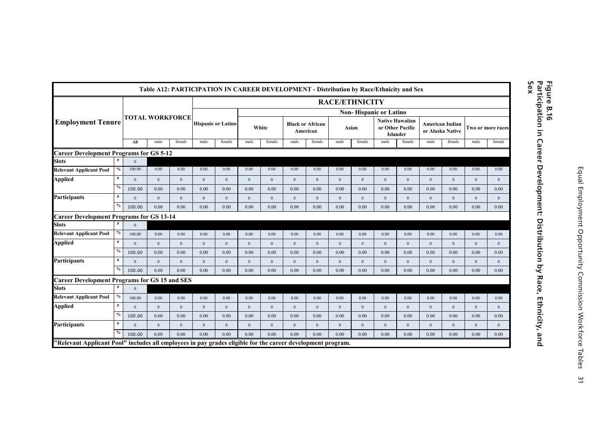|                                                                                                             |               |                        |              | Table A12: PARTICIPATION IN CAREER DEVELOPMENT - Distribution by Race/Ethnicity and Sex |              |                           |                  |              |              |                                     |                       |              |                               |                                                        |              |                                     |              |                   |
|-------------------------------------------------------------------------------------------------------------|---------------|------------------------|--------------|-----------------------------------------------------------------------------------------|--------------|---------------------------|------------------|--------------|--------------|-------------------------------------|-----------------------|--------------|-------------------------------|--------------------------------------------------------|--------------|-------------------------------------|--------------|-------------------|
|                                                                                                             |               |                        |              |                                                                                         |              |                           |                  |              |              |                                     | <b>RACE/ETHNICITY</b> |              |                               |                                                        |              |                                     |              |                   |
|                                                                                                             |               |                        |              |                                                                                         |              |                           |                  |              |              |                                     |                       |              | <b>Non-Hispanic or Latino</b> |                                                        |              |                                     |              |                   |
| <b>Employment Tenure</b>                                                                                    |               | <b>TOTAL WORKFORCE</b> |              |                                                                                         |              | <b>Hispanic or Latino</b> |                  | White        |              | <b>Black or African</b><br>American |                       | Asian        |                               | <b>Native Hawaiian</b><br>or Other Pacific<br>Islander |              | American Indian<br>or Alaska Native |              | Two or more races |
|                                                                                                             |               | All                    | male         | female                                                                                  | male         | female                    | male             | female       | male         | female                              | male                  | female       | male                          | female                                                 | male         | female                              | male         | female            |
| <b>Career Development Programs for GS 5-12</b>                                                              |               |                        |              |                                                                                         |              |                           |                  |              |              |                                     |                       |              |                               |                                                        |              |                                     |              |                   |
| <b>Slots</b>                                                                                                |               | $\Omega$               |              |                                                                                         |              |                           |                  |              |              |                                     |                       |              |                               |                                                        |              |                                     |              |                   |
| <b>Relevant Applicant Pool</b>                                                                              | $\%$          | 100.00                 | 0.00         | 0.00                                                                                    | 0.00         | 0.00                      | 0.00             | 0.00         | 0.00         | 0.00                                | 0.00                  | 0.00         | 0.00                          | 0.00                                                   | 0.00         | 0.00                                | 0.00         | 0.00              |
| <b>Applied</b>                                                                                              | $\#$          | $\Omega$               | $\mathbf{0}$ | $\mathbf{0}$                                                                            | $\mathbf{0}$ | $\mathbf{0}$              | $\boldsymbol{0}$ | $\theta$     | $\mathbf{0}$ | $\mathbf{0}$                        | $\mathbf{0}$          | $\mathbf{0}$ | $\mathbf{0}$                  | $\mathbf{0}$                                           | $\Omega$     | $\mathbf{0}$                        | $\mathbf{0}$ | $\mathbf{0}$      |
|                                                                                                             | $\frac{0}{0}$ | 100.00                 | 0.00         | 0.00                                                                                    | 0.00         | 0.00                      | 0.00             | 0.00         | 0.00         | 0.00                                | 0.00                  | 0.00         | 0.00                          | 0.00                                                   | 0.00         | 0.00                                | 0.00         | 0.00              |
| <b>Participants</b>                                                                                         | $\#$          | $\Omega$               | $\mathbf{0}$ | $\mathbf{0}$                                                                            | $\mathbf{0}$ | $\mathbf{0}$              | $\mathbf{0}$     | $\mathbf{0}$ | $\mathbf{0}$ | $\mathbf{0}$                        | $\mathbf{0}$          | $\mathbf{0}$ | $\mathbf{0}$                  | $\mathbf{0}$                                           | $\mathbf{0}$ | $\mathbf{0}$                        | $\mathbf{0}$ | $\mathbf{0}$      |
|                                                                                                             | $\%$          | 100.00                 | 0.00         | 0.00                                                                                    | 0.00         | 0.00                      | 0.00             | 0.00         | 0.00         | 0.00                                | 0.00                  | 0.00         | 0.00                          | 0.00                                                   | 0.00         | 0.00                                | 0.00         | 0.00              |
| <b>Career Development Programs for GS 13-14</b>                                                             |               |                        |              |                                                                                         |              |                           |                  |              |              |                                     |                       |              |                               |                                                        |              |                                     |              |                   |
| <b>Slots</b>                                                                                                |               | $\Omega$               |              |                                                                                         |              |                           |                  |              |              |                                     |                       |              |                               |                                                        |              |                                     |              |                   |
| <b>Relevant Applicant Pool</b>                                                                              | $\%$          | 100.00                 | 0.00         | 0.00                                                                                    | 0.00         | 0.00                      | 0.00             | 0.00         | 0.00         | 0.00                                | 0.00                  | 0.00         | 0.00                          | 0.00                                                   | 0.00         | 0.00                                | 0.00         | 0.00              |
| <b>Applied</b>                                                                                              | #             | $\theta$               | $\Omega$     | $\mathbf{0}$                                                                            | $\mathbf{0}$ | $\mathbf{0}$              | $\boldsymbol{0}$ | $\Omega$     | $\mathbf{0}$ | $\mathbf{0}$                        | $\mathbf{0}$          | $\mathbf{0}$ | $\mathbf{0}$                  | $\mathbf{0}$                                           | $\Omega$     | $\Omega$                            | $\mathbf{0}$ | $\mathbf{0}$      |
|                                                                                                             | $\%$          | 100.00                 | 0.00         | 0.00                                                                                    | 0.00         | 0.00                      | 0.00             | 0.00         | 0.00         | 0.00                                | 0.00                  | 0.00         | 0.00                          | 0.00                                                   | 0.00         | 0.00                                | 0.00         | 0.00              |
| <b>Participants</b>                                                                                         | #             | $\theta$               | $\Omega$     | $\mathbf{0}$                                                                            | $\theta$     | $\mathbf{0}$              | $\boldsymbol{0}$ | $\mathbf{0}$ | $\mathbf{0}$ | $\mathbf{0}$                        | $\mathbf{0}$          | $\mathbf{0}$ | $\mathbf{0}$                  | $\mathbf{0}$                                           | $\mathbf{0}$ | $\mathbf{0}$                        | $\mathbf{0}$ | $\Omega$          |
|                                                                                                             | $\%$          | 100.00                 | 0.00         | 0.00                                                                                    | 0.00         | 0.00                      | 0.00             | 0.00         | 0.00         | 0.00                                | 0.00                  | 0.00         | 0.00                          | 0.00                                                   | 0.00         | 0.00                                | 0.00         | 0.00              |
| <b>Career Development Programs for GS 15 and SES</b>                                                        |               |                        |              |                                                                                         |              |                           |                  |              |              |                                     |                       |              |                               |                                                        |              |                                     |              |                   |
| <b>Slots</b>                                                                                                | #             | $\Omega$               |              |                                                                                         |              |                           |                  |              |              |                                     |                       |              |                               |                                                        |              |                                     |              |                   |
| <b>Relevant Applicant Pool</b>                                                                              | $\%$          | 100.00                 | 0.00         | 0.00                                                                                    | 0.00         | 0.00                      | 0.00             | 0.00         | 0.00         | 0.00                                | 0.00                  | 0.00         | 0.00                          | 0.00                                                   | 0.00         | 0.00                                | 0.00         | 0.00              |
| <b>Applied</b>                                                                                              | #             | $\theta$               | $\mathbf{0}$ | $\mathbf{0}$                                                                            | $\mathbf{0}$ | $\mathbf{0}$              | $\mathbf{0}$     | $\mathbf{0}$ | $\mathbf{0}$ | $\mathbf{0}$                        | $\mathbf{0}$          | $\mathbf{0}$ | $\mathbf{0}$                  | $\mathbf{0}$                                           | $\mathbf{0}$ | $\mathbf{0}$                        | $\mathbf{0}$ | $\mathbf{0}$      |
|                                                                                                             | $\frac{0}{2}$ | 100.00                 | 0.00         | 0.00                                                                                    | 0.00         | 0.00                      | 0.00             | 0.00         | 0.00         | 0.00                                | 0.00                  | 0.00         | 0.00                          | 0.00                                                   | 0.00         | 0.00                                | 0.00         | 0.00              |
| <b>Participants</b>                                                                                         | $\#$          | $\theta$               | $\mathbf{0}$ | $\theta$                                                                                | $\mathbf{0}$ | $\mathbf{0}$              | $\mathbf{0}$     | $\mathbf{0}$ | $\theta$     | $\mathbf{0}$                        | $\mathbf{0}$          | $\mathbf{0}$ | $\mathbf{0}$                  | $\mathbf{0}$                                           | $\mathbf{0}$ | $\mathbf{0}$                        | $\mathbf{0}$ | $\mathbf{0}$      |
|                                                                                                             | $\%$          | 100.00                 | 0.00         | 0.00                                                                                    | 0.00         | 0.00                      | 0.00             | 0.00         | 0.00         | 0.00                                | 0.00                  | 0.00         | 0.00                          | 0.00                                                   | 0.00         | 0.00                                | 0.00         | 0.00              |
| "Relevant Applicant Pool" includes all employees in pay grades eligible for the career development program. |               |                        |              |                                                                                         |              |                           |                  |              |              |                                     |                       |              |                               |                                                        |              |                                     |              |                   |

### Figure B.16<br>Participation in Career Development: Distribution by Race, Ethnicity, and<br>Sex **Participation in Career Development: Distribution by Race, Ethnicity, and Figure B.16**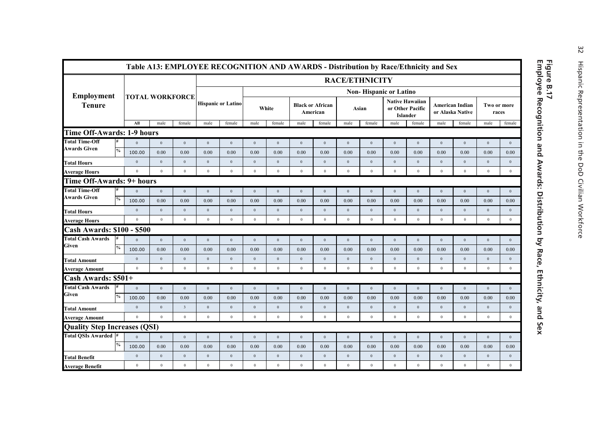|                                     |               |                        |                  |                         | Table A13: EMPLOYEE RECOGNITION AND AWARDS - Distribution by Race/Ethnicity and Sex |                           |                  |                  |                                     |                  |                  |                               |                  |                                           |                  |                                            |                      |                  |
|-------------------------------------|---------------|------------------------|------------------|-------------------------|-------------------------------------------------------------------------------------|---------------------------|------------------|------------------|-------------------------------------|------------------|------------------|-------------------------------|------------------|-------------------------------------------|------------------|--------------------------------------------|----------------------|------------------|
|                                     |               |                        |                  |                         |                                                                                     |                           |                  |                  |                                     |                  |                  | <b>RACE/ETHNICITY</b>         |                  |                                           |                  |                                            |                      |                  |
| Employment                          |               |                        |                  |                         |                                                                                     |                           |                  |                  |                                     |                  |                  | <b>Non-Hispanic or Latino</b> |                  |                                           |                  |                                            |                      |                  |
| <b>Tenure</b>                       |               | <b>TOTAL WORKFORCE</b> |                  |                         |                                                                                     | <b>Hispanic or Latino</b> |                  | White            | <b>Black or African</b><br>American |                  |                  | Asian                         | or Other Pacific | <b>Native Hawaiian</b><br><b>Islander</b> |                  | <b>American Indian</b><br>or Alaska Native | Two or more<br>races |                  |
|                                     |               | AII                    | male             | female                  | male                                                                                | female                    | male             | female           | male                                | female           | male             | female                        | male             | female                                    | male             | female                                     | male                 | female           |
| <b>Time Off-Awards: 1-9 hours</b>   |               |                        |                  |                         |                                                                                     |                           |                  |                  |                                     |                  |                  |                               |                  |                                           |                  |                                            |                      |                  |
| <b>Total Time-Off</b>               | #             | $\theta$               | $\theta$         | $\mathbf{0}$            | $\mathbf{0}$                                                                        | $\boldsymbol{0}$          | $\mathbf{0}$     | $\mathbf{0}$     | $\mathbf{0}$                        | $\bf{0}$         | $\boldsymbol{0}$ | $\boldsymbol{0}$              | $\Omega$         | $\mathbf{0}$                              | $\boldsymbol{0}$ | $\mathbf{0}$                               | $\mathbf{0}$         | $\boldsymbol{0}$ |
| Awards Given                        | $\frac{0}{0}$ | 100.00                 | 0.00             | 0.00                    | 0.00                                                                                | 0.00                      | 0.00             | 0.00             | 0.00                                | 0.00             | 0.00             | 0.00                          | 0.00             | 0.00                                      | 0.00             | 0.00                                       | 0.00                 | 0.00             |
| <b>Total Hours</b>                  |               | $\mathbf{0}$           | $\mathbf{0}$     | $\boldsymbol{0}$        | $\boldsymbol{0}$                                                                    | $\boldsymbol{0}$          | $\boldsymbol{0}$ | $\boldsymbol{0}$ | $\,0\,$                             | $\boldsymbol{0}$ | $\boldsymbol{0}$ | $\boldsymbol{0}$              | $\boldsymbol{0}$ | $\boldsymbol{0}$                          | $\mathbf{0}$     | $\bf{0}$                                   | $\mathbf{0}$         | $\boldsymbol{0}$ |
| <b>Average Hours</b>                |               | $\mathbf{0}$           | $\bf{0}$         | $\mathbf{0}$            | $\theta$                                                                            | $\bf{0}$                  | $\mathbf{0}$     | $\mathbf{0}$     | $\,$ 0 $\,$                         | $\,$ 0 $\,$      | $\bf{0}$         | $\bf{0}$                      | $\boldsymbol{0}$ | $\,$ 0 $\,$                               | $\theta$         | $\bf{0}$                                   | $\mathbf{0}$         | $\,$ 0 $\,$      |
| Time Off-Awards: 9+ hours           |               |                        |                  |                         |                                                                                     |                           |                  |                  |                                     |                  |                  |                               |                  |                                           |                  |                                            |                      |                  |
| <b>Total Time-Off</b>               | #             | $\theta$               | $\mathbf{0}$     | $\mathbf{0}$            | $\mathbf{0}$                                                                        | $\mathbf{0}$              | $\mathbf{0}$     | $\mathbf{0}$     | $\mathbf{0}$                        | $\mathbf{0}$     | $\mathbf{0}$     | $\mathbf{0}$                  | $\mathbf{0}$     | $\mathbf{0}$                              | $\overline{0}$   | $\mathbf{0}$                               | $\mathbf{0}$         | $\mathbf{0}$     |
| <b>Awards Given</b>                 | $\%$          | 100.00                 | 0.00             | 0.00                    | 0.00                                                                                | 0.00                      | 0.00             | 0.00             | 0.00                                | 0.00             | 0.00             | 0.00                          | 0.00             | 0.00                                      | 0.00             | 0.00                                       | 0.00                 | 0.00             |
| <b>Total Hours</b>                  |               | $\mathbf{0}$           | $\,0\,$          | $\mathbf{0}$            | $\boldsymbol{0}$                                                                    | $\,0\,$                   | $\boldsymbol{0}$ | $\,0\,$          | $\,0\,$                             | $\,0\,$          | $\overline{0}$   | $\boldsymbol{0}$              | $\,0\,$          | $\,0\,$                                   | $\mathbf{0}$     | $\boldsymbol{0}$                           | $\boldsymbol{0}$     | $\bf 0$          |
| <b>Average Hours</b>                |               | $\theta$               | $\mathbf{0}$     | $\mathbf{0}$            | $\theta$                                                                            | $\bf{0}$                  | $\mathbf{0}$     | $\mathbf{0}$     | $\mathbf{0}$                        | $\theta$         | $\mathbf{0}$     | $\mathbf{0}$                  | $\mathbf{0}$     | $\mathbf{0}$                              | $\mathbf{0}$     | $\bf{0}$                                   | $\mathbf{0}$         | $\mathbf{0}$     |
| <b>Cash Awards: \$100 - \$500</b>   |               |                        |                  |                         |                                                                                     |                           |                  |                  |                                     |                  |                  |                               |                  |                                           |                  |                                            |                      |                  |
| <b>Total Cash Awards</b>            |               | $\overline{0}$         | $\,0\,$          | $\mathbf{0}$            | $\boldsymbol{0}$                                                                    | $\,0\,$                   | $\boldsymbol{0}$ | $\,0\,$          | $\overline{0}$                      | $\,0\,$          | $\,0\,$          | $\boldsymbol{0}$              | $\boldsymbol{0}$ | $\,$ 0 $\,$                               | $\,0\,$          | $\,0\,$                                    | $\boldsymbol{0}$     | $\,0\,$          |
| Given                               | $\%$          | 100.00                 | 0.00             | 0.00                    | 0.00                                                                                | 0.00                      | 0.00             | 0.00             | 0.00                                | 0.00             | 0.00             | 0.00                          | 0.00             | 0.00                                      | 0.00             | 0.00                                       | 0.00                 | 0.00             |
| <b>Total Amount</b>                 |               | $\mathbf{0}$           | $\mathbf{0}$     | $\mathbf{0}$            | $\boldsymbol{0}$                                                                    | $\boldsymbol{0}$          | $\boldsymbol{0}$ | $\boldsymbol{0}$ | $\boldsymbol{0}$                    | $\bf{0}$         | $\,0\,$          | $\boldsymbol{0}$              | $\boldsymbol{0}$ | $\boldsymbol{0}$                          | $\bf{0}$         | $\boldsymbol{0}$                           | $\boldsymbol{0}$     | $\boldsymbol{0}$ |
| <b>Average Amount</b>               |               | $\mathbf{0}$           | $\bf{0}$         | $\mathbf{0}$            | $\theta$                                                                            | $\bf{0}$                  | $\mathbf{0}$     | $\mathbf{0}$     | $\mathbf{0}$                        | $\mathbf{0}$     | $\bf{0}$         | $\mathbf{0}$                  | $\mathbf{0}$     | $\mathbf{0}$                              | $\theta$         | $\bf{0}$                                   | $\theta$             | $\theta$         |
| Cash Awards: \$501+                 |               |                        |                  |                         |                                                                                     |                           |                  |                  |                                     |                  |                  |                               |                  |                                           |                  |                                            |                      |                  |
| <b>Total Cash Awards</b>            | #             | $\theta$               | $\mathbf{0}$     | $\mathbf{0}$            | $\mathbf{0}$                                                                        | $\boldsymbol{0}$          | $\mathbf{0}$     | $\theta$         | $\mathbf{0}$                        | $\boldsymbol{0}$ | $\boldsymbol{0}$ | $\boldsymbol{0}$              | $\theta$         | $\,0\,$                                   | $\overline{0}$   | $\mathbf{0}$                               | $\mathbf{0}$         | $\bf 0$          |
| Given                               | $\%$          | 100.00                 | 0.00             | 0.00                    | 0.00                                                                                | 0.00                      | 0.00             | 0.00             | 0.00                                | 0.00             | 0.00             | 0.00                          | 0.00             | 0.00                                      | 0.00             | 0.00                                       | 0.00                 | 0.00             |
| Total Amount                        |               | $\theta$               | $\theta$         | $\overline{\mathbf{3}}$ | $\mathbf{0}$                                                                        | $\boldsymbol{0}$          | $\mathbf{0}$     | $\theta$         | $\mathbf{0}$                        | $\boldsymbol{0}$ | $\boldsymbol{0}$ | $\mathbf{0}$                  | $\theta$         | $\mathbf{0}$                              | $\Omega$         | $\theta$                                   | $\mathbf{0}$         | $\mathbf{0}$     |
| <b>Average Amount</b>               |               | $\boldsymbol{0}$       | $\theta$         | $\mathbf{0}$            | $\mathbf{0}$                                                                        | $\bf{0}$                  | $\mathbf{0}$     | $\theta$         | $\mathbf{0}$                        | $\mathbf{0}$     | $\bf{0}$         | $\boldsymbol{0}$              | $\mathbf{0}$     | $\bf{0}$                                  | $\overline{0}$   | $\bf{0}$                                   | $\mathbf{0}$         | $\theta$         |
| <b>Quality Step Increases (QSI)</b> |               |                        |                  |                         |                                                                                     |                           |                  |                  |                                     |                  |                  |                               |                  |                                           |                  |                                            |                      |                  |
| Total OSIs Awarded #                |               | $\theta$               | $\mathbf{0}$     | $\mathbf{0}$            | $\mathbf{0}$                                                                        | $\mathbf{0}$              | $\mathbf{0}$     | $\,0\,$          | $\mathbf{0}$                        | $\boldsymbol{0}$ | $\boldsymbol{0}$ | $\mathbf{0}$                  | $\boldsymbol{0}$ | $\mathbf{0}$                              | $\overline{0}$   | $\mathbf{0}$                               | $\mathbf{0}$         | $\mathbf{0}$     |
|                                     | $\%$          | 100.00                 | 0.00             | 0.00                    | 0.00                                                                                | 0.00                      | 0.00             | 0.00             | 0.00                                | 0.00             | 0.00             | 0.00                          | 0.00             | 0.00                                      | 0.00             | 0.00                                       | 0.00                 | 0.00             |
| <b>Total Benefit</b>                |               | $\theta$               | $\mathbf{0}$     | $\mathbf{0}$            | $\mathbf{0}$                                                                        | $\boldsymbol{0}$          | $\mathbf{0}$     | $\mathbf{0}$     | $\mathbf{0}$                        | $\mathbf{0}$     | $\,0\,$          | $\boldsymbol{0}$              | $\boldsymbol{0}$ | $\mathbf{0}$                              | $\overline{0}$   | $\mathbf{0}$                               | $\mathbf{0}$         | $\mathbf{0}$     |
| <b>Average Benefit</b>              |               | $\,0\,$                | $\boldsymbol{0}$ | $\bf{0}$                | $\bf{0}$                                                                            | $\boldsymbol{0}$          | $\bf 0$          | $\bf{0}$         | $\,$ 0 $\,$                         | $\,$ 0 $\,$      | $\boldsymbol{0}$ | $\bf{0}$                      | $\boldsymbol{0}$ | $\,$ 0 $\,$                               | $\bf{0}$         | $\boldsymbol{0}$                           | $\bf{0}$             | $\,0\,$          |

### Figure B.17<br>Employee Recognition and Awards: Distribution by Race, Ethnicity, and Sex **Employee Recognition and Awards: Distribution by Race, Ethnicity, and Sex Figure B.17**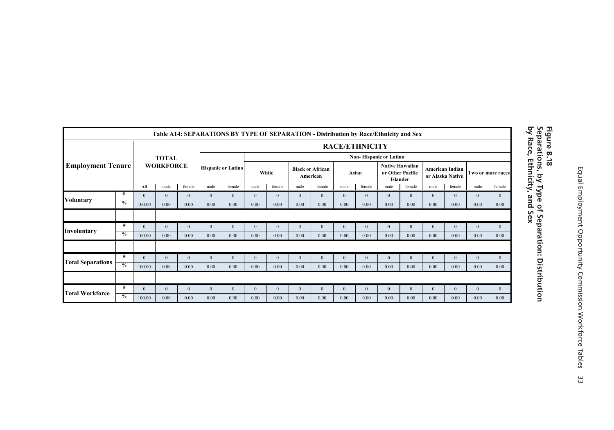|                          |               |              |                  |              |              | Table A14: SEPARATIONS BY TYPE OF SEPARATION - Distribution by Race/Ethnicity and Sex |              |              |                         |              |              |                               |              |                                                        |                                            |                |              |                   |
|--------------------------|---------------|--------------|------------------|--------------|--------------|---------------------------------------------------------------------------------------|--------------|--------------|-------------------------|--------------|--------------|-------------------------------|--------------|--------------------------------------------------------|--------------------------------------------|----------------|--------------|-------------------|
|                          |               |              |                  |              |              |                                                                                       |              |              |                         |              |              | <b>RACE/ETHNICITY</b>         |              |                                                        |                                            |                |              |                   |
|                          |               |              | <b>TOTAL</b>     |              |              |                                                                                       |              |              |                         |              |              | <b>Non-Hispanic or Latino</b> |              |                                                        |                                            |                |              |                   |
| <b>Employment Tenure</b> |               |              | <b>WORKFORCE</b> |              |              | <b>Hispanic or Latino</b>                                                             |              | White        | <b>Black or African</b> | American     |              | Asian                         |              | <b>Native Hawaiian</b><br>or Other Pacific<br>Islander | <b>American Indian</b><br>or Alaska Native |                |              | Two or more races |
|                          |               | All          | male             | female       | male         | female                                                                                | male         | female       | male                    | female       | male         | female                        | male         | female                                                 | male                                       | female         | male         | female            |
| <b>Voluntary</b>         | #             | $\mathbf{0}$ | $\mathbf{0}$     | $\mathbf{0}$ | $\mathbf{0}$ | $\mathbf{0}$                                                                          | $\mathbf{0}$ | $\mathbf{0}$ | $\mathbf{0}$            | $\mathbf{0}$ | $\mathbf{0}$ | $\bf{0}$                      | $\mathbf{0}$ | $\mathbf{0}$                                           | $\mathbf{0}$                               | $\overline{0}$ | $\mathbf{0}$ | $\mathbf{0}$      |
|                          | $\%$          | 100.00       | 0.00             | 0.00         | 0.00         | 0.00                                                                                  | 0.00         | 0.00         | 0.00                    | 0.00         | 0.00         | 0.00                          | 0.00         | 0.00                                                   | 0.00                                       | 0.00           | 0.00         | 0.00              |
|                          |               |              |                  |              |              |                                                                                       |              |              |                         |              |              |                               |              |                                                        |                                            |                |              |                   |
| Involuntary              | #             | $\mathbf{0}$ | $\mathbf{0}$     | $\mathbf{0}$ | $\mathbf{0}$ | $\mathbf{0}$                                                                          | $\mathbf{0}$ | $\mathbf{0}$ | $\mathbf{0}$            | $\mathbf{0}$ | $\mathbf{0}$ | $\mathbf{0}$                  | $\mathbf{0}$ | $\mathbf{0}$                                           | $\mathbf{0}$                               | $\mathbf{0}$   | $\mathbf{0}$ | $\mathbf{0}$      |
|                          | $\%$          | 100.00       | 0.00             | 0.00         | 0.00         | 0.00                                                                                  | 0.00         | 0.00         | 0.00                    | 0.00         | 0.00         | 0.00                          | 0.00         | 0.00                                                   | 0.00                                       | 0.00           | 0.00         | 0.00              |
|                          |               |              |                  |              |              |                                                                                       |              |              |                         |              |              |                               |              |                                                        |                                            |                |              |                   |
|                          | #             | $\Omega$     | $\Omega$         | $\mathbf{0}$ | $\mathbf{0}$ | $\mathbf{0}$                                                                          | $\Omega$     | $\mathbf{0}$ | $\mathbf{0}$            | $\mathbf{0}$ | $\mathbf{0}$ | $\mathbf{0}$                  | $\Omega$     | $\mathbf{0}$                                           | $\mathbf{0}$                               | $\Omega$       | $\mathbf{0}$ | $\mathbf{0}$      |
| <b>Total Separations</b> | $\frac{0}{0}$ | 100.00       | 0.00             | 0.00         | 0.00         | 0.00                                                                                  | 0.00         | 0.00         | 0.00                    | 0.00         | 0.00         | 0.00                          | 0.00         | 0.00                                                   | 0.00                                       | 0.00           | 0.00         | 0.00              |
|                          |               |              |                  |              |              |                                                                                       |              |              |                         |              |              |                               |              |                                                        |                                            |                |              |                   |
|                          | #             | $\Omega$     | $\Omega$         | $\Omega$     | $\mathbf{0}$ | $\mathbf{0}$                                                                          | $\Omega$     | $\Omega$     | $\Omega$                | $\mathbf{0}$ | $\mathbf{0}$ | $\mathbf{0}$                  | $\Omega$     | $\mathbf{0}$                                           | $\Omega$                                   | $\Omega$       | $\Omega$     | $\mathbf{0}$      |
| <b>Total Workforce</b>   | $\frac{0}{0}$ | 100.00       | 0.00             | 0.00         | 0.00         | 0.00                                                                                  | 0.00         | 0.00         | 0.00                    | 0.00         | 0.00         | 0.00                          | 0.00         | 0.00                                                   | 0.00                                       | 0.00           | 0.00         | 0.00              |

### Figure B.18<br>Separations, by Type of Separation: Distribution<br>by Race, Ethnicity, and Sex **by Race, Ethnicity, and Sex Separations, by Type of Separation: Distribution Figure B.18**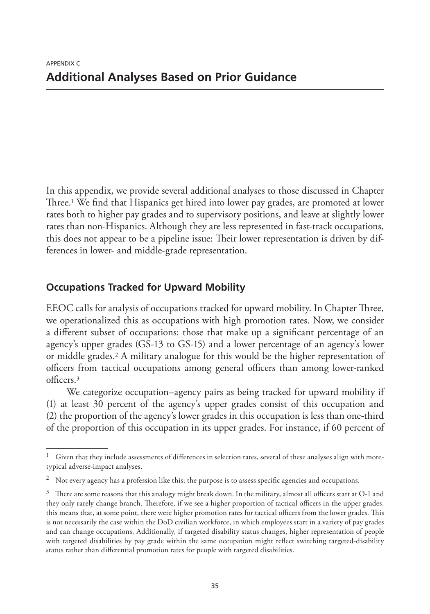In this appendix, we provide several additional analyses to those discussed in Chapter Three.1 We find that Hispanics get hired into lower pay grades, are promoted at lower rates both to higher pay grades and to supervisory positions, and leave at slightly lower rates than non-Hispanics. Although they are less represented in fast-track occupations, this does not appear to be a pipeline issue: Their lower representation is driven by differences in lower- and middle-grade representation.

### **Occupations Tracked for Upward Mobility**

EEOC calls for analysis of occupations tracked for upward mobility. In Chapter Three, we operationalized this as occupations with high promotion rates. Now, we consider a different subset of occupations: those that make up a significant percentage of an agency's upper grades (GS-13 to GS-15) and a lower percentage of an agency's lower or middle grades.2 A military analogue for this would be the higher representation of officers from tactical occupations among general officers than among lower-ranked officers.3

We categorize occupation–agency pairs as being tracked for upward mobility if (1) at least 30 percent of the agency's upper grades consist of this occupation and (2) the proportion of the agency's lower grades in this occupation is less than one-third of the proportion of this occupation in its upper grades. For instance, if 60 percent of

Given that they include assessments of differences in selection rates, several of these analyses align with moretypical adverse-impact analyses.

<sup>&</sup>lt;sup>2</sup> Not every agency has a profession like this; the purpose is to assess specific agencies and occupations.

 $3$  There are some reasons that this analogy might break down. In the military, almost all officers start at O-1 and they only rarely change branch. Therefore, if we see a higher proportion of tactical officers in the upper grades, this means that, at some point, there were higher promotion rates for tactical officers from the lower grades. This is not necessarily the case within the DoD civilian workforce, in which employees start in a variety of pay grades and can change occupations. Additionally, if targeted disability status changes, higher representation of people with targeted disabilities by pay grade within the same occupation might reflect switching targeted-disability status rather than differential promotion rates for people with targeted disabilities.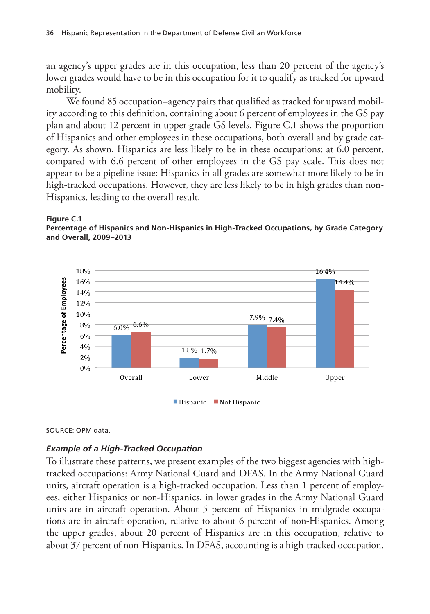an agency's upper grades are in this occupation, less than 20 percent of the agency's lower grades would have to be in this occupation for it to qualify as tracked for upward mobility.

We found 85 occupation–agency pairs that qualified as tracked for upward mobility according to this definition, containing about 6 percent of employees in the GS pay plan and about 12 percent in upper-grade GS levels. Figure C.1 shows the proportion of Hispanics and other employees in these occupations, both overall and by grade category. As shown, Hispanics are less likely to be in these occupations: at 6.0 percent, compared with 6.6 percent of other employees in the GS pay scale. This does not appear to be a pipeline issue: Hispanics in all grades are somewhat more likely to be in high-tracked occupations. However, they are less likely to be in high grades than non-Hispanics, leading to the overall result.





SOURCE: OPM data.

### *Example of a High-Tracked Occupation*

To illustrate these patterns, we present examples of the two biggest agencies with hightracked occupations: Army National Guard and DFAS. In the Army National Guard units, aircraft operation is a high-tracked occupation. Less than 1 percent of employees, either Hispanics or non-Hispanics, in lower grades in the Army National Guard units are in aircraft operation. About 5 percent of Hispanics in midgrade occupations are in aircraft operation, relative to about 6 percent of non-Hispanics. Among the upper grades, about 20 percent of Hispanics are in this occupation, relative to about 37 percent of non-Hispanics. In DFAS, accounting is a high-tracked occupation.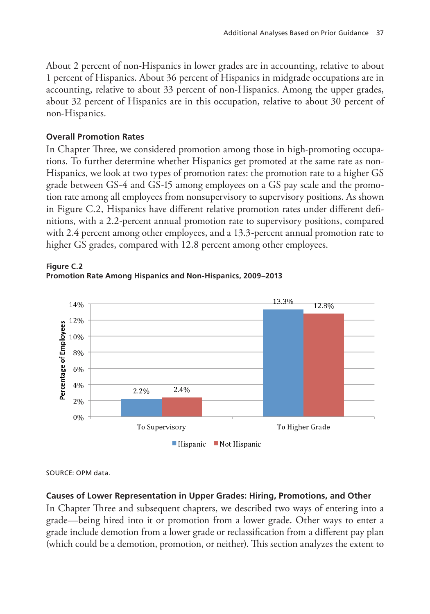About 2 percent of non-Hispanics in lower grades are in accounting, relative to about 1 percent of Hispanics. About 36 percent of Hispanics in midgrade occupations are in accounting, relative to about 33 percent of non-Hispanics. Among the upper grades, about 32 percent of Hispanics are in this occupation, relative to about 30 percent of non-Hispanics.

### **Overall Promotion Rates**

In Chapter Three, we considered promotion among those in high-promoting occupations. To further determine whether Hispanics get promoted at the same rate as non-Hispanics, we look at two types of promotion rates: the promotion rate to a higher GS grade between GS-4 and GS-15 among employees on a GS pay scale and the promotion rate among all employees from nonsupervisory to supervisory positions. As shown in Figure C.2, Hispanics have different relative promotion rates under different definitions, with a 2.2-percent annual promotion rate to supervisory positions, compared with 2.4 percent among other employees, and a 13.3-percent annual promotion rate to higher GS grades, compared with 12.8 percent among other employees.



**Figure C.2 Promotion Rate Among Hispanics and Non-Hispanics, 2009–2013**

SOURCE: OPM data.

### **Causes of Lower Representation in Upper Grades: Hiring, Promotions, and Other**

In Chapter Three and subsequent chapters, we described two ways of entering into a grade—being hired into it or promotion from a lower grade. Other ways to enter a grade include demotion from a lower grade or reclassification from a different pay plan (which could be a demotion, promotion, or neither). This section analyzes the extent to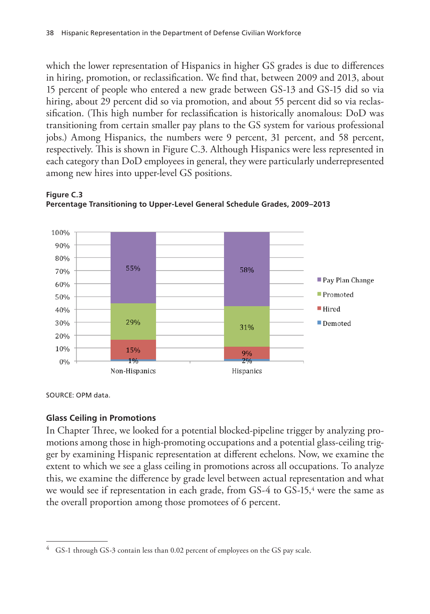which the lower representation of Hispanics in higher GS grades is due to differences in hiring, promotion, or reclassification. We find that, between 2009 and 2013, about 15 percent of people who entered a new grade between GS-13 and GS-15 did so via hiring, about 29 percent did so via promotion, and about 55 percent did so via reclassification. (This high number for reclassification is historically anomalous: DoD was transitioning from certain smaller pay plans to the GS system for various professional jobs.) Among Hispanics, the numbers were 9 percent, 31 percent, and 58 percent, respectively. This is shown in Figure C.3. Although Hispanics were less represented in each category than DoD employees in general, they were particularly underrepresented among new hires into upper-level GS positions.



### **Figure C.3 Percentage Transitioning to Upper-Level General Schedule Grades, 2009–2013**

SOURCE: OPM data.

### **Glass Ceiling in Promotions**

In Chapter Three, we looked for a potential blocked-pipeline trigger by analyzing promotions among those in high-promoting occupations and a potential glass-ceiling trigger by examining Hispanic representation at different echelons. Now, we examine the extent to which we see a glass ceiling in promotions across all occupations. To analyze this, we examine the difference by grade level between actual representation and what we would see if representation in each grade, from GS-4 to GS-15,<sup>4</sup> were the same as the overall proportion among those promotees of 6 percent.

 $4$  GS-1 through GS-3 contain less than 0.02 percent of employees on the GS pay scale.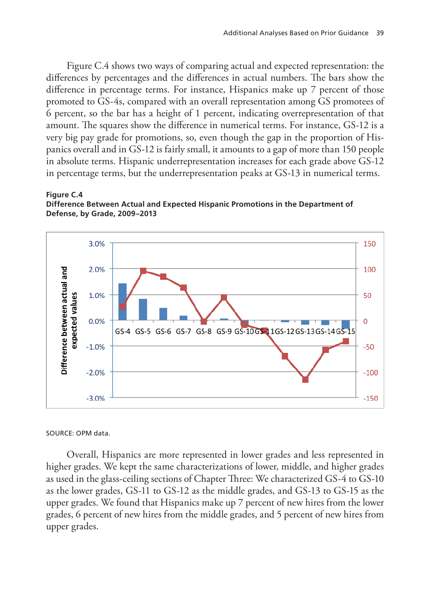Figure C.4 shows two ways of comparing actual and expected representation: the differences by percentages and the differences in actual numbers. The bars show the difference in percentage terms. For instance, Hispanics make up 7 percent of those promoted to GS-4s, compared with an overall representation among GS promotees of 6 percent, so the bar has a height of 1 percent, indicating overrepresentation of that amount. The squares show the difference in numerical terms. For instance, GS-12 is a very big pay grade for promotions, so, even though the gap in the proportion of Hispanics overall and in GS-12 is fairly small, it amounts to a gap of more than 150 people in absolute terms. Hispanic underrepresentation increases for each grade above GS-12 in percentage terms, but the underrepresentation peaks at GS-13 in numerical terms.

### **Figure C.4 Difference Between Actual and Expected Hispanic Promotions in the Department of Defense, by Grade, 2009–2013**



SOURCE: OPM data.

Overall, Hispanics are more represented in lower grades and less represented in higher grades. We kept the same characterizations of lower, middle, and higher grades as used in the glass-ceiling sections of Chapter Three: We characterized GS-4 to GS-10 as the lower grades, GS-11 to GS-12 as the middle grades, and GS-13 to GS-15 as the upper grades. We found that Hispanics make up 7 percent of new hires from the lower grades, 6 percent of new hires from the middle grades, and 5 percent of new hires from upper grades.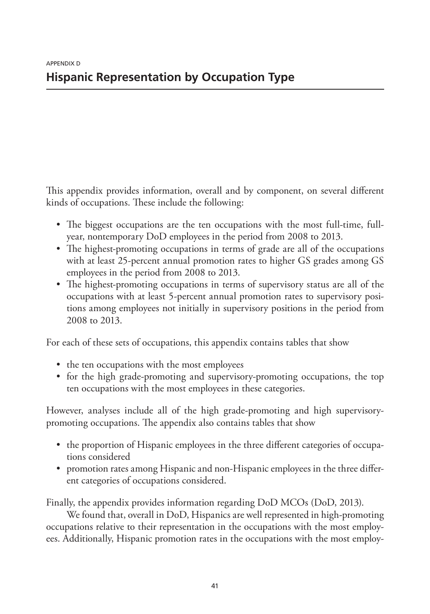This appendix provides information, overall and by component, on several different kinds of occupations. These include the following:

- The biggest occupations are the ten occupations with the most full-time, fullyear, nontemporary DoD employees in the period from 2008 to 2013.
- The highest-promoting occupations in terms of grade are all of the occupations with at least 25-percent annual promotion rates to higher GS grades among GS employees in the period from 2008 to 2013.
- The highest-promoting occupations in terms of supervisory status are all of the occupations with at least 5-percent annual promotion rates to supervisory positions among employees not initially in supervisory positions in the period from 2008 to 2013.

For each of these sets of occupations, this appendix contains tables that show

- the ten occupations with the most employees
- for the high grade-promoting and supervisory-promoting occupations, the top ten occupations with the most employees in these categories.

However, analyses include all of the high grade-promoting and high supervisorypromoting occupations. The appendix also contains tables that show

- the proportion of Hispanic employees in the three different categories of occupations considered
- promotion rates among Hispanic and non-Hispanic employees in the three different categories of occupations considered.

Finally, the appendix provides information regarding DoD MCOs (DoD, 2013).

We found that, overall in DoD, Hispanics are well represented in high-promoting occupations relative to their representation in the occupations with the most employees. Additionally, Hispanic promotion rates in the occupations with the most employ-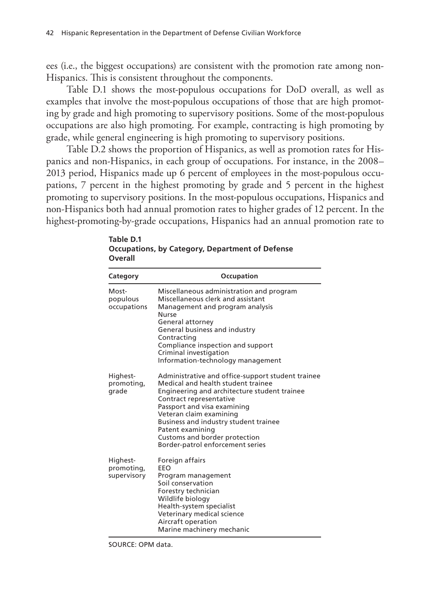ees (i.e., the biggest occupations) are consistent with the promotion rate among non-Hispanics. This is consistent throughout the components.

Table D.1 shows the most-populous occupations for DoD overall, as well as examples that involve the most-populous occupations of those that are high promoting by grade and high promoting to supervisory positions. Some of the most-populous occupations are also high promoting. For example, contracting is high promoting by grade, while general engineering is high promoting to supervisory positions.

Table D.2 shows the proportion of Hispanics, as well as promotion rates for Hispanics and non-Hispanics, in each group of occupations. For instance, in the 2008– 2013 period, Hispanics made up 6 percent of employees in the most-populous occupations, 7 percent in the highest promoting by grade and 5 percent in the highest promoting to supervisory positions. In the most-populous occupations, Hispanics and non-Hispanics both had annual promotion rates to higher grades of 12 percent. In the highest-promoting-by-grade occupations, Hispanics had an annual promotion rate to

| <b>Category</b>                       | Occupation                                                                                                                                                                                                                                                                                                                                                     |
|---------------------------------------|----------------------------------------------------------------------------------------------------------------------------------------------------------------------------------------------------------------------------------------------------------------------------------------------------------------------------------------------------------------|
| Most-<br>populous<br>occupations      | Miscellaneous administration and program<br>Miscellaneous clerk and assistant<br>Management and program analysis<br>Nurse<br>General attorney<br>General business and industry<br>Contracting<br>Compliance inspection and support<br>Criminal investigation<br>Information-technology management                                                              |
| Highest-<br>promoting,<br>grade       | Administrative and office-support student trainee<br>Medical and health student trainee<br>Engineering and architecture student trainee<br>Contract representative<br>Passport and visa examining<br>Veteran claim examining<br>Business and industry student trainee<br>Patent examining<br>Customs and border protection<br>Border-patrol enforcement series |
| Highest-<br>promoting,<br>supervisory | Foreign affairs<br>FFO<br>Program management<br>Soil conservation<br>Forestry technician<br>Wildlife biology<br>Health-system specialist<br>Veterinary medical science<br>Aircraft operation<br>Marine machinery mechanic                                                                                                                                      |

**Table D.1 Occupations, by Category, Department of Defense Overall**

SOURCE: OPM data.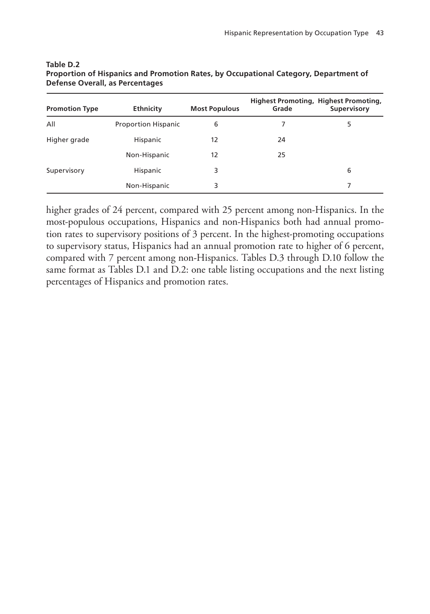| <b>Promotion Type</b> | <b>Ethnicity</b>           | <b>Most Populous</b> | Grade | <b>Highest Promoting, Highest Promoting,</b><br>Supervisory |
|-----------------------|----------------------------|----------------------|-------|-------------------------------------------------------------|
| All                   | <b>Proportion Hispanic</b> | 6                    |       | 5                                                           |
| Higher grade          | Hispanic                   | 12                   | 24    |                                                             |
|                       | Non-Hispanic               | 12                   | 25    |                                                             |
| Supervisory           | Hispanic                   | 3                    |       | 6                                                           |
|                       | Non-Hispanic               | 3                    |       |                                                             |

### **Table D.2 Proportion of Hispanics and Promotion Rates, by Occupational Category, Department of Defense Overall, as Percentages**

higher grades of 24 percent, compared with 25 percent among non-Hispanics. In the most-populous occupations, Hispanics and non-Hispanics both had annual promotion rates to supervisory positions of 3 percent. In the highest-promoting occupations to supervisory status, Hispanics had an annual promotion rate to higher of 6 percent, compared with 7 percent among non-Hispanics. Tables D.3 through D.10 follow the same format as Tables D.1 and D.2: one table listing occupations and the next listing percentages of Hispanics and promotion rates.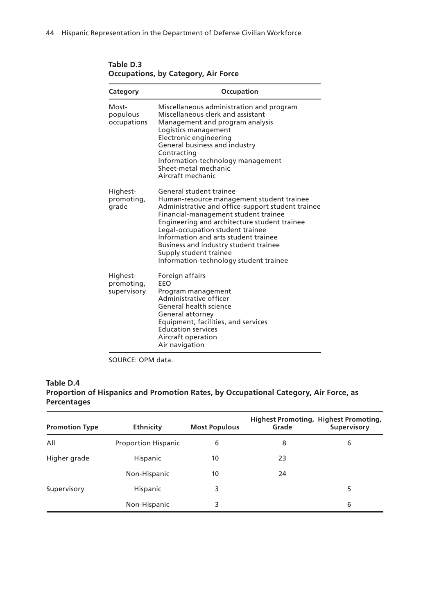| Category                              | Occupation                                                                                                                                                                                                                                                                                                                                                                                                 |
|---------------------------------------|------------------------------------------------------------------------------------------------------------------------------------------------------------------------------------------------------------------------------------------------------------------------------------------------------------------------------------------------------------------------------------------------------------|
| Most-<br>populous<br>occupations      | Miscellaneous administration and program<br>Miscellaneous clerk and assistant<br>Management and program analysis<br>Logistics management<br>Electronic engineering<br>General business and industry<br>Contracting<br>Information-technology management<br>Sheet-metal mechanic<br>Aircraft mechanic                                                                                                       |
| Highest-<br>promoting,<br>grade       | General student trainee<br>Human-resource management student trainee<br>Administrative and office-support student trainee<br>Financial-management student trainee<br>Engineering and architecture student trainee<br>Legal-occupation student trainee<br>Information and arts student trainee<br>Business and industry student trainee<br>Supply student trainee<br>Information-technology student trainee |
| Highest-<br>promoting,<br>supervisory | Foreign affairs<br>EEO<br>Program management<br>Administrative officer<br>General health science<br>General attorney<br>Equipment, facilities, and services<br><b>Education services</b><br>Aircraft operation<br>Air navigation                                                                                                                                                                           |

**Table D.3 Occupations, by Category, Air Force**

SOURCE: OPM data.

### **Table D.4 Proportion of Hispanics and Promotion Rates, by Occupational Category, Air Force, as Percentages**

| <b>Promotion Type</b> | <b>Ethnicity</b>           | <b>Most Populous</b> | Grade | Highest Promoting, Highest Promoting,<br>Supervisory |
|-----------------------|----------------------------|----------------------|-------|------------------------------------------------------|
| All                   | <b>Proportion Hispanic</b> | 6                    | 8     | 6                                                    |
| Higher grade          | Hispanic                   | 10                   | 23    |                                                      |
|                       | Non-Hispanic               | 10                   | 24    |                                                      |
| Supervisory           | Hispanic                   | 3                    |       | 5                                                    |
|                       | Non-Hispanic               | 3                    |       | 6                                                    |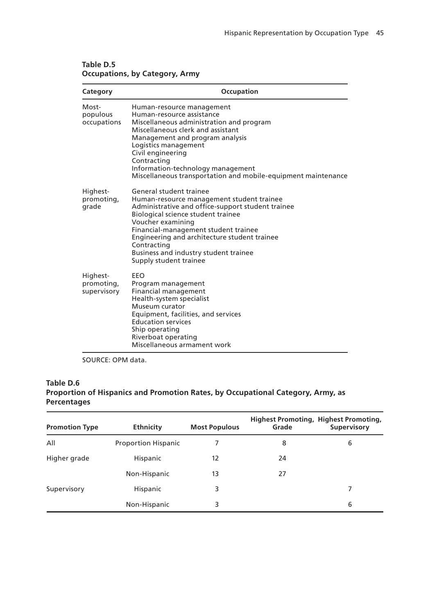| Category                              | Occupation                                                                                                                                                                                                                                                                                                                                                     |
|---------------------------------------|----------------------------------------------------------------------------------------------------------------------------------------------------------------------------------------------------------------------------------------------------------------------------------------------------------------------------------------------------------------|
| Most-<br>populous<br>occupations      | Human-resource management<br>Human-resource assistance<br>Miscellaneous administration and program<br>Miscellaneous clerk and assistant<br>Management and program analysis<br>Logistics management<br>Civil engineering<br>Contracting<br>Information-technology management<br>Miscellaneous transportation and mobile-equipment maintenance                   |
| Highest-<br>promoting,<br>grade       | General student trainee<br>Human-resource management student trainee<br>Administrative and office-support student trainee<br>Biological science student trainee<br>Voucher examining<br>Financial-management student trainee<br>Engineering and architecture student trainee<br>Contracting<br>Business and industry student trainee<br>Supply student trainee |
| Highest-<br>promoting,<br>supervisory | FFO<br>Program management<br>Financial management<br>Health-system specialist<br>Museum curator<br>Equipment, facilities, and services<br><b>Education services</b><br>Ship operating<br>Riverboat operating<br>Miscellaneous armament work                                                                                                                    |

### **Table D.5 Occupations, by Category, Army**

SOURCE: OPM data.

### **Table D.6 Proportion of Hispanics and Promotion Rates, by Occupational Category, Army, as Percentages**

| <b>Promotion Type</b> | <b>Ethnicity</b>           | <b>Most Populous</b> | Grade | <b>Highest Promoting, Highest Promoting,</b><br>Supervisory |
|-----------------------|----------------------------|----------------------|-------|-------------------------------------------------------------|
| All                   | <b>Proportion Hispanic</b> |                      | 8     | 6                                                           |
| Higher grade          | Hispanic                   | 12                   | 24    |                                                             |
|                       | Non-Hispanic               | 13                   | 27    |                                                             |
| Supervisory           | Hispanic                   | 3                    |       |                                                             |
|                       | Non-Hispanic               | 3                    |       | 6                                                           |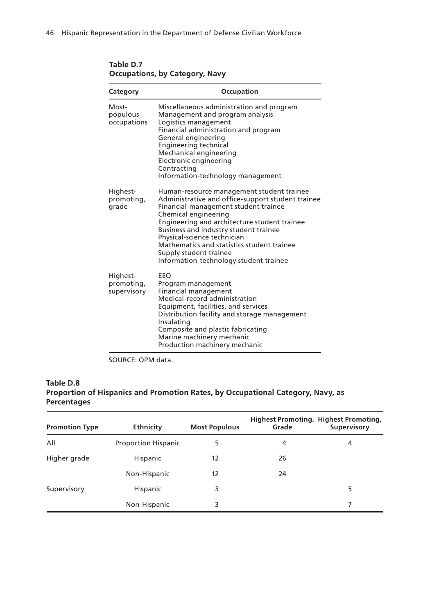| Category                              | Occupation                                                                                                                                                                                                                                                                                                                                                                                               |
|---------------------------------------|----------------------------------------------------------------------------------------------------------------------------------------------------------------------------------------------------------------------------------------------------------------------------------------------------------------------------------------------------------------------------------------------------------|
| Most-<br>populous<br>occupations      | Miscellaneous administration and program<br>Management and program analysis<br>Logistics management<br>Financial administration and program<br>General engineering<br>Engineering technical<br>Mechanical engineering<br>Electronic engineering<br>Contracting<br>Information-technology management                                                                                                      |
| Highest-<br>promoting,<br>grade       | Human-resource management student trainee<br>Administrative and office-support student trainee<br>Financial-management student trainee<br>Chemical engineering<br>Engineering and architecture student trainee<br>Business and industry student trainee<br>Physical-science technician<br>Mathematics and statistics student trainee<br>Supply student trainee<br>Information-technology student trainee |
| Highest-<br>promoting,<br>supervisory | EEO<br>Program management<br><b>Financial management</b><br>Medical-record administration<br>Equipment, facilities, and services<br>Distribution facility and storage management<br>Insulating<br>Composite and plastic fabricating<br>Marine machinery mechanic<br>Production machinery mechanic                                                                                                        |

**Table D.7 Occupations, by Category, Navy**

SOURCE: OPM data.

### **Table D.8 Proportion of Hispanics and Promotion Rates, by Occupational Category, Navy, as Percentages**

| <b>Promotion Type</b> | <b>Ethnicity</b>           | <b>Most Populous</b> | Grade | <b>Highest Promoting, Highest Promoting,</b><br>Supervisory |
|-----------------------|----------------------------|----------------------|-------|-------------------------------------------------------------|
| All                   | <b>Proportion Hispanic</b> | 5                    | 4     | 4                                                           |
| Higher grade          | Hispanic                   | 12                   | 26    |                                                             |
|                       | Non-Hispanic               | 12                   | 24    |                                                             |
| Supervisory           | Hispanic                   | 3                    |       | 5                                                           |
|                       | Non-Hispanic               | 3                    |       |                                                             |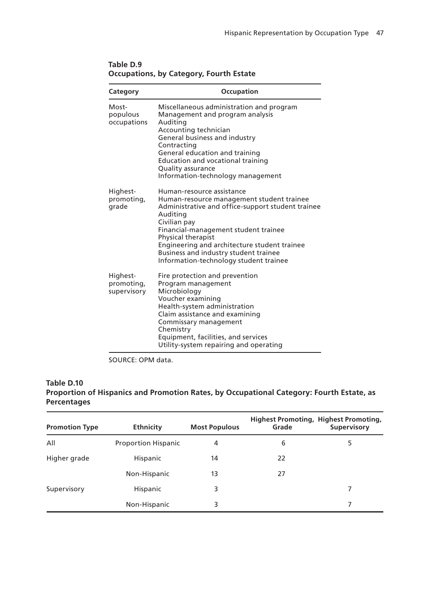| Category                              | Occupation                                                                                                                                                                                                                                                                                                                                               |
|---------------------------------------|----------------------------------------------------------------------------------------------------------------------------------------------------------------------------------------------------------------------------------------------------------------------------------------------------------------------------------------------------------|
| Most-<br>populous<br>occupations      | Miscellaneous administration and program<br>Management and program analysis<br>Auditing<br>Accounting technician<br>General business and industry<br>Contracting<br>General education and training<br>Education and vocational training<br>Quality assurance<br>Information-technology management                                                        |
| Highest-<br>promoting,<br>grade       | Human-resource assistance<br>Human-resource management student trainee<br>Administrative and office-support student trainee<br>Auditing<br>Civilian pay<br>Financial-management student trainee<br>Physical therapist<br>Engineering and architecture student trainee<br>Business and industry student trainee<br>Information-technology student trainee |
| Highest-<br>promoting,<br>supervisory | Fire protection and prevention<br>Program management<br>Microbiology<br>Voucher examining<br>Health-system administration<br>Claim assistance and examining<br>Commissary management<br>Chemistry<br>Equipment, facilities, and services<br>Utility-system repairing and operating                                                                       |

**Table D.9 Occupations, by Category, Fourth Estate**

SOURCE: OPM data.

### **Table D.10 Proportion of Hispanics and Promotion Rates, by Occupational Category: Fourth Estate, as Percentages**

| <b>Promotion Type</b> | <b>Ethnicity</b>           | <b>Most Populous</b> | Grade | <b>Highest Promoting, Highest Promoting,</b><br>Supervisory |
|-----------------------|----------------------------|----------------------|-------|-------------------------------------------------------------|
| All                   | <b>Proportion Hispanic</b> | 4                    | 6     | 5                                                           |
| Higher grade          | Hispanic                   | 14                   | 22    |                                                             |
|                       | Non-Hispanic               | 13                   | 27    |                                                             |
| Supervisory           | Hispanic                   | 3                    |       |                                                             |
|                       | Non-Hispanic               | 3                    |       |                                                             |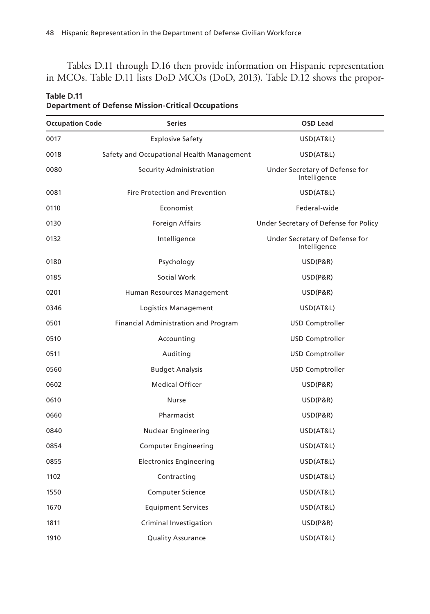Tables D.11 through D.16 then provide information on Hispanic representation in MCOs. Table D.11 lists DoD MCOs (DoD, 2013). Table D.12 shows the propor-

| <b>Occupation Code</b> | <b>Series</b>                               | OSD Lead                                       |
|------------------------|---------------------------------------------|------------------------------------------------|
| 0017                   | <b>Explosive Safety</b>                     | USD(AT&L)                                      |
| 0018                   | Safety and Occupational Health Management   | USD(AT&L)                                      |
| 0080                   | Security Administration                     | Under Secretary of Defense for<br>Intelligence |
| 0081                   | <b>Fire Protection and Prevention</b>       | USD(AT&L)                                      |
| 0110                   | Economist                                   | Federal-wide                                   |
| 0130                   | Foreign Affairs                             | Under Secretary of Defense for Policy          |
| 0132                   | Intelligence                                | Under Secretary of Defense for<br>Intelligence |
| 0180                   | Psychology                                  | <b>USD(P&amp;R)</b>                            |
| 0185                   | Social Work                                 | USD(P&R)                                       |
| 0201                   | Human Resources Management                  | USD(P&R)                                       |
| 0346                   | Logistics Management                        | USD(AT&L)                                      |
| 0501                   | <b>Financial Administration and Program</b> | <b>USD Comptroller</b>                         |
| 0510                   | Accounting                                  | <b>USD Comptroller</b>                         |
| 0511                   | Auditing                                    | <b>USD Comptroller</b>                         |
| 0560                   | <b>Budget Analysis</b>                      | <b>USD Comptroller</b>                         |
| 0602                   | <b>Medical Officer</b>                      | USD(P&R)                                       |
| 0610                   | Nurse                                       | USD(P&R)                                       |
| 0660                   | Pharmacist                                  | USD(P&R)                                       |
| 0840                   | Nuclear Engineering                         | USD(AT&L)                                      |
| 0854                   | <b>Computer Engineering</b>                 | USD(AT&L)                                      |
| 0855                   | <b>Electronics Engineering</b>              | USD(AT&L)                                      |
| 1102                   | Contracting                                 | USD(AT&L)                                      |
| 1550                   | <b>Computer Science</b>                     | USD(AT&L)                                      |
| 1670                   | <b>Equipment Services</b>                   | USD(AT&L)                                      |
| 1811                   | Criminal Investigation                      | USD(P&R)                                       |
| 1910                   | <b>Quality Assurance</b>                    | USD(AT&L)                                      |

### **Table D.11 Department of Defense Mission-Critical Occupations**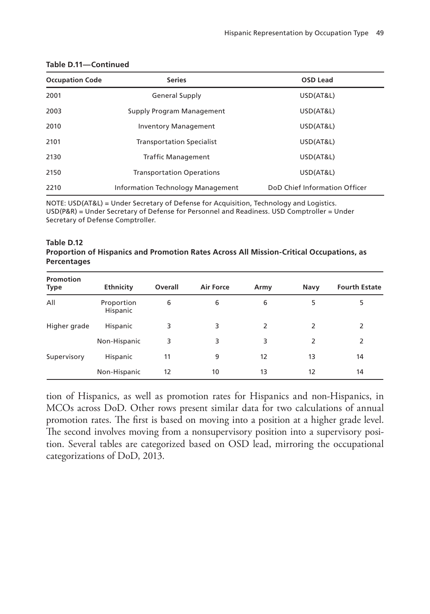| <b>Occupation Code</b> | <b>Series</b>                          | <b>OSD Lead</b>               |
|------------------------|----------------------------------------|-------------------------------|
| 2001                   | <b>General Supply</b>                  | USD(AT&L)                     |
| 2003                   | USD(AT&L)<br>Supply Program Management |                               |
| 2010                   | <b>Inventory Management</b>            | USD(AT&L)                     |
| 2101                   | <b>Transportation Specialist</b>       | USD(AT&L)                     |
| 2130                   | <b>Traffic Management</b>              | USD(AT&L)                     |
| 2150                   | <b>Transportation Operations</b>       | USD(AT&L)                     |
| 2210                   | Information Technology Management      | DoD Chief Information Officer |

### **Table D.11—Continued**

NOTE: USD(AT&L) = Under Secretary of Defense for Acquisition, Technology and Logistics. USD(P&R) = Under Secretary of Defense for Personnel and Readiness. USD Comptroller = Under Secretary of Defense Comptroller.

### **Table D.12 Proportion of Hispanics and Promotion Rates Across All Mission-Critical Occupations, as Percentages**

| Promotion<br>Type | Ethnicity              | Overall | <b>Air Force</b> | Army | Navy | <b>Fourth Estate</b> |
|-------------------|------------------------|---------|------------------|------|------|----------------------|
| All               | Proportion<br>Hispanic | 6       | 6                | 6    | 5    | 5                    |
| Higher grade      | Hispanic               | 3       | 3                | 2    | 2    | 2                    |
|                   | Non-Hispanic           | 3       | 3                | 3    | 2    | 2                    |
| Supervisory       | Hispanic               | 11      | 9                | 12   | 13   | 14                   |
|                   | Non-Hispanic           | 12      | 10               | 13   | 12   | 14                   |

tion of Hispanics, as well as promotion rates for Hispanics and non-Hispanics, in MCOs across DoD. Other rows present similar data for two calculations of annual promotion rates. The first is based on moving into a position at a higher grade level. The second involves moving from a nonsupervisory position into a supervisory position. Several tables are categorized based on OSD lead, mirroring the occupational categorizations of DoD, 2013.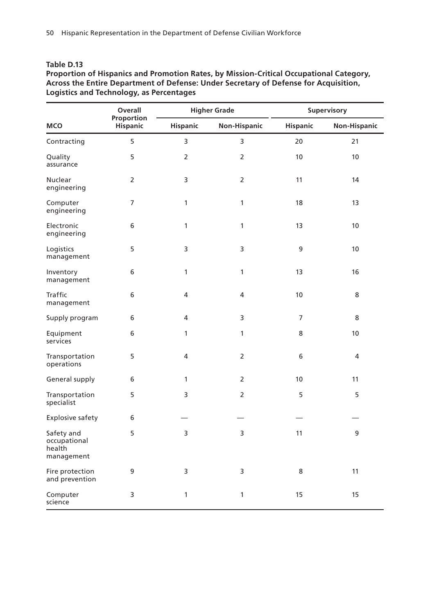### **Table D.13**

### **Proportion of Hispanics and Promotion Rates, by Mission-Critical Occupational Category, Across the Entire Department of Defense: Under Secretary of Defense for Acquisition, Logistics and Technology, as Percentages**

|                                                    | <b>Higher Grade</b><br>Overall |                 |                | Supervisory     |              |
|----------------------------------------------------|--------------------------------|-----------------|----------------|-----------------|--------------|
| <b>MCO</b>                                         | Proportion<br>Hispanic         | <b>Hispanic</b> | Non-Hispanic   | <b>Hispanic</b> | Non-Hispanic |
| Contracting                                        | 5                              | 3               | 3              | 20              | 21           |
| Quality<br>assurance                               | 5                              | $\overline{2}$  | $\overline{2}$ | 10              | 10           |
| <b>Nuclear</b><br>engineering                      | 2                              | 3               | 2              | 11              | 14           |
| Computer<br>engineering                            | 7                              | 1               | $\mathbf{1}$   | 18              | 13           |
| Electronic<br>engineering                          | 6                              | 1               | $\mathbf{1}$   | 13              | 10           |
| Logistics<br>management                            | 5                              | 3               | 3              | 9               | 10           |
| Inventory<br>management                            | 6                              | 1               | $\mathbf{1}$   | 13              | 16           |
| Traffic<br>management                              | 6                              | 4               | 4              | 10              | 8            |
| Supply program                                     | 6                              | 4               | 3              | 7               | 8            |
| Equipment<br>services                              | 6                              | 1               | $\mathbf{1}$   | 8               | 10           |
| Transportation<br>operations                       | 5                              | 4               | $\overline{2}$ | 6               | 4            |
| General supply                                     | 6                              | 1               | $\overline{2}$ | 10              | 11           |
| Transportation<br>specialist                       | 5                              | 3               | 2              | 5               | 5            |
| <b>Explosive safety</b>                            | 6                              |                 |                |                 |              |
| Safety and<br>occupational<br>health<br>management | 5                              | 3               | 3              | 11              | 9            |
| Fire protection<br>and prevention                  | 9                              | 3               | 3              | 8               | 11           |
| Computer<br>science                                | 3                              | 1               | $\mathbf{1}$   | 15              | 15           |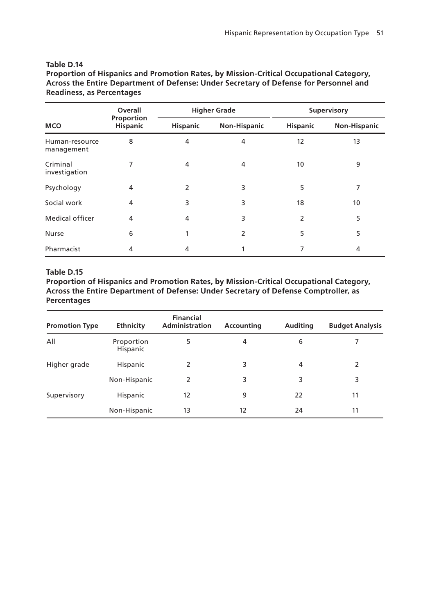### **Table D.14**

**Proportion of Hispanics and Promotion Rates, by Mission-Critical Occupational Category, Across the Entire Department of Defense: Under Secretary of Defense for Personnel and Readiness, as Percentages**

|                              | Overall                       |                 | <b>Higher Grade</b> | Supervisory     |                |
|------------------------------|-------------------------------|-----------------|---------------------|-----------------|----------------|
| <b>MCO</b>                   | Proportion<br><b>Hispanic</b> | <b>Hispanic</b> | Non-Hispanic        | <b>Hispanic</b> | Non-Hispanic   |
| Human-resource<br>management | 8                             | 4               | 4                   | 12              | 13             |
| Criminal<br>investigation    | 7                             | 4               | 4                   | 10              | 9              |
| Psychology                   | 4                             | 2               | 3                   | 5               | 7              |
| Social work                  | 4                             | 3               | 3                   | 18              | 10             |
| Medical officer              | 4                             | 4               | 3                   | 2               | 5              |
| <b>Nurse</b>                 | 6                             |                 | 2                   | 5               | 5              |
| Pharmacist                   | 4                             | 4               |                     | 7               | $\overline{4}$ |

### **Table D.15**

**Proportion of Hispanics and Promotion Rates, by Mission-Critical Occupational Category, Across the Entire Department of Defense: Under Secretary of Defense Comptroller, as Percentages**

| <b>Promotion Type</b> | <b>Ethnicity</b>       | <b>Financial</b><br><b>Administration</b> | Accounting | <b>Auditing</b> | <b>Budget Analysis</b> |
|-----------------------|------------------------|-------------------------------------------|------------|-----------------|------------------------|
| All                   | Proportion<br>Hispanic | 5                                         | 4          | 6               |                        |
| Higher grade          | Hispanic               | 2                                         | 3          | 4               | 2                      |
|                       | Non-Hispanic           | 2                                         | 3          | 3               | 3                      |
| Supervisory           | Hispanic               | 12                                        | 9          | 22              | 11                     |
|                       | Non-Hispanic           | 13                                        | 12         | 24              | 11                     |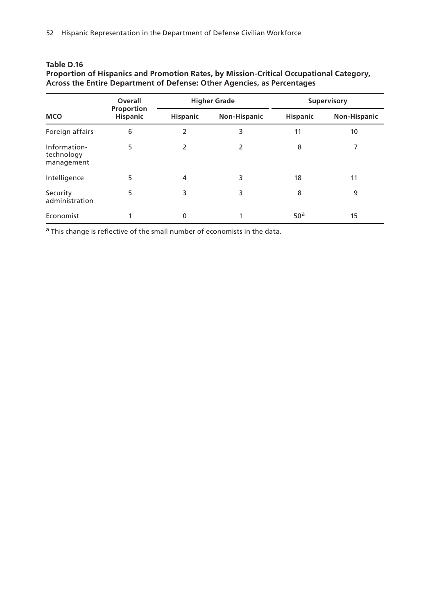### **Table D.16**

| Proportion of Hispanics and Promotion Rates, by Mission-Critical Occupational Category, |  |
|-----------------------------------------------------------------------------------------|--|
| Across the Entire Department of Defense: Other Agencies, as Percentages                 |  |

| <b>MCO</b>                               | Overall<br>Proportion<br><b>Hispanic</b> | <b>Higher Grade</b> |                     | Supervisory     |                     |
|------------------------------------------|------------------------------------------|---------------------|---------------------|-----------------|---------------------|
|                                          |                                          | <b>Hispanic</b>     | <b>Non-Hispanic</b> | <b>Hispanic</b> | <b>Non-Hispanic</b> |
| Foreign affairs                          | 6                                        | 2                   | 3                   | 11              | 10                  |
| Information-<br>technology<br>management | 5                                        | 2                   | 2                   | 8               | 7                   |
| Intelligence                             | 5                                        | 4                   | 3                   | 18              | 11                  |
| Security<br>administration               | 5                                        | 3                   | 3                   | 8               | 9                   |
| Economist                                |                                          | $\mathbf 0$         |                     | 50 <sup>a</sup> | 15                  |

a This change is reflective of the small number of economists in the data.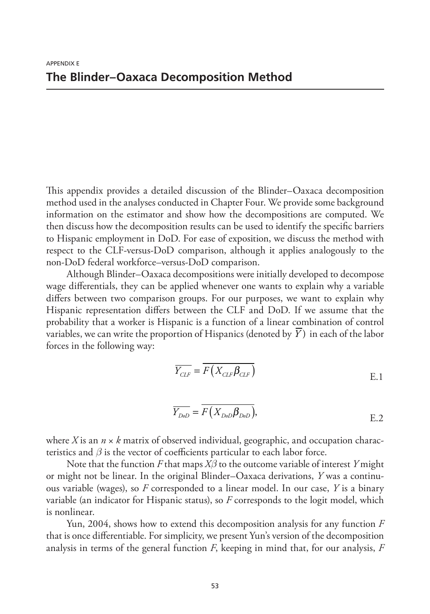This appendix provides a detailed discussion of the Blinder–Oaxaca decomposition method used in the analyses conducted in Chapter Four. We provide some background information on the estimator and show how the decompositions are computed. We then discuss how the decomposition results can be used to identify the specific barriers to Hispanic employment in DoD. For ease of exposition, we discuss the method with respect to the CLF-versus-DoD comparison, although it applies analogously to the non-DoD federal workforce–versus-DoD comparison.

Although Blinder–Oaxaca decompositions were initially developed to decompose wage differentials, they can be applied whenever one wants to explain why a variable differs between two comparison groups. For our purposes, we want to explain why Hispanic representation differs between the CLF and DoD. If we assume that the probability that a worker is Hispanic is a function of a linear combination of control variables, we can write the proportion of Hispanics (denoted by *Y* ) in each of the labor forces in the following way:

$$
\overline{Y_{CLF}} = \overline{F(X_{CLF} \beta_{CLF})}
$$
 E.1

$$
\overline{Y_{DoD}} = F(X_{DoD} \beta_{DoD}),
$$
 E.2

where *X* is an  $n \times k$  matrix of observed individual, geographic, and occupation characteristics and *β* is the vector of coefficients particular to each labor force.

Note that the function *F* that maps *Xβ* to the outcome variable of interest *Y* might or might not be linear. In the original Blinder–Oaxaca derivations, *Y* was a continuous variable (wages), so *F* corresponded to a linear model. In our case, *Y* is a binary variable (an indicator for Hispanic status), so *F* corresponds to the logit model, which is nonlinear.

Yun, 2004, shows how to extend this decomposition analysis for any function *F* that is once differentiable. For simplicity, we present Yun's version of the decomposition analysis in terms of the general function *F*, keeping in mind that, for our analysis, *F*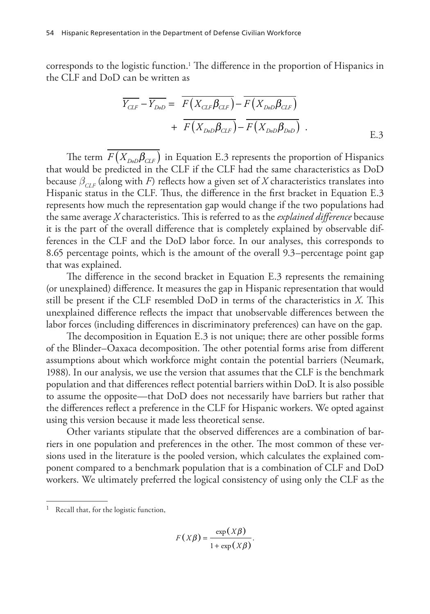corresponds to the logistic function.1 The difference in the proportion of Hispanics in the CLF and DoD can be written as

$$
\overline{Y_{CLF}} - \overline{Y_{DoD}} = \overline{F(X_{CLF}\beta_{CLF})} - \overline{F(X_{DoD}\beta_{CLF})}
$$

$$
+ \overline{F(X_{DoD}\beta_{CLF})} - \overline{F(X_{DoD}\beta_{DoD})} .
$$
 E.3

The term  $F(X_{D_0D}\beta_{CLF})$  in Equation E.3 represents the proportion of Hispanics that would be predicted in the CLF if the CLF had the same characteristics as DoD because  $\beta_{CF}$  (along with *F*) reflects how a given set of *X* characteristics translates into Hispanic status in the CLF. Thus, the difference in the first bracket in Equation E.3 represents how much the representation gap would change if the two populations had the same average *X* characteristics. This is referred to as the *explained difference* because it is the part of the overall difference that is completely explained by observable differences in the CLF and the DoD labor force. In our analyses, this corresponds to 8.65 percentage points, which is the amount of the overall 9.3–percentage point gap that was explained.

The difference in the second bracket in Equation E.3 represents the remaining (or unexplained) difference. It measures the gap in Hispanic representation that would still be present if the CLF resembled DoD in terms of the characteristics in *X*. This unexplained difference reflects the impact that unobservable differences between the labor forces (including differences in discriminatory preferences) can have on the gap.

The decomposition in Equation E.3 is not unique; there are other possible forms of the Blinder–Oaxaca decomposition. The other potential forms arise from different assumptions about which workforce might contain the potential barriers (Neumark, 1988). In our analysis, we use the version that assumes that the CLF is the benchmark population and that differences reflect potential barriers within DoD. It is also possible to assume the opposite—that DoD does not necessarily have barriers but rather that the differences reflect a preference in the CLF for Hispanic workers. We opted against using this version because it made less theoretical sense.

Other variants stipulate that the observed differences are a combination of barriers in one population and preferences in the other. The most common of these versions used in the literature is the pooled version, which calculates the explained component compared to a benchmark population that is a combination of CLF and DoD workers. We ultimately preferred the logical consistency of using only the CLF as the

$$
F(X\beta) = \frac{\exp(X\beta)}{1 + \exp(X\beta)}.
$$

 $1$  Recall that, for the logistic function,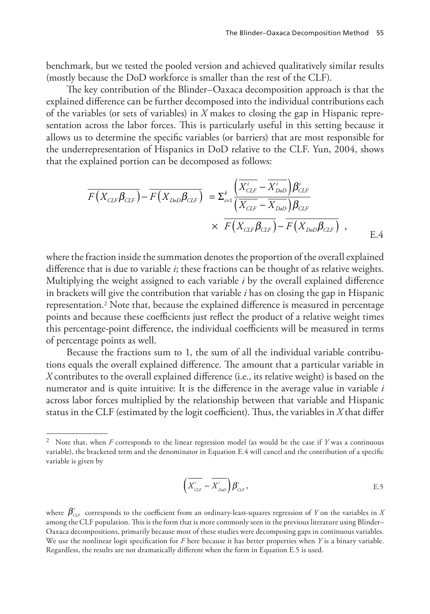benchmark, but we tested the pooled version and achieved qualitatively similar results (mostly because the DoD workforce is smaller than the rest of the CLF).

The key contribution of the Blinder–Oaxaca decomposition approach is that the explained difference can be further decomposed into the individual contributions each of the variables (or sets of variables) in *X* makes to closing the gap in Hispanic representation across the labor forces. This is particularly useful in this setting because it allows us to determine the specific variables (or barriers) that are most responsible for the underrepresentation of Hispanics in DoD relative to the CLF. Yun, 2004, shows that the explained portion can be decomposed as follows:

$$
\overline{F(X_{CLF}\beta_{CLF})} - \overline{F(X_{DoD}\beta_{CLF})} = \Sigma_{i=1}^{k} \frac{\left(\overline{X_{CLF}^{i}} - \overline{X_{DoD}^{i}}\right)\beta_{CLF}^{i}}{\left(\overline{X_{CLF} - X_{DoD}}\right)\beta_{CLF}}
$$
\n
$$
\times \overline{F(X_{CLF}\beta_{CLF})} - \overline{F(X_{DoD}\beta_{CLF})} ,
$$
\nE.4

where the fraction inside the summation denotes the proportion of the overall explained difference that is due to variable *i*; these fractions can be thought of as relative weights. Multiplying the weight assigned to each variable *i* by the overall explained difference in brackets will give the contribution that variable *i* has on closing the gap in Hispanic representation.2 Note that, because the explained difference is measured in percentage points and because these coefficients just reflect the product of a relative weight times this percentage-point difference, the individual coefficients will be measured in terms of percentage points as well.

Because the fractions sum to 1, the sum of all the individual variable contributions equals the overall explained difference. The amount that a particular variable in *X* contributes to the overall explained difference (i.e., its relative weight) is based on the numerator and is quite intuitive: It is the difference in the average value in variable *i* across labor forces multiplied by the relationship between that variable and Hispanic status in the CLF (estimated by the logit coefficient). Thus, the variables in *X* that differ

$$
\left(\overline{X_{CLF}^{i}} - \overline{X_{D\omega D}^{i}}\right)\beta_{CLF}^{i},
$$
 E.5

<sup>2</sup> Note that, when *F* corresponds to the linear regression model (as would be the case if *Y* was a continuous variable), the bracketed term and the denominator in Equation E.4 will cancel and the contribution of a specific variable is given by

where  $\pmb{\beta}^i_{\text{\tiny{CLF}}}$  corresponds to the coefficient from an ordinary-least-squares regression of  $Y$  on the variables in  $X$ among the CLF population. This is the form that is more commonly seen in the previous literature using Blinder– Oaxaca decompositions, primarily because most of these studies were decomposing gaps in continuous variables. We use the nonlinear logit specification for *F* here because it has better properties when *Y* is a binary variable. Regardless, the results are not dramatically different when the form in Equation E.5 is used.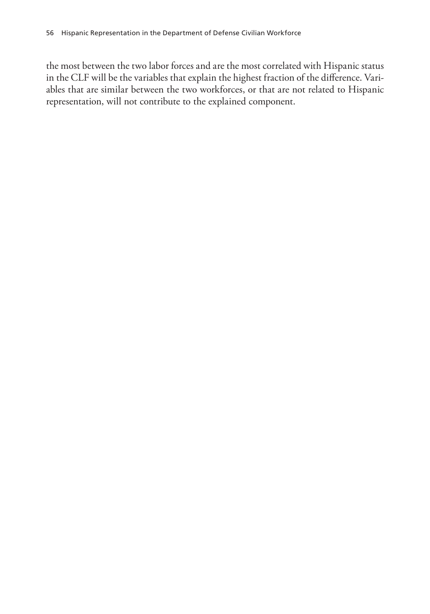the most between the two labor forces and are the most correlated with Hispanic status in the CLF will be the variables that explain the highest fraction of the difference. Variables that are similar between the two workforces, or that are not related to Hispanic representation, will not contribute to the explained component.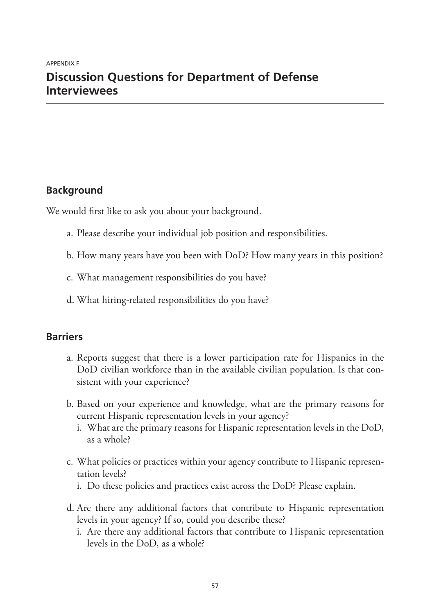### **Discussion Questions for Department of Defense Interviewees**

### **Background**

We would first like to ask you about your background.

- a. Please describe your individual job position and responsibilities.
- b. How many years have you been with DoD? How many years in this position?
- c. What management responsibilities do you have?
- d. What hiring-related responsibilities do you have?

### **Barriers**

- a. Reports suggest that there is a lower participation rate for Hispanics in the DoD civilian workforce than in the available civilian population. Is that consistent with your experience?
- b. Based on your experience and knowledge, what are the primary reasons for current Hispanic representation levels in your agency?
	- i. What are the primary reasons for Hispanic representation levels in the DoD, as a whole?
- c. What policies or practices within your agency contribute to Hispanic representation levels?
	- i. Do these policies and practices exist across the DoD? Please explain.
- d. Are there any additional factors that contribute to Hispanic representation levels in your agency? If so, could you describe these?
	- i. Are there any additional factors that contribute to Hispanic representation levels in the DoD, as a whole?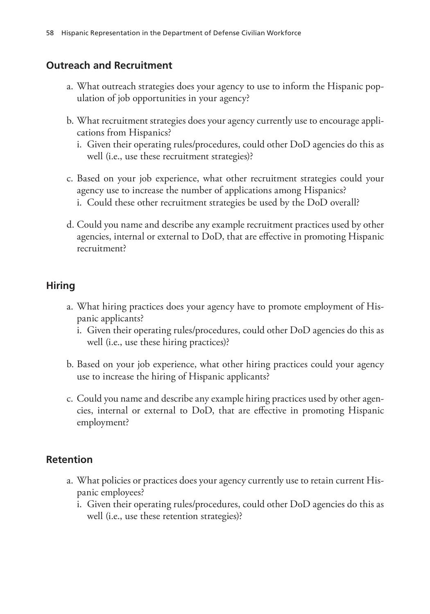### **Outreach and Recruitment**

- a. What outreach strategies does your agency to use to inform the Hispanic population of job opportunities in your agency?
- b. What recruitment strategies does your agency currently use to encourage applications from Hispanics?
	- i. Given their operating rules/procedures, could other DoD agencies do this as well (i.e., use these recruitment strategies)?
- c. Based on your job experience, what other recruitment strategies could your agency use to increase the number of applications among Hispanics? i. Could these other recruitment strategies be used by the DoD overall?
- d. Could you name and describe any example recruitment practices used by other agencies, internal or external to DoD, that are effective in promoting Hispanic recruitment?

### **Hiring**

- a. What hiring practices does your agency have to promote employment of Hispanic applicants?
	- i. Given their operating rules/procedures, could other DoD agencies do this as well (i.e., use these hiring practices)?
- b. Based on your job experience, what other hiring practices could your agency use to increase the hiring of Hispanic applicants?
- c. Could you name and describe any example hiring practices used by other agencies, internal or external to DoD, that are effective in promoting Hispanic employment?

### **Retention**

- a. What policies or practices does your agency currently use to retain current Hispanic employees?
	- i. Given their operating rules/procedures, could other DoD agencies do this as well (i.e., use these retention strategies)?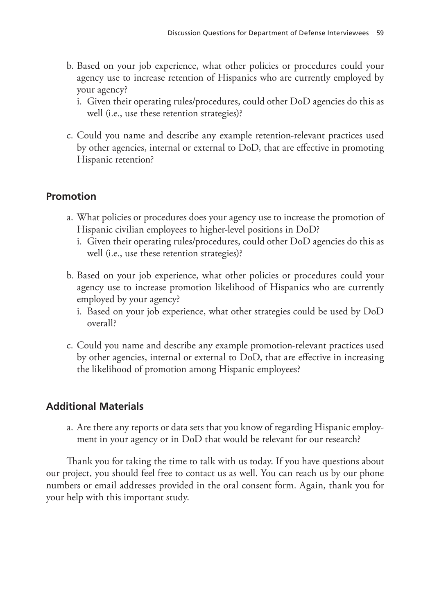- b. Based on your job experience, what other policies or procedures could your agency use to increase retention of Hispanics who are currently employed by your agency?
	- i. Given their operating rules/procedures, could other DoD agencies do this as well (i.e., use these retention strategies)?
- c. Could you name and describe any example retention-relevant practices used by other agencies, internal or external to DoD, that are effective in promoting Hispanic retention?

### **Promotion**

- a. What policies or procedures does your agency use to increase the promotion of Hispanic civilian employees to higher-level positions in DoD?
	- i. Given their operating rules/procedures, could other DoD agencies do this as well (i.e., use these retention strategies)?
- b. Based on your job experience, what other policies or procedures could your agency use to increase promotion likelihood of Hispanics who are currently employed by your agency?
	- i. Based on your job experience, what other strategies could be used by DoD overall?
- c. Could you name and describe any example promotion-relevant practices used by other agencies, internal or external to DoD, that are effective in increasing the likelihood of promotion among Hispanic employees?

### **Additional Materials**

a. Are there any reports or data sets that you know of regarding Hispanic employment in your agency or in DoD that would be relevant for our research?

Thank you for taking the time to talk with us today. If you have questions about our project, you should feel free to contact us as well. You can reach us by our phone numbers or email addresses provided in the oral consent form. Again, thank you for your help with this important study.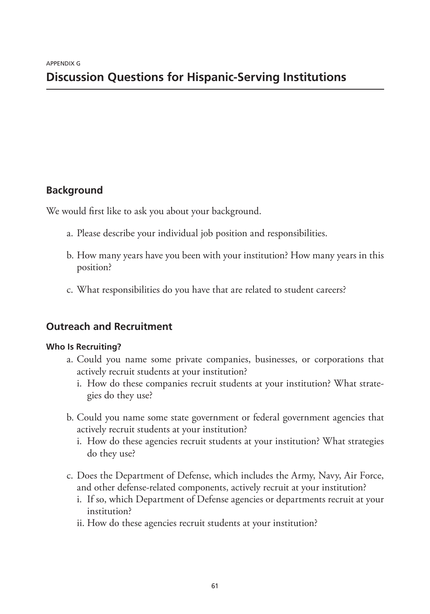## **Background**

We would first like to ask you about your background.

- a. Please describe your individual job position and responsibilities.
- b. How many years have you been with your institution? How many years in this position?
- c. What responsibilities do you have that are related to student careers?

# **Outreach and Recruitment**

### **Who Is Recruiting?**

- a. Could you name some private companies, businesses, or corporations that actively recruit students at your institution?
	- i. How do these companies recruit students at your institution? What strategies do they use?
- b. Could you name some state government or federal government agencies that actively recruit students at your institution?
	- i. How do these agencies recruit students at your institution? What strategies do they use?
- c. Does the Department of Defense, which includes the Army, Navy, Air Force, and other defense-related components, actively recruit at your institution?
	- i. If so, which Department of Defense agencies or departments recruit at your institution?
	- ii. How do these agencies recruit students at your institution?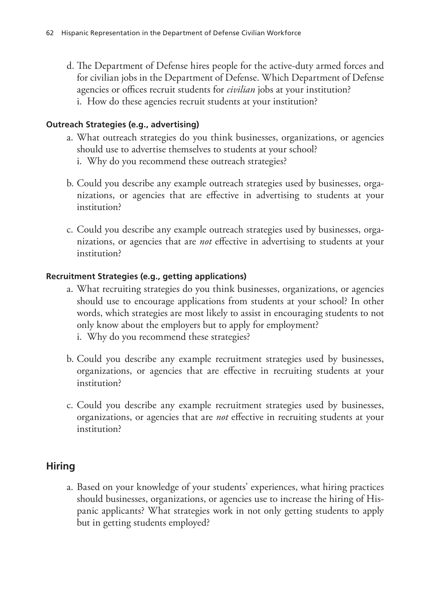d. The Department of Defense hires people for the active-duty armed forces and for civilian jobs in the Department of Defense. Which Department of Defense agencies or offices recruit students for *civilian* jobs at your institution? i. How do these agencies recruit students at your institution?

#### **Outreach Strategies (e.g., advertising)**

- a. What outreach strategies do you think businesses, organizations, or agencies should use to advertise themselves to students at your school?
	- i. Why do you recommend these outreach strategies?
- b. Could you describe any example outreach strategies used by businesses, organizations, or agencies that are effective in advertising to students at your institution?
- c. Could you describe any example outreach strategies used by businesses, organizations, or agencies that are *not* effective in advertising to students at your institution?

#### **Recruitment Strategies (e.g., getting applications)**

- a. What recruiting strategies do you think businesses, organizations, or agencies should use to encourage applications from students at your school? In other words, which strategies are most likely to assist in encouraging students to not only know about the employers but to apply for employment?
	- i. Why do you recommend these strategies?
- b. Could you describe any example recruitment strategies used by businesses, organizations, or agencies that are effective in recruiting students at your institution?
- c. Could you describe any example recruitment strategies used by businesses, organizations, or agencies that are *not* effective in recruiting students at your institution?

### **Hiring**

a. Based on your knowledge of your students' experiences, what hiring practices should businesses, organizations, or agencies use to increase the hiring of Hispanic applicants? What strategies work in not only getting students to apply but in getting students employed?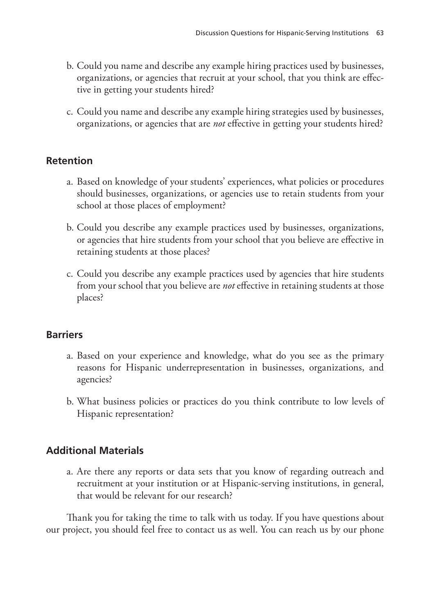- b. Could you name and describe any example hiring practices used by businesses, organizations, or agencies that recruit at your school, that you think are effective in getting your students hired?
- c. Could you name and describe any example hiring strategies used by businesses, organizations, or agencies that are *not* effective in getting your students hired?

## **Retention**

- a. Based on knowledge of your students' experiences, what policies or procedures should businesses, organizations, or agencies use to retain students from your school at those places of employment?
- b. Could you describe any example practices used by businesses, organizations, or agencies that hire students from your school that you believe are effective in retaining students at those places?
- c. Could you describe any example practices used by agencies that hire students from your school that you believe are *not* effective in retaining students at those places?

# **Barriers**

- a. Based on your experience and knowledge, what do you see as the primary reasons for Hispanic underrepresentation in businesses, organizations, and agencies?
- b. What business policies or practices do you think contribute to low levels of Hispanic representation?

# **Additional Materials**

a. Are there any reports or data sets that you know of regarding outreach and recruitment at your institution or at Hispanic-serving institutions, in general, that would be relevant for our research?

Thank you for taking the time to talk with us today. If you have questions about our project, you should feel free to contact us as well. You can reach us by our phone